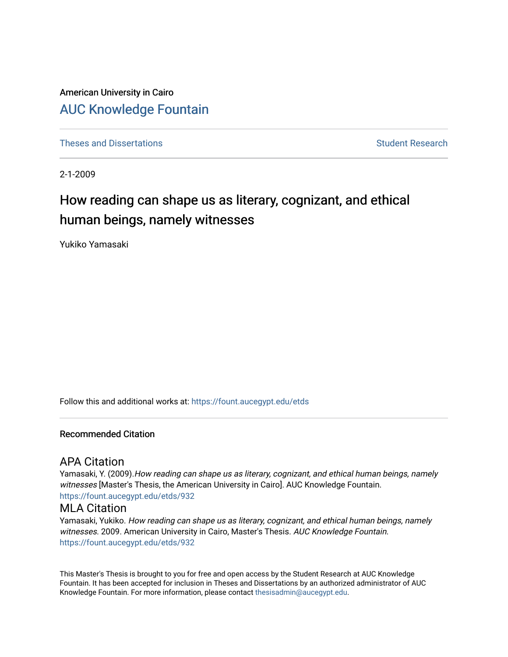American University in Cairo [AUC Knowledge Fountain](https://fount.aucegypt.edu/) 

[Theses and Dissertations](https://fount.aucegypt.edu/etds) Student Research

2-1-2009

# How reading can shape us as literary, cognizant, and ethical human beings, namely witnesses

Yukiko Yamasaki

Follow this and additional works at: [https://fount.aucegypt.edu/etds](https://fount.aucegypt.edu/etds?utm_source=fount.aucegypt.edu%2Fetds%2F932&utm_medium=PDF&utm_campaign=PDFCoverPages) 

## Recommended Citation

# APA Citation

Yamasaki, Y. (2009). How reading can shape us as literary, cognizant, and ethical human beings, namely witnesses [Master's Thesis, the American University in Cairo]. AUC Knowledge Fountain. [https://fount.aucegypt.edu/etds/932](https://fount.aucegypt.edu/etds/932?utm_source=fount.aucegypt.edu%2Fetds%2F932&utm_medium=PDF&utm_campaign=PDFCoverPages) 

### MLA Citation

Yamasaki, Yukiko. How reading can shape us as literary, cognizant, and ethical human beings, namely witnesses. 2009. American University in Cairo, Master's Thesis. AUC Knowledge Fountain. [https://fount.aucegypt.edu/etds/932](https://fount.aucegypt.edu/etds/932?utm_source=fount.aucegypt.edu%2Fetds%2F932&utm_medium=PDF&utm_campaign=PDFCoverPages) 

This Master's Thesis is brought to you for free and open access by the Student Research at AUC Knowledge Fountain. It has been accepted for inclusion in Theses and Dissertations by an authorized administrator of AUC Knowledge Fountain. For more information, please contact [thesisadmin@aucegypt.edu.](mailto:thesisadmin@aucegypt.edu)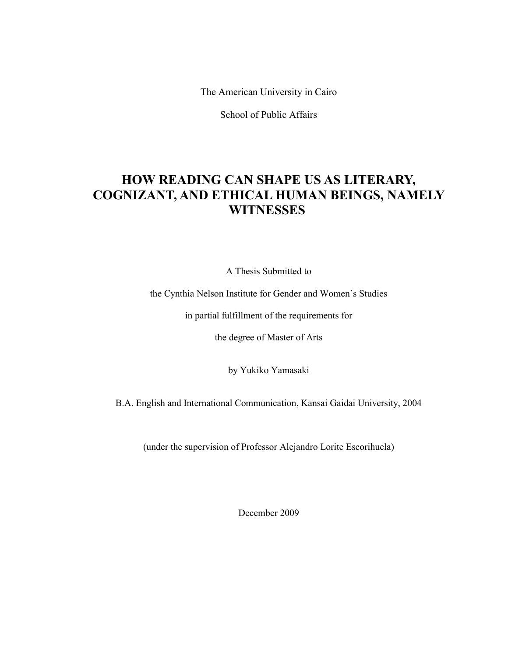The American University in Cairo

School of Public Affairs

# **HOW READING CAN SHAPE US AS LITERARY, COGNIZANT, AND ETHICAL HUMAN BEINGS, NAMELY WITNESSES**

A Thesis Submitted to

the Cynthia Nelson Institute for Gender and Women's Studies

in partial fulfillment of the requirements for

the degree of Master of Arts

by Yukiko Yamasaki

B.A. English and International Communication, Kansai Gaidai University, 2004

(under the supervision of Professor Alejandro Lorite Escorihuela)

December 2009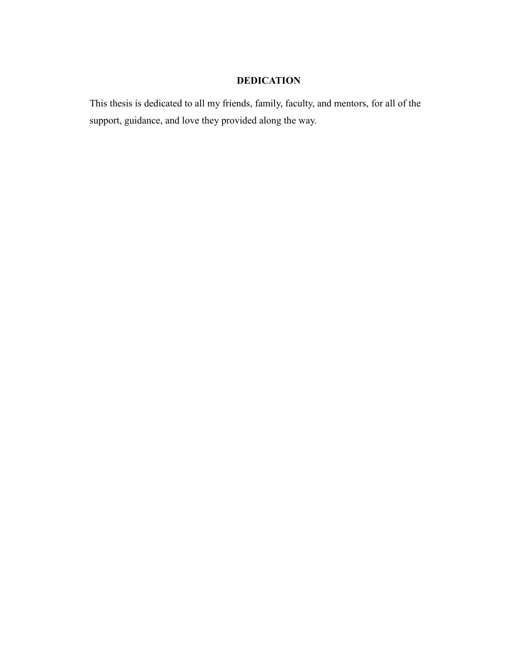# **DEDICATION**

This thesis is dedicated to all my friends, family, faculty, and mentors, for all of the support, guidance, and love they provided along the way.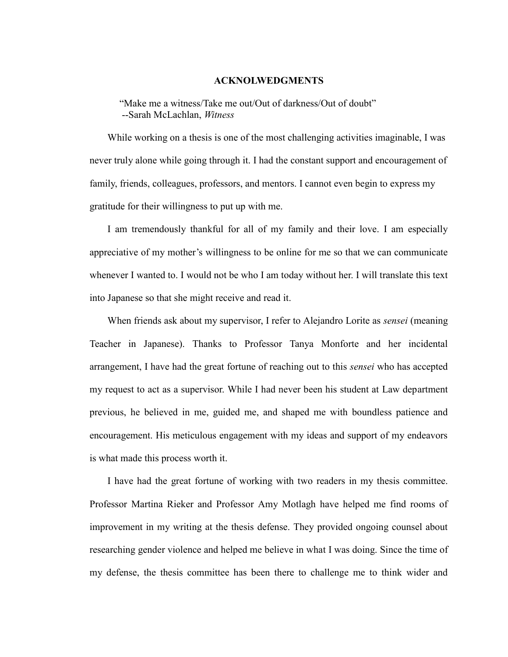### **ACKNOLWEDGMENTS**

"Make me a witness/Take me out/Out of darkness/Out of doubt" --Sarah McLachlan, *Witness*

While working on a thesis is one of the most challenging activities imaginable, I was never truly alone while going through it. I had the constant support and encouragement of family, friends, colleagues, professors, and mentors. I cannot even begin to express my gratitude for their willingness to put up with me.

I am tremendously thankful for all of my family and their love. I am especially appreciative of my mother's willingness to be online for me so that we can communicate whenever I wanted to. I would not be who I am today without her. I will translate this text into Japanese so that she might receive and read it.

When friends ask about my supervisor, I refer to Alejandro Lorite as *sensei* (meaning Teacher in Japanese). Thanks to Professor Tanya Monforte and her incidental arrangement, I have had the great fortune of reaching out to this *sensei* who has accepted my request to act as a supervisor. While I had never been his student at Law department previous, he believed in me, guided me, and shaped me with boundless patience and encouragement. His meticulous engagement with my ideas and support of my endeavors is what made this process worth it.

I have had the great fortune of working with two readers in my thesis committee. Professor Martina Rieker and Professor Amy Motlagh have helped me find rooms of improvement in my writing at the thesis defense. They provided ongoing counsel about researching gender violence and helped me believe in what I was doing. Since the time of my defense, the thesis committee has been there to challenge me to think wider and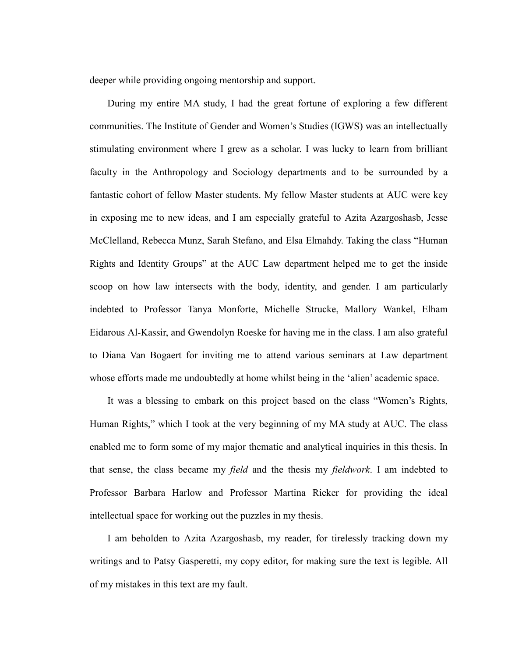deeper while providing ongoing mentorship and support.

During my entire MA study, I had the great fortune of exploring a few different communities. The Institute of Gender and Women's Studies (IGWS) was an intellectually stimulating environment where I grew as a scholar. I was lucky to learn from brilliant faculty in the Anthropology and Sociology departments and to be surrounded by a fantastic cohort of fellow Master students. My fellow Master students at AUC were key in exposing me to new ideas, and I am especially grateful to Azita Azargoshasb, Jesse McClelland, Rebecca Munz, Sarah Stefano, and Elsa Elmahdy. Taking the class "Human" Rights and Identity Groups" at the AUC Law department helped me to get the inside scoop on how law intersects with the body, identity, and gender. I am particularly indebted to Professor Tanya Monforte, Michelle Strucke, Mallory Wankel, Elham Eidarous Al-Kassir, and Gwendolyn Roeske for having me in the class. I am also grateful to Diana Van Bogaert for inviting me to attend various seminars at Law department whose efforts made me undoubtedly at home whilst being in the 'alien' academic space.

It was a blessing to embark on this project based on the class "Women's Rights, Human Rights," which I took at the very beginning of my MA study at AUC. The class enabled me to form some of my major thematic and analytical inquiries in this thesis. In that sense, the class became my *field* and the thesis my *fieldwork*. I am indebted to Professor Barbara Harlow and Professor Martina Rieker for providing the ideal intellectual space for working out the puzzles in my thesis.

I am beholden to Azita Azargoshasb, my reader, for tirelessly tracking down my writings and to Patsy Gasperetti, my copy editor, for making sure the text is legible. All of my mistakes in this text are my fault.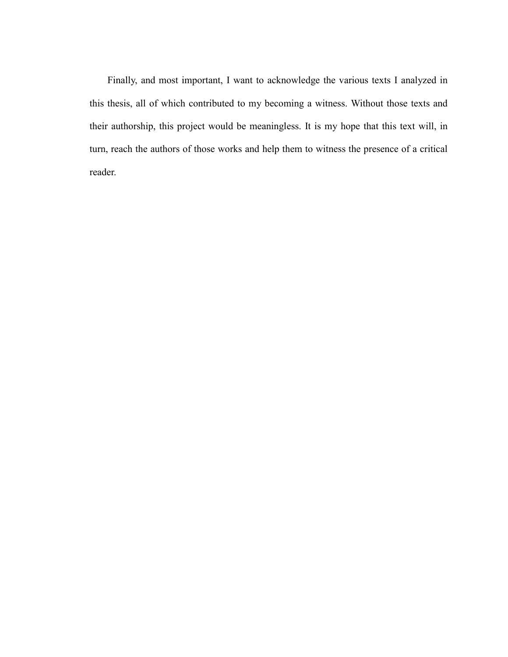Finally, and most important, I want to acknowledge the various texts I analyzed in this thesis, all of which contributed to my becoming a witness. Without those texts and their authorship, this project would be meaningless. It is my hope that this text will, in turn, reach the authors of those works and help them to witness the presence of a critical reader.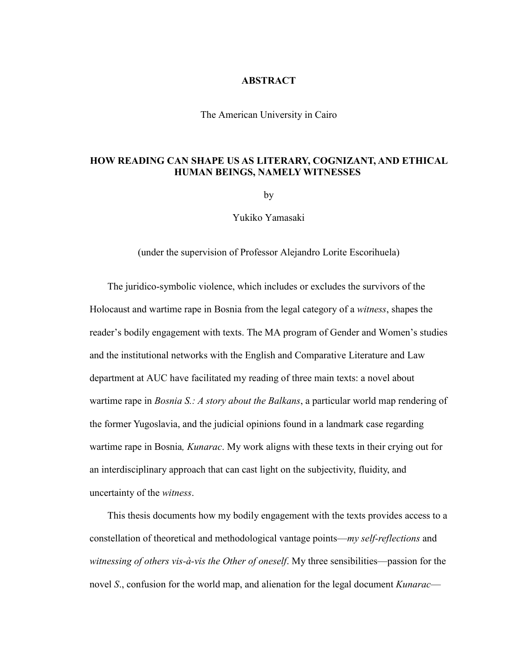### **ABSTRACT**

The American University in Cairo

# **HOW READING CAN SHAPE US AS LITERARY, COGNIZANT, AND ETHICAL HUMAN BEINGS, NAMELY WITNESSES**

by

Yukiko Yamasaki

(under the supervision of Professor Alejandro Lorite Escorihuela)

The juridico-symbolic violence, which includes or excludes the survivors of the Holocaust and wartime rape in Bosnia from the legal category of a *witness*, shapes the reader's bodily engagement with texts. The MA program of Gender and Women's studies and the institutional networks with the English and Comparative Literature and Law department at AUC have facilitated my reading of three main texts: a novel about wartime rape in *Bosnia S.: A story about the Balkans*, a particular world map rendering of the former Yugoslavia, and the judicial opinions found in a landmark case regarding wartime rape in Bosnia*, Kunarac*. My work aligns with these texts in their crying out for an interdisciplinary approach that can cast light on the subjectivity, fluidity, and uncertainty of the *witness*.

This thesis documents how my bodily engagement with the texts provides access to a constellation of theoretical and methodological vantage points—*my self-reflections* and *witnessing of others vis-à-vis the Other of oneself*. My three sensibilities—passion for the novel *S*., confusion for the world map, and alienation for the legal document *Kunarac*—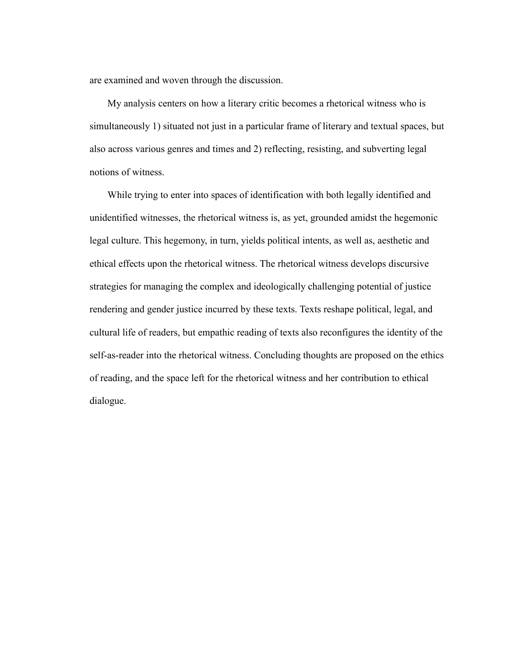are examined and woven through the discussion.

My analysis centers on how a literary critic becomes a rhetorical witness who is simultaneously 1) situated not just in a particular frame of literary and textual spaces, but also across various genres and times and 2) reflecting, resisting, and subverting legal notions of witness.

While trying to enter into spaces of identification with both legally identified and unidentified witnesses, the rhetorical witness is, as yet, grounded amidst the hegemonic legal culture. This hegemony, in turn, yields political intents, as well as, aesthetic and ethical effects upon the rhetorical witness. The rhetorical witness develops discursive strategies for managing the complex and ideologically challenging potential of justice rendering and gender justice incurred by these texts. Texts reshape political, legal, and cultural life of readers, but empathic reading of texts also reconfigures the identity of the self-as-reader into the rhetorical witness. Concluding thoughts are proposed on the ethics of reading, and the space left for the rhetorical witness and her contribution to ethical dialogue.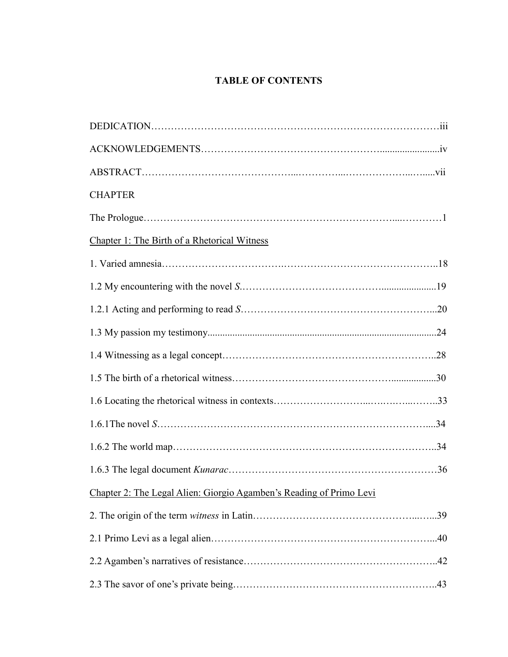# **TABLE OF CONTENTS**

| <b>CHAPTER</b>                                                      |  |
|---------------------------------------------------------------------|--|
|                                                                     |  |
| Chapter 1: The Birth of a Rhetorical Witness                        |  |
|                                                                     |  |
|                                                                     |  |
|                                                                     |  |
|                                                                     |  |
|                                                                     |  |
|                                                                     |  |
|                                                                     |  |
|                                                                     |  |
|                                                                     |  |
|                                                                     |  |
| Chapter 2: The Legal Alien: Giorgio Agamben's Reading of Primo Levi |  |
|                                                                     |  |
|                                                                     |  |
|                                                                     |  |
|                                                                     |  |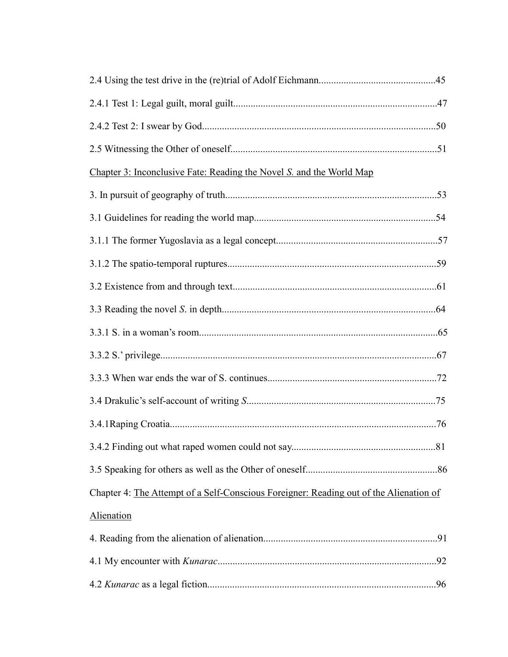| Chapter 3: Inconclusive Fate: Reading the Novel S. and the World Map                   |  |
|----------------------------------------------------------------------------------------|--|
|                                                                                        |  |
|                                                                                        |  |
|                                                                                        |  |
|                                                                                        |  |
|                                                                                        |  |
|                                                                                        |  |
|                                                                                        |  |
|                                                                                        |  |
|                                                                                        |  |
|                                                                                        |  |
|                                                                                        |  |
|                                                                                        |  |
|                                                                                        |  |
| Chapter 4: The Attempt of a Self-Conscious Foreigner: Reading out of the Alienation of |  |
| Alienation                                                                             |  |
|                                                                                        |  |
|                                                                                        |  |
|                                                                                        |  |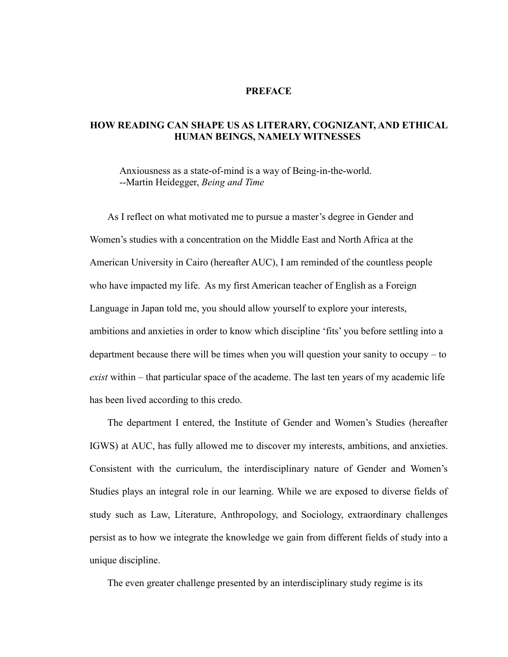## **PREFACE**

# **HOW READING CAN SHAPE US AS LITERARY, COGNIZANT, AND ETHICAL HUMAN BEINGS, NAMELY WITNESSES**

Anxiousness as a state-of-mind is a way of Being-in-the-world. --Martin Heidegger, *Being and Time*

As I reflect on what motivated me to pursue a master's degree in Gender and Women's studies with a concentration on the Middle East and North Africa at the American University in Cairo (hereafter AUC), I am reminded of the countless people who have impacted my life. As my first American teacher of English as a Foreign Language in Japan told me, you should allow yourself to explore your interests, ambitions and anxieties in order to know which discipline 'fits' you before settling into a department because there will be times when you will question your sanity to occupy – to *exist* within – that particular space of the academe. The last ten years of my academic life has been lived according to this credo.

The department I entered, the Institute of Gender and Women's Studies (hereafter IGWS) at AUC, has fully allowed me to discover my interests, ambitions, and anxieties. Consistent with the curriculum, the interdisciplinary nature of Gender and Women's Studies plays an integral role in our learning. While we are exposed to diverse fields of study such as Law, Literature, Anthropology, and Sociology, extraordinary challenges persist as to how we integrate the knowledge we gain from different fields of study into a unique discipline.

The even greater challenge presented by an interdisciplinary study regime is its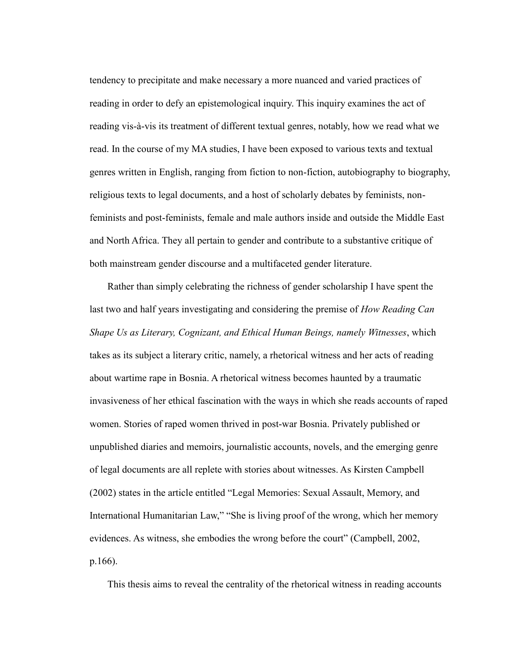tendency to precipitate and make necessary a more nuanced and varied practices of reading in order to defy an epistemological inquiry. This inquiry examines the act of reading vis-à-vis its treatment of different textual genres, notably, how we read what we read. In the course of my MA studies, I have been exposed to various texts and textual genres written in English, ranging from fiction to non-fiction, autobiography to biography, religious texts to legal documents, and a host of scholarly debates by feminists, nonfeminists and post-feminists, female and male authors inside and outside the Middle East and North Africa. They all pertain to gender and contribute to a substantive critique of both mainstream gender discourse and a multifaceted gender literature.

Rather than simply celebrating the richness of gender scholarship I have spent the last two and half years investigating and considering the premise of *How Reading Can Shape Us as Literary, Cognizant, and Ethical Human Beings, namely Witnesses*, which takes as its subject a literary critic, namely, a rhetorical witness and her acts of reading about wartime rape in Bosnia. A rhetorical witness becomes haunted by a traumatic invasiveness of her ethical fascination with the ways in which she reads accounts of raped women. Stories of raped women thrived in post-war Bosnia. Privately published or unpublished diaries and memoirs, journalistic accounts, novels, and the emerging genre of legal documents are all replete with stories about witnesses. As Kirsten Campbell (2002) states in the article entitled "Legal Memories: Sexual Assault, Memory, and International Humanitarian Law," "She is living proof of the wrong, which her memory evidences. As witness, she embodies the wrong before the court" (Campbell, 2002, p.166).

This thesis aims to reveal the centrality of the rhetorical witness in reading accounts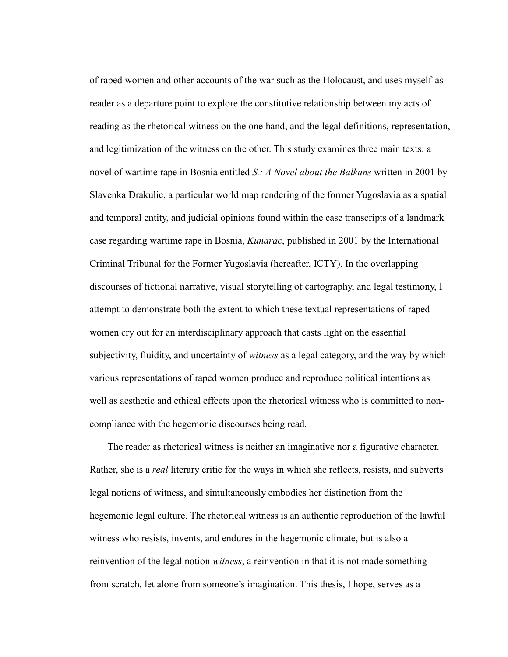of raped women and other accounts of the war such as the Holocaust, and uses myself-asreader as a departure point to explore the constitutive relationship between my acts of reading as the rhetorical witness on the one hand, and the legal definitions, representation, and legitimization of the witness on the other. This study examines three main texts: a novel of wartime rape in Bosnia entitled *S.: A Novel about the Balkans* written in 2001 by Slavenka Drakulic, a particular world map rendering of the former Yugoslavia as a spatial and temporal entity, and judicial opinions found within the case transcripts of a landmark case regarding wartime rape in Bosnia, *Kunarac*, published in 2001 by the International Criminal Tribunal for the Former Yugoslavia (hereafter, ICTY). In the overlapping discourses of fictional narrative, visual storytelling of cartography, and legal testimony, I attempt to demonstrate both the extent to which these textual representations of raped women cry out for an interdisciplinary approach that casts light on the essential subjectivity, fluidity, and uncertainty of *witness* as a legal category, and the way by which various representations of raped women produce and reproduce political intentions as well as aesthetic and ethical effects upon the rhetorical witness who is committed to noncompliance with the hegemonic discourses being read.

The reader as rhetorical witness is neither an imaginative nor a figurative character. Rather, she is a *real* literary critic for the ways in which she reflects, resists, and subverts legal notions of witness, and simultaneously embodies her distinction from the hegemonic legal culture. The rhetorical witness is an authentic reproduction of the lawful witness who resists, invents, and endures in the hegemonic climate, but is also a reinvention of the legal notion *witness*, a reinvention in that it is not made something from scratch, let alone from someone's imagination. This thesis, I hope, serves as a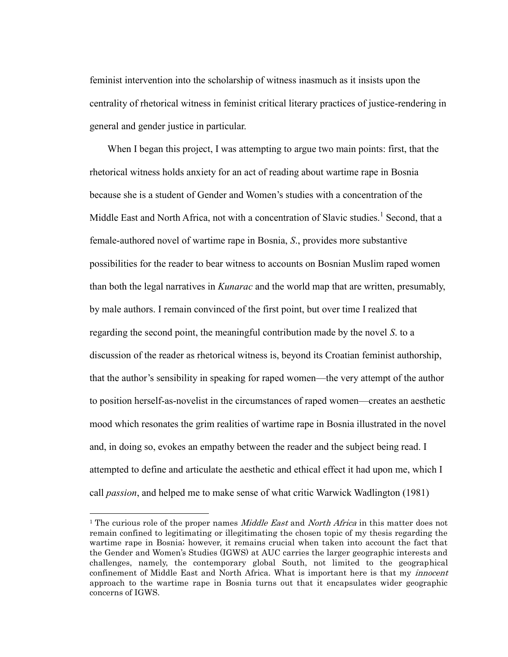feminist intervention into the scholarship of witness inasmuch as it insists upon the centrality of rhetorical witness in feminist critical literary practices of justice-rendering in general and gender justice in particular.

When I began this project, I was attempting to argue two main points: first, that the rhetorical witness holds anxiety for an act of reading about wartime rape in Bosnia because she is a student of Gender and Women's studies with a concentration of the Middle East and North Africa, not with a concentration of Slavic studies.<sup>1</sup> Second, that a female-authored novel of wartime rape in Bosnia, *S*., provides more substantive possibilities for the reader to bear witness to accounts on Bosnian Muslim raped women than both the legal narratives in *Kunarac* and the world map that are written, presumably, by male authors. I remain convinced of the first point, but over time I realized that regarding the second point, the meaningful contribution made by the novel *S*. to a discussion of the reader as rhetorical witness is, beyond its Croatian feminist authorship, that the author's sensibility in speaking for raped women—the very attempt of the author to position herself-as-novelist in the circumstances of raped women—creates an aesthetic mood which resonates the grim realities of wartime rape in Bosnia illustrated in the novel and, in doing so, evokes an empathy between the reader and the subject being read. I attempted to define and articulate the aesthetic and ethical effect it had upon me, which I call *passion*, and helped me to make sense of what critic Warwick Wadlington (1981)

<sup>&</sup>lt;sup>1</sup> The curious role of the proper names *Middle East* and *North Africa* in this matter does not remain confined to legitimating or illegitimating the chosen topic of my thesis regarding the wartime rape in Bosnia; however, it remains crucial when taken into account the fact that the Gender and Women"s Studies (IGWS) at AUC carries the larger geographic interests and challenges, namely, the contemporary global South, not limited to the geographical confinement of Middle East and North Africa. What is important here is that my *innocent* approach to the wartime rape in Bosnia turns out that it encapsulates wider geographic concerns of IGWS.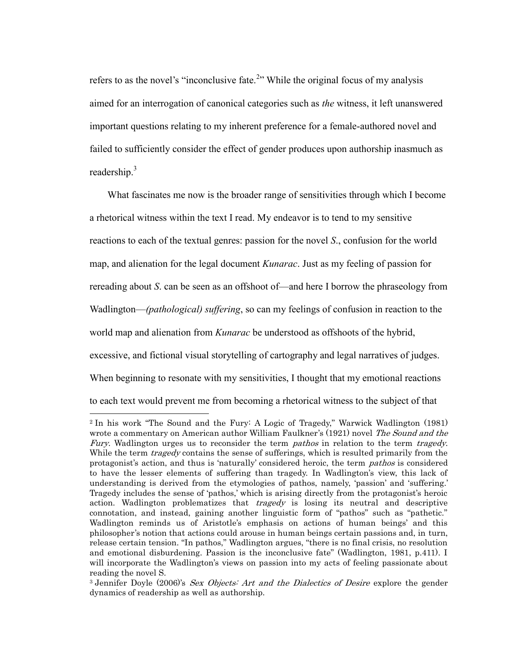refers to as the novel's "inconclusive fate.<sup>2</sup>" While the original focus of my analysis aimed for an interrogation of canonical categories such as *the* witness, it left unanswered important questions relating to my inherent preference for a female-authored novel and failed to sufficiently consider the effect of gender produces upon authorship inasmuch as readership.<sup>3</sup>

What fascinates me now is the broader range of sensitivities through which I become a rhetorical witness within the text I read. My endeavor is to tend to my sensitive reactions to each of the textual genres: passion for the novel *S*., confusion for the world map, and alienation for the legal document *Kunarac*. Just as my feeling of passion for rereading about *S*. can be seen as an offshoot of—and here I borrow the phraseology from Wadlington—*(pathological) suffering*, so can my feelings of confusion in reaction to the world map and alienation from *Kunarac* be understood as offshoots of the hybrid, excessive, and fictional visual storytelling of cartography and legal narratives of judges. When beginning to resonate with my sensitivities, I thought that my emotional reactions to each text would prevent me from becoming a rhetorical witness to the subject of that

<sup>2</sup> In his work "The Sound and the Fury: A Logic of Tragedy," Warwick Wadlington (1981) wrote a commentary on American author William Faulkner's (1921) novel The Sound and the Fury. Wadlington urges us to reconsider the term *pathos* in relation to the term *tragedy*. While the term *tragedy* contains the sense of sufferings, which is resulted primarily from the protagonist's action, and thus is 'naturally' considered heroic, the term *pathos* is considered to have the lesser elements of suffering than tragedy. In Wadlington"s view, this lack of understanding is derived from the etymologies of pathos, namely, 'passion' and 'suffering.' Tragedy includes the sense of 'pathos,' which is arising directly from the protagonist's heroic action. Wadlington problematizes that *tragedy* is losing its neutral and descriptive connotation, and instead, gaining another linguistic form of "pathos" such as "pathetic." Wadlington reminds us of Aristotle's emphasis on actions of human beings' and this philosopher's notion that actions could arouse in human beings certain passions and, in turn, release certain tension. "In pathos," Wadlington argues, "there is no final crisis, no resolution and emotional disburdening. Passion is the inconclusive fate" (Wadlington, 1981, p.411). I will incorporate the Wadlington's views on passion into my acts of feeling passionate about reading the novel S.

<sup>&</sup>lt;sup>3</sup> Jennifer Doyle (2006)'s Sex Objects: Art and the Dialectics of Desire explore the gender dynamics of readership as well as authorship.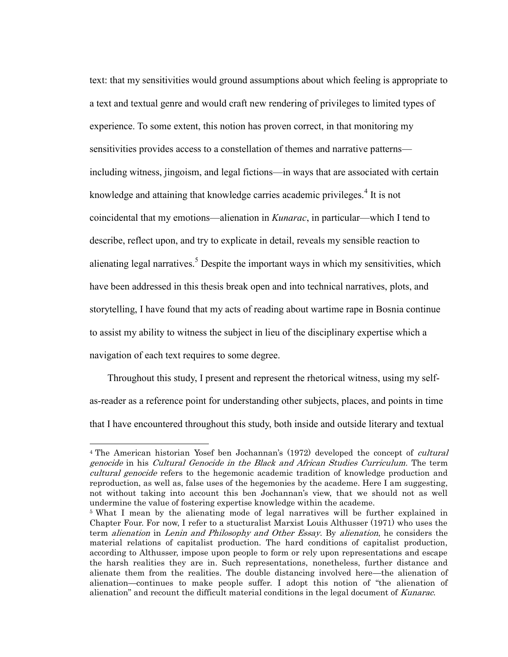text: that my sensitivities would ground assumptions about which feeling is appropriate to a text and textual genre and would craft new rendering of privileges to limited types of experience. To some extent, this notion has proven correct, in that monitoring my sensitivities provides access to a constellation of themes and narrative patterns including witness, jingoism, and legal fictions—in ways that are associated with certain knowledge and attaining that knowledge carries academic privileges.<sup>4</sup> It is not coincidental that my emotions—alienation in *Kunarac*, in particular—which I tend to describe, reflect upon, and try to explicate in detail, reveals my sensible reaction to alienating legal narratives.<sup>5</sup> Despite the important ways in which my sensitivities, which have been addressed in this thesis break open and into technical narratives, plots, and storytelling, I have found that my acts of reading about wartime rape in Bosnia continue to assist my ability to witness the subject in lieu of the disciplinary expertise which a navigation of each text requires to some degree.

Throughout this study, I present and represent the rhetorical witness, using my selfas-reader as a reference point for understanding other subjects, places, and points in time that I have encountered throughout this study, both inside and outside literary and textual

<sup>&</sup>lt;sup>4</sup> The American historian Yosef ben Jochannan's (1972) developed the concept of *cultural* genocide in his Cultural Genocide in the Black and African Studies Curriculum. The term cultural genocide refers to the hegemonic academic tradition of knowledge production and reproduction, as well as, false uses of the hegemonies by the academe. Here I am suggesting, not without taking into account this ben Jochannan"s view, that we should not as well undermine the value of fostering expertise knowledge within the academe.

<sup>5</sup> What I mean by the alienating mode of legal narratives will be further explained in Chapter Four. For now, I refer to a stucturalist Marxist Louis Althusser (1971) who uses the term alienation in Lenin and Philosophy and Other Essay. By alienation, he considers the material relations of capitalist production. The hard conditions of capitalist production, according to Althusser, impose upon people to form or rely upon representations and escape the harsh realities they are in. Such representations, nonetheless, further distance and alienate them from the realities. The double distancing involved here—the alienation of alienation—continues to make people suffer. I adopt this notion of "the alienation of alienation" and recount the difficult material conditions in the legal document of Kunarac.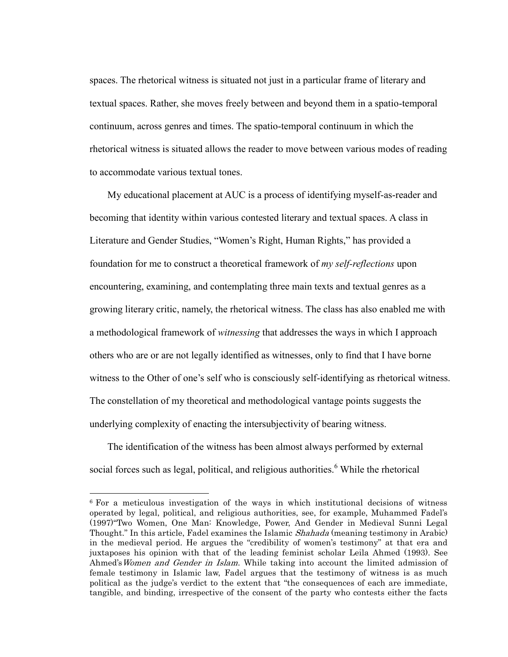spaces. The rhetorical witness is situated not just in a particular frame of literary and textual spaces. Rather, she moves freely between and beyond them in a spatio-temporal continuum, across genres and times. The spatio-temporal continuum in which the rhetorical witness is situated allows the reader to move between various modes of reading to accommodate various textual tones.

My educational placement at AUC is a process of identifying myself-as-reader and becoming that identity within various contested literary and textual spaces. A class in Literature and Gender Studies, "Women's Right, Human Rights," has provided a foundation for me to construct a theoretical framework of *my self-reflections* upon encountering, examining, and contemplating three main texts and textual genres as a growing literary critic, namely, the rhetorical witness. The class has also enabled me with a methodological framework of *witnessing* that addresses the ways in which I approach others who are or are not legally identified as witnesses, only to find that I have borne witness to the Other of one's self who is consciously self-identifying as rhetorical witness. The constellation of my theoretical and methodological vantage points suggests the underlying complexity of enacting the intersubjectivity of bearing witness.

The identification of the witness has been almost always performed by external social forces such as legal, political, and religious authorities.<sup>6</sup> While the rhetorical

<sup>6</sup> For a meticulous investigation of the ways in which institutional decisions of witness operated by legal, political, and religious authorities, see, for example, Muhammed Fadel"s (1997)"Two Women, One Man: Knowledge, Power, And Gender in Medieval Sunni Legal Thought." In this article, Fadel examines the Islamic Shahada (meaning testimony in Arabic) in the medieval period. He argues the "credibility of women's testimony" at that era and juxtaposes his opinion with that of the leading feminist scholar Leila Ahmed (1993). See Ahmed's Women and Gender in Islam. While taking into account the limited admission of female testimony in Islamic law, Fadel argues that the testimony of witness is as much political as the judge"s verdict to the extent that "the consequences of each are immediate, tangible, and binding, irrespective of the consent of the party who contests either the facts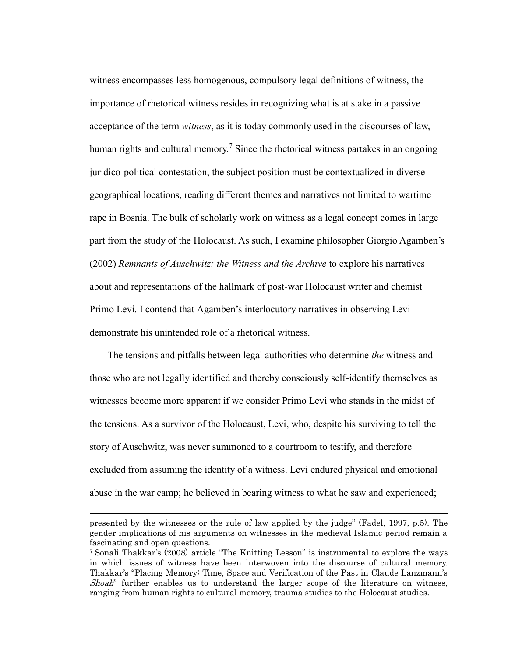witness encompasses less homogenous, compulsory legal definitions of witness, the importance of rhetorical witness resides in recognizing what is at stake in a passive acceptance of the term *witness*, as it is today commonly used in the discourses of law, human rights and cultural memory.<sup>7</sup> Since the rhetorical witness partakes in an ongoing juridico-political contestation, the subject position must be contextualized in diverse geographical locations, reading different themes and narratives not limited to wartime rape in Bosnia. The bulk of scholarly work on witness as a legal concept comes in large part from the study of the Holocaust. As such, I examine philosopher Giorgio Agamben's (2002) *Remnants of Auschwitz: the Witness and the Archive* to explore his narratives about and representations of the hallmark of post-war Holocaust writer and chemist Primo Levi. I contend that Agamben's interlocutory narratives in observing Levi demonstrate his unintended role of a rhetorical witness.

The tensions and pitfalls between legal authorities who determine *the* witness and those who are not legally identified and thereby consciously self-identify themselves as witnesses become more apparent if we consider Primo Levi who stands in the midst of the tensions. As a survivor of the Holocaust, Levi, who, despite his surviving to tell the story of Auschwitz, was never summoned to a courtroom to testify, and therefore excluded from assuming the identity of a witness. Levi endured physical and emotional abuse in the war camp; he believed in bearing witness to what he saw and experienced;

presented by the witnesses or the rule of law applied by the judge" (Fadel, 1997, p.5). The gender implications of his arguments on witnesses in the medieval Islamic period remain a fascinating and open questions.

<sup>7</sup> Sonali Thakkar"s (2008) article "The Knitting Lesson" is instrumental to explore the ways in which issues of witness have been interwoven into the discourse of cultural memory. Thakkar"s "Placing Memory: Time, Space and Verification of the Past in Claude Lanzmann"s Shoah" further enables us to understand the larger scope of the literature on witness, ranging from human rights to cultural memory, trauma studies to the Holocaust studies.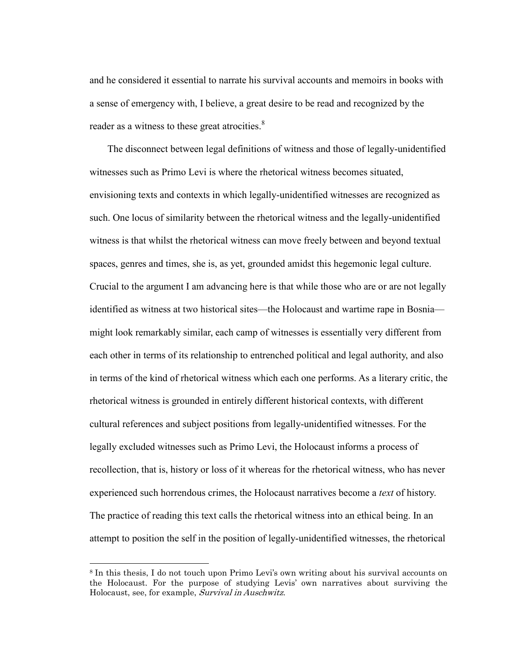and he considered it essential to narrate his survival accounts and memoirs in books with a sense of emergency with, I believe, a great desire to be read and recognized by the reader as a witness to these great atrocities.<sup>8</sup>

The disconnect between legal definitions of witness and those of legally-unidentified witnesses such as Primo Levi is where the rhetorical witness becomes situated, envisioning texts and contexts in which legally-unidentified witnesses are recognized as such. One locus of similarity between the rhetorical witness and the legally-unidentified witness is that whilst the rhetorical witness can move freely between and beyond textual spaces, genres and times, she is, as yet, grounded amidst this hegemonic legal culture. Crucial to the argument I am advancing here is that while those who are or are not legally identified as witness at two historical sites—the Holocaust and wartime rape in Bosnia might look remarkably similar, each camp of witnesses is essentially very different from each other in terms of its relationship to entrenched political and legal authority, and also in terms of the kind of rhetorical witness which each one performs. As a literary critic, the rhetorical witness is grounded in entirely different historical contexts, with different cultural references and subject positions from legally-unidentified witnesses. For the legally excluded witnesses such as Primo Levi, the Holocaust informs a process of recollection, that is, history or loss of it whereas for the rhetorical witness, who has never experienced such horrendous crimes, the Holocaust narratives become a *text* of history. The practice of reading this text calls the rhetorical witness into an ethical being. In an attempt to position the self in the position of legally-unidentified witnesses, the rhetorical

<sup>&</sup>lt;sup>8</sup> In this thesis, I do not touch upon Primo Levi's own writing about his survival accounts on the Holocaust. For the purpose of studying Levis" own narratives about surviving the Holocaust, see, for example, Survival in Auschwitz.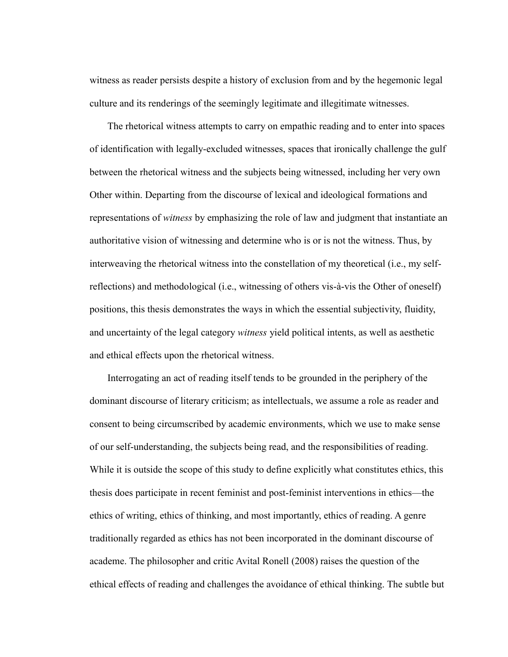witness as reader persists despite a history of exclusion from and by the hegemonic legal culture and its renderings of the seemingly legitimate and illegitimate witnesses.

The rhetorical witness attempts to carry on empathic reading and to enter into spaces of identification with legally-excluded witnesses, spaces that ironically challenge the gulf between the rhetorical witness and the subjects being witnessed, including her very own Other within. Departing from the discourse of lexical and ideological formations and representations of *witness* by emphasizing the role of law and judgment that instantiate an authoritative vision of witnessing and determine who is or is not the witness. Thus, by interweaving the rhetorical witness into the constellation of my theoretical (i.e., my selfreflections) and methodological (i.e., witnessing of others vis-à-vis the Other of oneself) positions, this thesis demonstrates the ways in which the essential subjectivity, fluidity, and uncertainty of the legal category *witness* yield political intents, as well as aesthetic and ethical effects upon the rhetorical witness.

Interrogating an act of reading itself tends to be grounded in the periphery of the dominant discourse of literary criticism; as intellectuals, we assume a role as reader and consent to being circumscribed by academic environments, which we use to make sense of our self-understanding, the subjects being read, and the responsibilities of reading. While it is outside the scope of this study to define explicitly what constitutes ethics, this thesis does participate in recent feminist and post-feminist interventions in ethics—the ethics of writing, ethics of thinking, and most importantly, ethics of reading. A genre traditionally regarded as ethics has not been incorporated in the dominant discourse of academe. The philosopher and critic Avital Ronell (2008) raises the question of the ethical effects of reading and challenges the avoidance of ethical thinking. The subtle but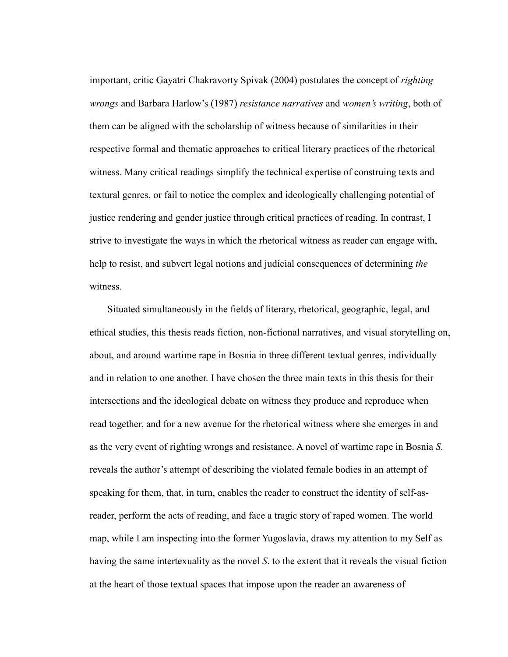important, critic Gayatri Chakravorty Spivak (2004) postulates the concept of *righting wrongs* and Barbara Harlow's (1987) *resistance narratives* and *women's writing*, both of them can be aligned with the scholarship of witness because of similarities in their respective formal and thematic approaches to critical literary practices of the rhetorical witness. Many critical readings simplify the technical expertise of construing texts and textural genres, or fail to notice the complex and ideologically challenging potential of justice rendering and gender justice through critical practices of reading. In contrast, I strive to investigate the ways in which the rhetorical witness as reader can engage with, help to resist, and subvert legal notions and judicial consequences of determining *the* witness.

Situated simultaneously in the fields of literary, rhetorical, geographic, legal, and ethical studies, this thesis reads fiction, non-fictional narratives, and visual storytelling on, about, and around wartime rape in Bosnia in three different textual genres, individually and in relation to one another. I have chosen the three main texts in this thesis for their intersections and the ideological debate on witness they produce and reproduce when read together, and for a new avenue for the rhetorical witness where she emerges in and as the very event of righting wrongs and resistance. A novel of wartime rape in Bosnia *S.*  reveals the author's attempt of describing the violated female bodies in an attempt of speaking for them, that, in turn, enables the reader to construct the identity of self-asreader, perform the acts of reading, and face a tragic story of raped women. The world map, while I am inspecting into the former Yugoslavia, draws my attention to my Self as having the same intertexuality as the novel *S*. to the extent that it reveals the visual fiction at the heart of those textual spaces that impose upon the reader an awareness of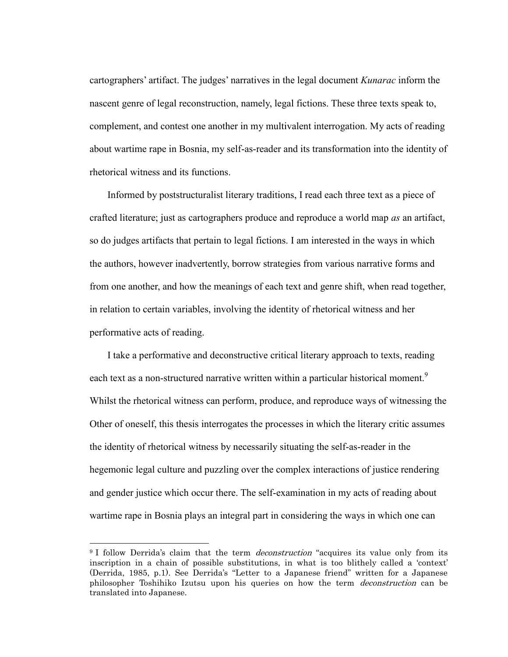cartographers' artifact. The judges' narratives in the legal document *Kunarac* inform the nascent genre of legal reconstruction, namely, legal fictions. These three texts speak to, complement, and contest one another in my multivalent interrogation. My acts of reading about wartime rape in Bosnia, my self-as-reader and its transformation into the identity of rhetorical witness and its functions.

Informed by poststructuralist literary traditions, I read each three text as a piece of crafted literature; just as cartographers produce and reproduce a world map *as* an artifact, so do judges artifacts that pertain to legal fictions. I am interested in the ways in which the authors, however inadvertently, borrow strategies from various narrative forms and from one another, and how the meanings of each text and genre shift, when read together, in relation to certain variables, involving the identity of rhetorical witness and her performative acts of reading.

I take a performative and deconstructive critical literary approach to texts, reading each text as a non-structured narrative written within a particular historical moment.<sup>9</sup> Whilst the rhetorical witness can perform, produce, and reproduce ways of witnessing the Other of oneself, this thesis interrogates the processes in which the literary critic assumes the identity of rhetorical witness by necessarily situating the self-as-reader in the hegemonic legal culture and puzzling over the complex interactions of justice rendering and gender justice which occur there. The self-examination in my acts of reading about wartime rape in Bosnia plays an integral part in considering the ways in which one can

<sup>&</sup>lt;sup>9</sup> I follow Derrida's claim that the term *deconstruction* "acquires its value only from its inscription in a chain of possible substitutions, in what is too blithely called a "context" (Derrida, 1985, p.1). See Derrida's "Letter to a Japanese friend" written for a Japanese philosopher Toshihiko Izutsu upon his queries on how the term deconstruction can be translated into Japanese.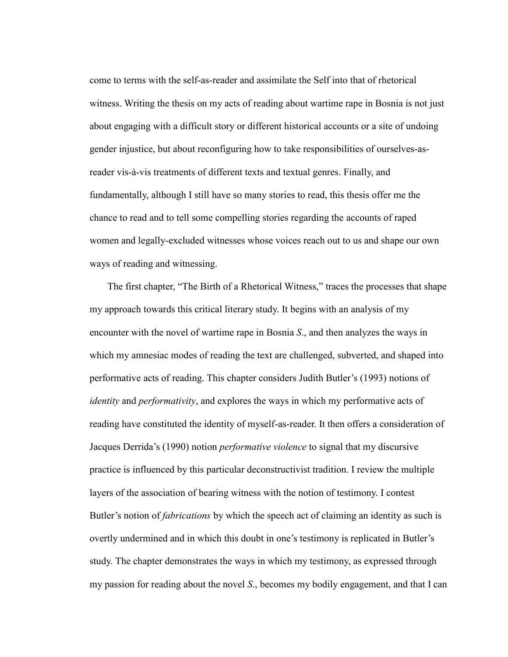come to terms with the self-as-reader and assimilate the Self into that of rhetorical witness. Writing the thesis on my acts of reading about wartime rape in Bosnia is not just about engaging with a difficult story or different historical accounts or a site of undoing gender injustice, but about reconfiguring how to take responsibilities of ourselves-asreader vis-à-vis treatments of different texts and textual genres. Finally, and fundamentally, although I still have so many stories to read, this thesis offer me the chance to read and to tell some compelling stories regarding the accounts of raped women and legally-excluded witnesses whose voices reach out to us and shape our own ways of reading and witnessing.

The first chapter, "The Birth of a Rhetorical Witness," traces the processes that shape my approach towards this critical literary study. It begins with an analysis of my encounter with the novel of wartime rape in Bosnia *S*., and then analyzes the ways in which my amnesiac modes of reading the text are challenged, subverted, and shaped into performative acts of reading. This chapter considers Judith Butler's (1993) notions of *identity* and *performativity*, and explores the ways in which my performative acts of reading have constituted the identity of myself-as-reader. It then offers a consideration of Jacques Derrida's (1990) notion *performative violence* to signal that my discursive practice is influenced by this particular deconstructivist tradition. I review the multiple layers of the association of bearing witness with the notion of testimony. I contest Butler's notion of *fabrications* by which the speech act of claiming an identity as such is overtly undermined and in which this doubt in one's testimony is replicated in Butler's study. The chapter demonstrates the ways in which my testimony, as expressed through my passion for reading about the novel *S*., becomes my bodily engagement, and that I can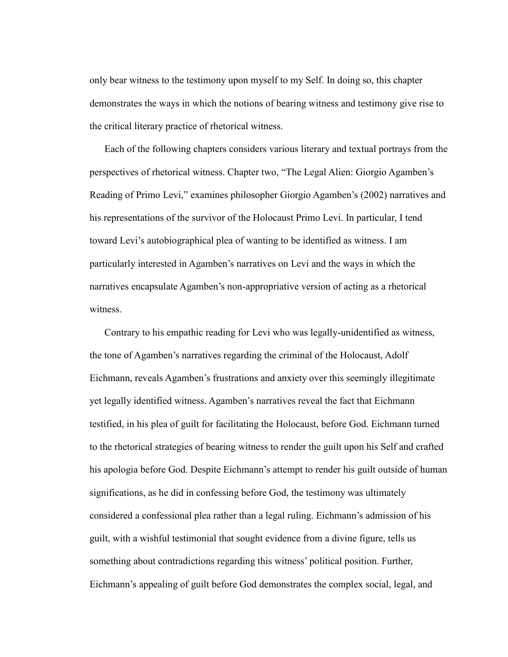only bear witness to the testimony upon myself to my Self. In doing so, this chapter demonstrates the ways in which the notions of bearing witness and testimony give rise to the critical literary practice of rhetorical witness.

Each of the following chapters considers various literary and textual portrays from the perspectives of rhetorical witness. Chapter two, "The Legal Alien: Giorgio Agamben's Reading of Primo Levi," examines philosopher Giorgio Agamben's (2002) narratives and his representations of the survivor of the Holocaust Primo Levi. In particular, I tend toward Levi's autobiographical plea of wanting to be identified as witness. I am particularly interested in Agamben's narratives on Levi and the ways in which the narratives encapsulate Agamben's non-appropriative version of acting as a rhetorical witness.

Contrary to his empathic reading for Levi who was legally-unidentified as witness, the tone of Agamben's narratives regarding the criminal of the Holocaust, Adolf Eichmann, reveals Agamben's frustrations and anxiety over this seemingly illegitimate yet legally identified witness. Agamben's narratives reveal the fact that Eichmann testified, in his plea of guilt for facilitating the Holocaust, before God. Eichmann turned to the rhetorical strategies of bearing witness to render the guilt upon his Self and crafted his apologia before God. Despite Eichmann's attempt to render his guilt outside of human significations, as he did in confessing before God, the testimony was ultimately considered a confessional plea rather than a legal ruling. Eichmann's admission of his guilt, with a wishful testimonial that sought evidence from a divine figure, tells us something about contradictions regarding this witness' political position. Further, Eichmann's appealing of guilt before God demonstrates the complex social, legal, and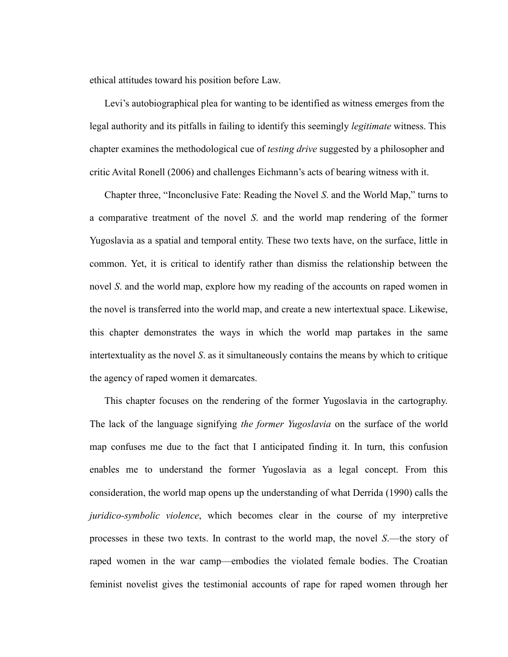ethical attitudes toward his position before Law.

Levi's autobiographical plea for wanting to be identified as witness emerges from the legal authority and its pitfalls in failing to identify this seemingly *legitimate* witness. This chapter examines the methodological cue of *testing drive* suggested by a philosopher and critic Avital Ronell (2006) and challenges Eichmann's acts of bearing witness with it.

Chapter three, "Inconclusive Fate: Reading the Novel *S*. and the World Map," turns to a comparative treatment of the novel *S*. and the world map rendering of the former Yugoslavia as a spatial and temporal entity. These two texts have, on the surface, little in common. Yet, it is critical to identify rather than dismiss the relationship between the novel *S*. and the world map, explore how my reading of the accounts on raped women in the novel is transferred into the world map, and create a new intertextual space. Likewise, this chapter demonstrates the ways in which the world map partakes in the same intertextuality as the novel *S*. as it simultaneously contains the means by which to critique the agency of raped women it demarcates.

This chapter focuses on the rendering of the former Yugoslavia in the cartography. The lack of the language signifying *the former Yugoslavia* on the surface of the world map confuses me due to the fact that I anticipated finding it. In turn, this confusion enables me to understand the former Yugoslavia as a legal concept. From this consideration, the world map opens up the understanding of what Derrida (1990) calls the *juridico-symbolic violence*, which becomes clear in the course of my interpretive processes in these two texts. In contrast to the world map, the novel *S*.—the story of raped women in the war camp—embodies the violated female bodies. The Croatian feminist novelist gives the testimonial accounts of rape for raped women through her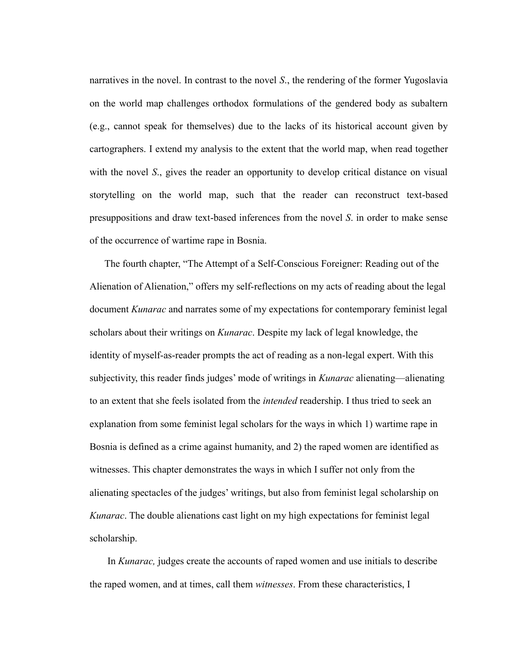narratives in the novel. In contrast to the novel *S*., the rendering of the former Yugoslavia on the world map challenges orthodox formulations of the gendered body as subaltern (e.g., cannot speak for themselves) due to the lacks of its historical account given by cartographers. I extend my analysis to the extent that the world map, when read together with the novel *S*., gives the reader an opportunity to develop critical distance on visual storytelling on the world map, such that the reader can reconstruct text-based presuppositions and draw text-based inferences from the novel *S*. in order to make sense of the occurrence of wartime rape in Bosnia.

The fourth chapter, "The Attempt of a Self-Conscious Foreigner: Reading out of the Alienation of Alienation," offers my self-reflections on my acts of reading about the legal document *Kunarac* and narrates some of my expectations for contemporary feminist legal scholars about their writings on *Kunarac*. Despite my lack of legal knowledge, the identity of myself-as-reader prompts the act of reading as a non-legal expert. With this subjectivity, this reader finds judges' mode of writings in *Kunarac* alienating—alienating to an extent that she feels isolated from the *intended* readership. I thus tried to seek an explanation from some feminist legal scholars for the ways in which 1) wartime rape in Bosnia is defined as a crime against humanity, and 2) the raped women are identified as witnesses. This chapter demonstrates the ways in which I suffer not only from the alienating spectacles of the judges' writings, but also from feminist legal scholarship on *Kunarac*. The double alienations cast light on my high expectations for feminist legal scholarship.

In *Kunarac,* judges create the accounts of raped women and use initials to describe the raped women, and at times, call them *witnesses*. From these characteristics, I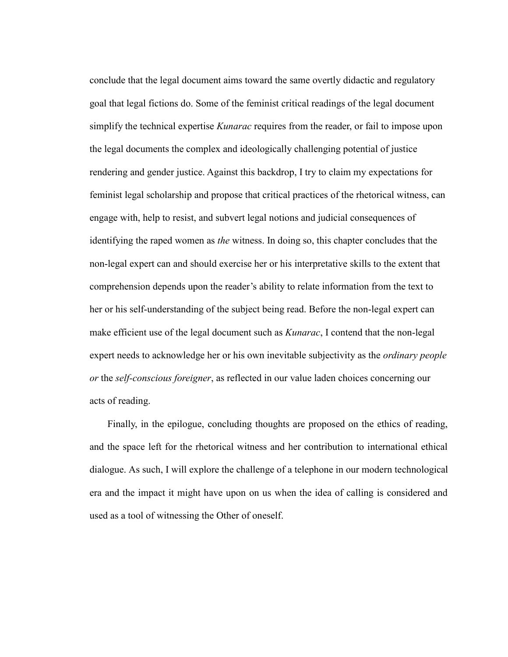conclude that the legal document aims toward the same overtly didactic and regulatory goal that legal fictions do. Some of the feminist critical readings of the legal document simplify the technical expertise *Kunarac* requires from the reader, or fail to impose upon the legal documents the complex and ideologically challenging potential of justice rendering and gender justice. Against this backdrop, I try to claim my expectations for feminist legal scholarship and propose that critical practices of the rhetorical witness, can engage with, help to resist, and subvert legal notions and judicial consequences of identifying the raped women as *the* witness. In doing so, this chapter concludes that the non-legal expert can and should exercise her or his interpretative skills to the extent that comprehension depends upon the reader's ability to relate information from the text to her or his self-understanding of the subject being read. Before the non-legal expert can make efficient use of the legal document such as *Kunarac*, I contend that the non-legal expert needs to acknowledge her or his own inevitable subjectivity as the *ordinary people or* the *self-conscious foreigner*, as reflected in our value laden choices concerning our acts of reading.

Finally, in the epilogue, concluding thoughts are proposed on the ethics of reading, and the space left for the rhetorical witness and her contribution to international ethical dialogue. As such, I will explore the challenge of a telephone in our modern technological era and the impact it might have upon on us when the idea of calling is considered and used as a tool of witnessing the Other of oneself.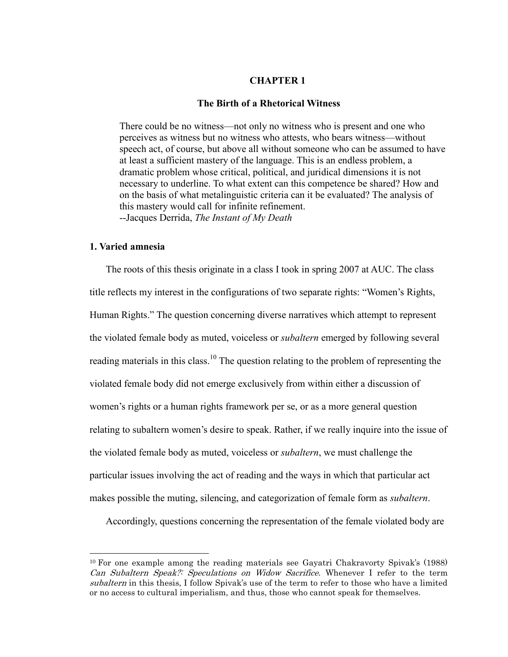### **CHAPTER 1**

### **The Birth of a Rhetorical Witness**

There could be no witness—not only no witness who is present and one who perceives as witness but no witness who attests, who bears witness—without speech act, of course, but above all without someone who can be assumed to have at least a sufficient mastery of the language. This is an endless problem, a dramatic problem whose critical, political, and juridical dimensions it is not necessary to underline. To what extent can this competence be shared? How and on the basis of what metalinguistic criteria can it be evaluated? The analysis of this mastery would call for infinite refinement. --Jacques Derrida, *The Instant of My Death*

# **1. Varied amnesia**

 $\overline{a}$ 

The roots of this thesis originate in a class I took in spring 2007 at AUC. The class title reflects my interest in the configurations of two separate rights: "Women's Rights, Human Rights." The question concerning diverse narratives which attempt to represent the violated female body as muted, voiceless or *subaltern* emerged by following several reading materials in this class.<sup>10</sup> The question relating to the problem of representing the violated female body did not emerge exclusively from within either a discussion of women's rights or a human rights framework per se, or as a more general question relating to subaltern women's desire to speak. Rather, if we really inquire into the issue of the violated female body as muted, voiceless or *subaltern*, we must challenge the particular issues involving the act of reading and the ways in which that particular act makes possible the muting, silencing, and categorization of female form as *subaltern*.

Accordingly, questions concerning the representation of the female violated body are

 $10$  For one example among the reading materials see Gayatri Chakravorty Spivak's (1988) Can Subaltern Speak?: Speculations on Widow Sacrifice. Whenever I refer to the term subaltern in this thesis, I follow Spivak's use of the term to refer to those who have a limited or no access to cultural imperialism, and thus, those who cannot speak for themselves.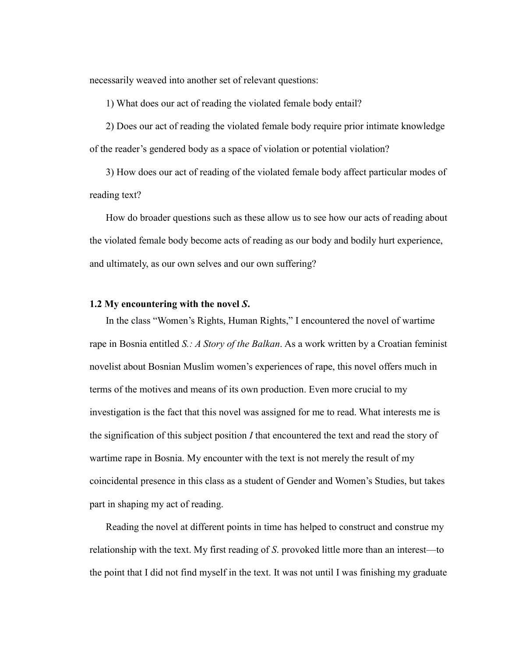necessarily weaved into another set of relevant questions:

1) What does our act of reading the violated female body entail?

2) Does our act of reading the violated female body require prior intimate knowledge of the reader's gendered body as a space of violation or potential violation?

3) How does our act of reading of the violated female body affect particular modes of reading text?

How do broader questions such as these allow us to see how our acts of reading about the violated female body become acts of reading as our body and bodily hurt experience, and ultimately, as our own selves and our own suffering?

### **1.2 My encountering with the novel** *S***.**

In the class "Women's Rights, Human Rights," I encountered the novel of wartime rape in Bosnia entitled *S.: A Story of the Balkan*. As a work written by a Croatian feminist novelist about Bosnian Muslim women's experiences of rape, this novel offers much in terms of the motives and means of its own production. Even more crucial to my investigation is the fact that this novel was assigned for me to read. What interests me is the signification of this subject position *I* that encountered the text and read the story of wartime rape in Bosnia. My encounter with the text is not merely the result of my coincidental presence in this class as a student of Gender and Women's Studies, but takes part in shaping my act of reading.

Reading the novel at different points in time has helped to construct and construe my relationship with the text. My first reading of *S*. provoked little more than an interest—to the point that I did not find myself in the text. It was not until I was finishing my graduate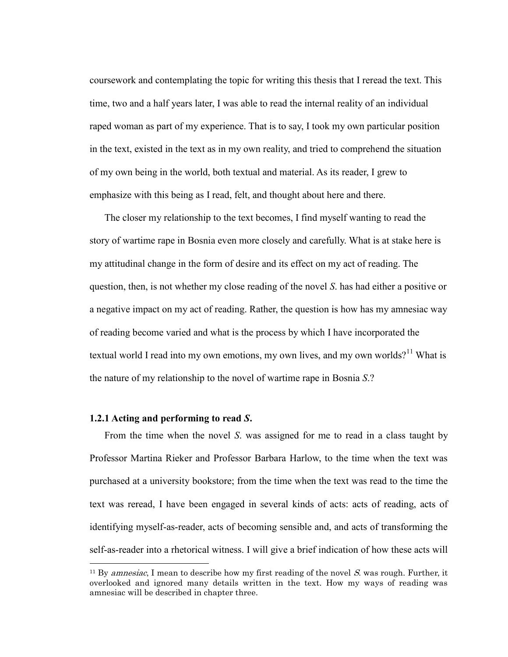coursework and contemplating the topic for writing this thesis that I reread the text. This time, two and a half years later, I was able to read the internal reality of an individual raped woman as part of my experience. That is to say, I took my own particular position in the text, existed in the text as in my own reality, and tried to comprehend the situation of my own being in the world, both textual and material. As its reader, I grew to emphasize with this being as I read, felt, and thought about here and there.

The closer my relationship to the text becomes, I find myself wanting to read the story of wartime rape in Bosnia even more closely and carefully. What is at stake here is my attitudinal change in the form of desire and its effect on my act of reading. The question, then, is not whether my close reading of the novel *S*. has had either a positive or a negative impact on my act of reading. Rather, the question is how has my amnesiac way of reading become varied and what is the process by which I have incorporated the textual world I read into my own emotions, my own lives, and my own worlds?<sup>11</sup> What is the nature of my relationship to the novel of wartime rape in Bosnia *S*.?

#### **1.2.1 Acting and performing to read** *S***.**

 $\overline{a}$ 

From the time when the novel *S*. was assigned for me to read in a class taught by Professor Martina Rieker and Professor Barbara Harlow, to the time when the text was purchased at a university bookstore; from the time when the text was read to the time the text was reread, I have been engaged in several kinds of acts: acts of reading, acts of identifying myself-as-reader, acts of becoming sensible and, and acts of transforming the self-as-reader into a rhetorical witness. I will give a brief indication of how these acts will

<sup>&</sup>lt;sup>11</sup> By *amnesiac*, I mean to describe how my first reading of the novel S, was rough. Further, it overlooked and ignored many details written in the text. How my ways of reading was amnesiac will be described in chapter three.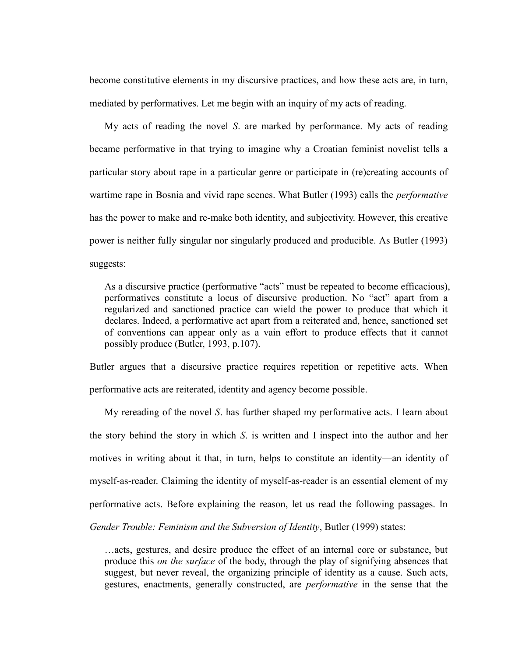become constitutive elements in my discursive practices, and how these acts are, in turn, mediated by performatives. Let me begin with an inquiry of my acts of reading.

My acts of reading the novel *S*. are marked by performance. My acts of reading became performative in that trying to imagine why a Croatian feminist novelist tells a particular story about rape in a particular genre or participate in (re)creating accounts of wartime rape in Bosnia and vivid rape scenes. What Butler (1993) calls the *performative* has the power to make and re-make both identity, and subjectivity. However, this creative power is neither fully singular nor singularly produced and producible. As Butler (1993) suggests:

As a discursive practice (performative "acts" must be repeated to become efficacious), performatives constitute a locus of discursive production. No "act" apart from a regularized and sanctioned practice can wield the power to produce that which it declares. Indeed, a performative act apart from a reiterated and, hence, sanctioned set of conventions can appear only as a vain effort to produce effects that it cannot possibly produce (Butler, 1993, p.107).

Butler argues that a discursive practice requires repetition or repetitive acts. When performative acts are reiterated, identity and agency become possible.

My rereading of the novel *S*. has further shaped my performative acts. I learn about the story behind the story in which *S*. is written and I inspect into the author and her motives in writing about it that, in turn, helps to constitute an identity—an identity of myself-as-reader. Claiming the identity of myself-as-reader is an essential element of my performative acts. Before explaining the reason, let us read the following passages. In *Gender Trouble: Feminism and the Subversion of Identity*, Butler (1999) states:

…acts, gestures, and desire produce the effect of an internal core or substance, but produce this *on the surface* of the body, through the play of signifying absences that suggest, but never reveal, the organizing principle of identity as a cause. Such acts, gestures, enactments, generally constructed, are *performative* in the sense that the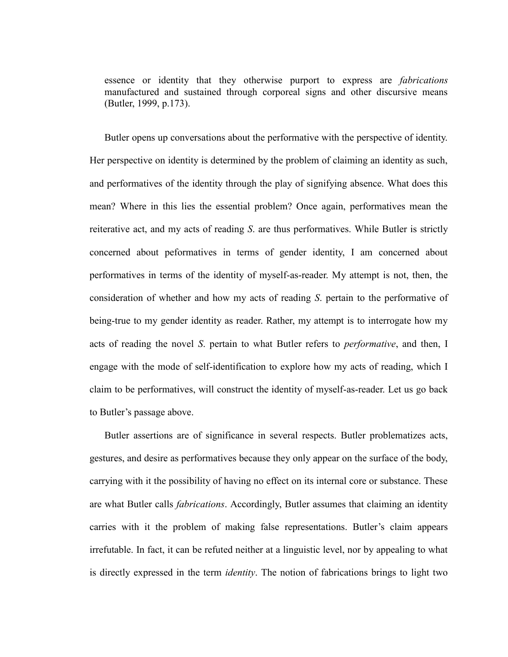essence or identity that they otherwise purport to express are *fabrications* manufactured and sustained through corporeal signs and other discursive means (Butler, 1999, p.173).

Butler opens up conversations about the performative with the perspective of identity. Her perspective on identity is determined by the problem of claiming an identity as such, and performatives of the identity through the play of signifying absence. What does this mean? Where in this lies the essential problem? Once again, performatives mean the reiterative act, and my acts of reading *S*. are thus performatives. While Butler is strictly concerned about peformatives in terms of gender identity, I am concerned about performatives in terms of the identity of myself-as-reader. My attempt is not, then, the consideration of whether and how my acts of reading *S*. pertain to the performative of being-true to my gender identity as reader. Rather, my attempt is to interrogate how my acts of reading the novel *S*. pertain to what Butler refers to *performative*, and then, I engage with the mode of self-identification to explore how my acts of reading, which I claim to be performatives, will construct the identity of myself-as-reader. Let us go back to Butler's passage above.

Butler assertions are of significance in several respects. Butler problematizes acts, gestures, and desire as performatives because they only appear on the surface of the body, carrying with it the possibility of having no effect on its internal core or substance. These are what Butler calls *fabrications*. Accordingly, Butler assumes that claiming an identity carries with it the problem of making false representations. Butler's claim appears irrefutable. In fact, it can be refuted neither at a linguistic level, nor by appealing to what is directly expressed in the term *identity*. The notion of fabrications brings to light two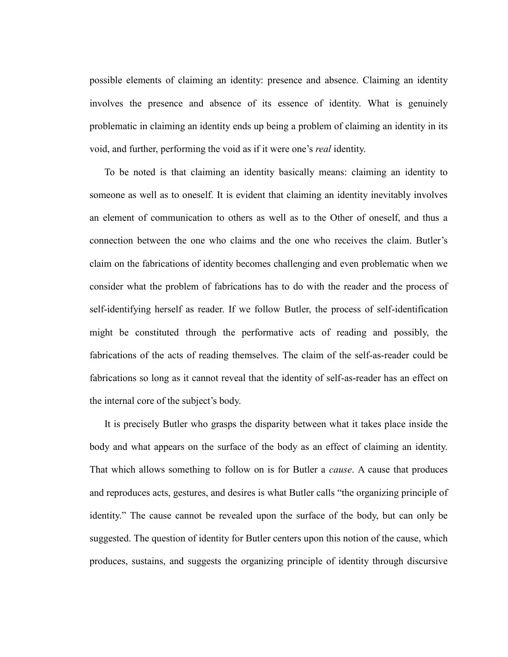possible elements of claiming an identity: presence and absence. Claiming an identity involves the presence and absence of its essence of identity. What is genuinely problematic in claiming an identity ends up being a problem of claiming an identity in its void, and further, performing the void as if it were one's *real* identity.

To be noted is that claiming an identity basically means: claiming an identity to someone as well as to oneself. It is evident that claiming an identity inevitably involves an element of communication to others as well as to the Other of oneself, and thus a connection between the one who claims and the one who receives the claim. Butler's claim on the fabrications of identity becomes challenging and even problematic when we consider what the problem of fabrications has to do with the reader and the process of self-identifying herself as reader. If we follow Butler, the process of self-identification might be constituted through the performative acts of reading and possibly, the fabrications of the acts of reading themselves. The claim of the self-as-reader could be fabrications so long as it cannot reveal that the identity of self-as-reader has an effect on the internal core of the subject's body.

It is precisely Butler who grasps the disparity between what it takes place inside the body and what appears on the surface of the body as an effect of claiming an identity. That which allows something to follow on is for Butler a *cause*. A cause that produces and reproduces acts, gestures, and desires is what Butler calls "the organizing principle of identity." The cause cannot be revealed upon the surface of the body, but can only be suggested. The question of identity for Butler centers upon this notion of the cause, which produces, sustains, and suggests the organizing principle of identity through discursive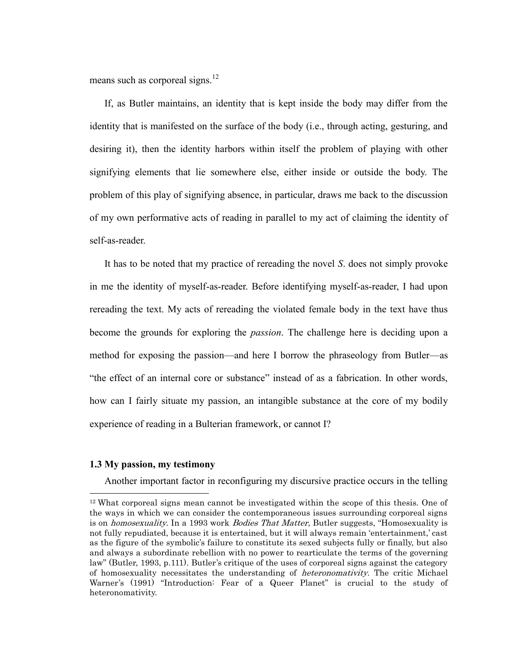means such as corporeal signs. $^{12}$ 

If, as Butler maintains, an identity that is kept inside the body may differ from the identity that is manifested on the surface of the body (i.e., through acting, gesturing, and desiring it), then the identity harbors within itself the problem of playing with other signifying elements that lie somewhere else, either inside or outside the body. The problem of this play of signifying absence, in particular, draws me back to the discussion of my own performative acts of reading in parallel to my act of claiming the identity of self-as-reader.

It has to be noted that my practice of rereading the novel *S*. does not simply provoke in me the identity of myself-as-reader. Before identifying myself-as-reader, I had upon rereading the text. My acts of rereading the violated female body in the text have thus become the grounds for exploring the *passion*. The challenge here is deciding upon a method for exposing the passion—and here I borrow the phraseology from Butler—as ―the effect of an internal core or substance‖ instead of as a fabrication. In other words, how can I fairly situate my passion, an intangible substance at the core of my bodily experience of reading in a Bulterian framework, or cannot I?

### **1.3 My passion, my testimony**

 $\overline{a}$ 

Another important factor in reconfiguring my discursive practice occurs in the telling

<sup>12</sup> What corporeal signs mean cannot be investigated within the scope of this thesis. One of the ways in which we can consider the contemporaneous issues surrounding corporeal signs is on *homosexuality*. In a 1993 work *Bodies That Matter*, Butler suggests, "Homosexuality is not fully repudiated, because it is entertained, but it will always remain 'entertainment,' cast as the figure of the symbolic's failure to constitute its sexed subjects fully or finally, but also and always a subordinate rebellion with no power to rearticulate the terms of the governing law" (Butler, 1993, p.111). Butler"s critique of the uses of corporeal signs against the category of homosexuality necessitates the understanding of *heteronomativity*. The critic Michael Warner's (1991) "Introduction: Fear of a Queer Planet" is crucial to the study of heteronomativity.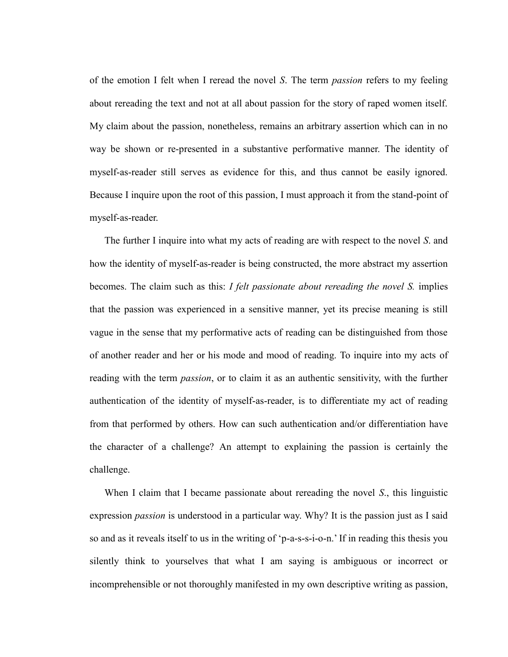of the emotion I felt when I reread the novel *S*. The term *passion* refers to my feeling about rereading the text and not at all about passion for the story of raped women itself. My claim about the passion, nonetheless, remains an arbitrary assertion which can in no way be shown or re-presented in a substantive performative manner. The identity of myself-as-reader still serves as evidence for this, and thus cannot be easily ignored. Because I inquire upon the root of this passion, I must approach it from the stand-point of myself-as-reader.

The further I inquire into what my acts of reading are with respect to the novel *S*. and how the identity of myself-as-reader is being constructed, the more abstract my assertion becomes. The claim such as this: *I felt passionate about rereading the novel S.* implies that the passion was experienced in a sensitive manner, yet its precise meaning is still vague in the sense that my performative acts of reading can be distinguished from those of another reader and her or his mode and mood of reading. To inquire into my acts of reading with the term *passion*, or to claim it as an authentic sensitivity, with the further authentication of the identity of myself-as-reader, is to differentiate my act of reading from that performed by others. How can such authentication and/or differentiation have the character of a challenge? An attempt to explaining the passion is certainly the challenge.

When I claim that I became passionate about rereading the novel *S*., this linguistic expression *passion* is understood in a particular way. Why? It is the passion just as I said so and as it reveals itself to us in the writing of  $p-a-s-s-i-o-n$ . If in reading this thesis you silently think to yourselves that what I am saying is ambiguous or incorrect or incomprehensible or not thoroughly manifested in my own descriptive writing as passion,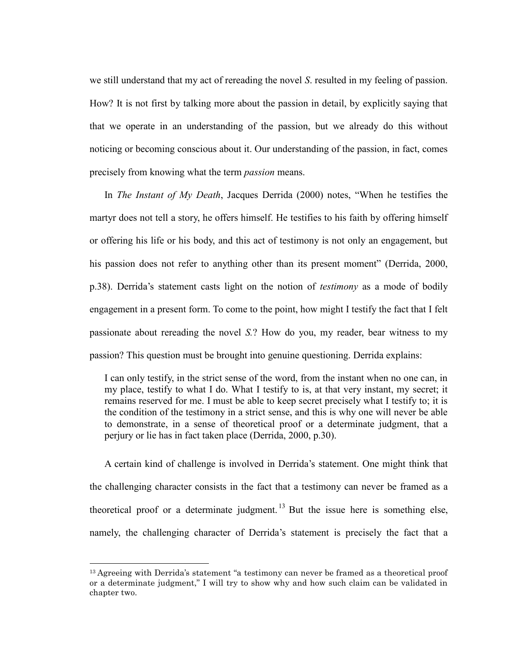we still understand that my act of rereading the novel *S*. resulted in my feeling of passion. How? It is not first by talking more about the passion in detail, by explicitly saying that that we operate in an understanding of the passion, but we already do this without noticing or becoming conscious about it. Our understanding of the passion, in fact, comes precisely from knowing what the term *passion* means.

In *The Instant of My Death*, Jacques Derrida (2000) notes, "When he testifies the martyr does not tell a story, he offers himself. He testifies to his faith by offering himself or offering his life or his body, and this act of testimony is not only an engagement, but his passion does not refer to anything other than its present moment" (Derrida, 2000, p.38). Derrida's statement casts light on the notion of *testimony* as a mode of bodily engagement in a present form. To come to the point, how might I testify the fact that I felt passionate about rereading the novel *S.*? How do you, my reader, bear witness to my passion? This question must be brought into genuine questioning. Derrida explains:

I can only testify, in the strict sense of the word, from the instant when no one can, in my place, testify to what I do. What I testify to is, at that very instant, my secret; it remains reserved for me. I must be able to keep secret precisely what I testify to; it is the condition of the testimony in a strict sense, and this is why one will never be able to demonstrate, in a sense of theoretical proof or a determinate judgment, that a perjury or lie has in fact taken place (Derrida, 2000, p.30).

A certain kind of challenge is involved in Derrida's statement. One might think that the challenging character consists in the fact that a testimony can never be framed as a theoretical proof or a determinate judgment. <sup>13</sup> But the issue here is something else, namely, the challenging character of Derrida's statement is precisely the fact that a

 $\overline{a}$ 

<sup>&</sup>lt;sup>13</sup> Agreeing with Derrida's statement "a testimony can never be framed as a theoretical proof or a determinate judgment," I will try to show why and how such claim can be validated in chapter two.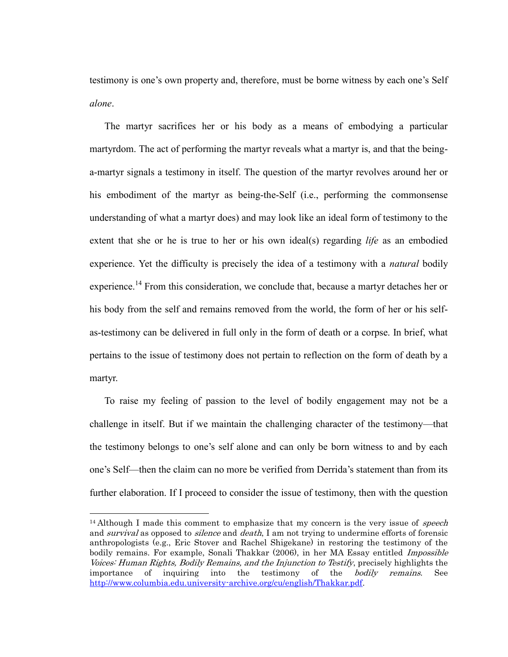testimony is one's own property and, therefore, must be borne witness by each one's Self *alone*.

The martyr sacrifices her or his body as a means of embodying a particular martyrdom. The act of performing the martyr reveals what a martyr is, and that the beinga-martyr signals a testimony in itself. The question of the martyr revolves around her or his embodiment of the martyr as being-the-Self (i.e., performing the commonsense understanding of what a martyr does) and may look like an ideal form of testimony to the extent that she or he is true to her or his own ideal(s) regarding *life* as an embodied experience. Yet the difficulty is precisely the idea of a testimony with a *natural* bodily experience.<sup>14</sup> From this consideration, we conclude that, because a martyr detaches her or his body from the self and remains removed from the world, the form of her or his selfas-testimony can be delivered in full only in the form of death or a corpse. In brief, what pertains to the issue of testimony does not pertain to reflection on the form of death by a martyr.

To raise my feeling of passion to the level of bodily engagement may not be a challenge in itself. But if we maintain the challenging character of the testimony—that the testimony belongs to one's self alone and can only be born witness to and by each one's Self—then the claim can no more be verified from Derrida's statement than from its further elaboration. If I proceed to consider the issue of testimony, then with the question

 $\overline{a}$ 

<sup>&</sup>lt;sup>14</sup> Although I made this comment to emphasize that my concern is the very issue of *speech* and *survival* as opposed to *silence* and *death*, I am not trying to undermine efforts of forensic anthropologists (e.g., Eric Stover and Rachel Shigekane) in restoring the testimony of the bodily remains. For example, Sonali Thakkar (2006), in her MA Essay entitled *Impossible* Voices: Human Rights, Bodily Remains, and the Injunction to Testify, precisely highlights the importance of inquiring into the testimony of the *bodily remains*. See [http://www.columbia.edu.university-archive.org/cu/english/Thakkar.pdf.](http://www.columbia.edu.university-archive.org/cu/english/Thakkar.pdf)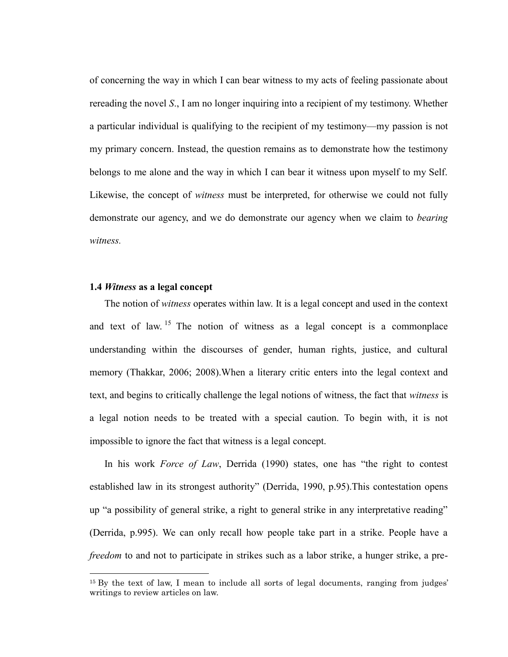of concerning the way in which I can bear witness to my acts of feeling passionate about rereading the novel *S*., I am no longer inquiring into a recipient of my testimony. Whether a particular individual is qualifying to the recipient of my testimony—my passion is not my primary concern. Instead, the question remains as to demonstrate how the testimony belongs to me alone and the way in which I can bear it witness upon myself to my Self. Likewise, the concept of *witness* must be interpreted, for otherwise we could not fully demonstrate our agency, and we do demonstrate our agency when we claim to *bearing witness.*

# **1.4** *Witness* **as a legal concept**

 $\overline{a}$ 

The notion of *witness* operates within law. It is a legal concept and used in the context and text of law. <sup>15</sup> The notion of witness as a legal concept is a commonplace understanding within the discourses of gender, human rights, justice, and cultural memory (Thakkar, 2006; 2008).When a literary critic enters into the legal context and text, and begins to critically challenge the legal notions of witness, the fact that *witness* is a legal notion needs to be treated with a special caution. To begin with, it is not impossible to ignore the fact that witness is a legal concept.

In his work *Force of Law*, Derrida (1990) states, one has "the right to contest established law in its strongest authority" (Derrida, 1990, p.95). This contestation opens up "a possibility of general strike, a right to general strike in any interpretative reading" (Derrida, p.995). We can only recall how people take part in a strike. People have a *freedom* to and not to participate in strikes such as a labor strike, a hunger strike, a pre-

<sup>&</sup>lt;sup>15</sup> By the text of law, I mean to include all sorts of legal documents, ranging from judges' writings to review articles on law.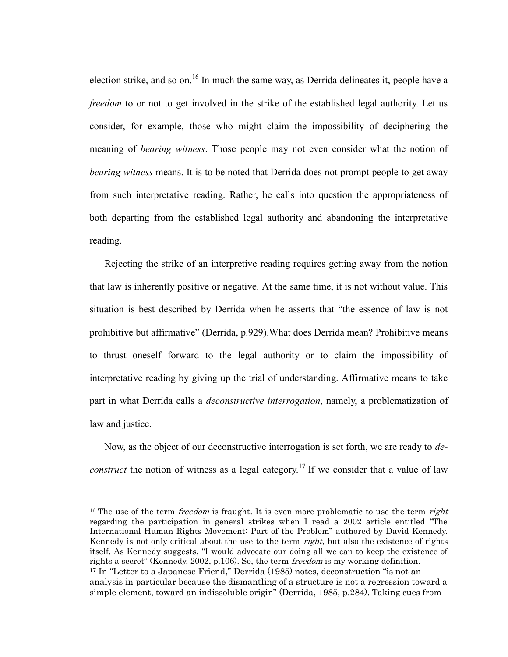election strike, and so on.<sup>16</sup> In much the same way, as Derrida delineates it, people have a *freedom* to or not to get involved in the strike of the established legal authority. Let us consider, for example, those who might claim the impossibility of deciphering the meaning of *bearing witness*. Those people may not even consider what the notion of *bearing witness* means. It is to be noted that Derrida does not prompt people to get away from such interpretative reading. Rather, he calls into question the appropriateness of both departing from the established legal authority and abandoning the interpretative reading.

Rejecting the strike of an interpretive reading requires getting away from the notion that law is inherently positive or negative. At the same time, it is not without value. This situation is best described by Derrida when he asserts that "the essence of law is not prohibitive but affirmative" (Derrida, p.929). What does Derrida mean? Prohibitive means to thrust oneself forward to the legal authority or to claim the impossibility of interpretative reading by giving up the trial of understanding. Affirmative means to take part in what Derrida calls a *deconstructive interrogation*, namely, a problematization of law and justice.

Now, as the object of our deconstructive interrogation is set forth, we are ready to *deconstruct* the notion of witness as a legal category.<sup>17</sup> If we consider that a value of law

 $\overline{a}$ 

<sup>&</sup>lt;sup>16</sup> The use of the term *freedom* is fraught. It is even more problematic to use the term *right* regarding the participation in general strikes when I read a 2002 article entitled "The International Human Rights Movement: Part of the Problem" authored by David Kennedy. Kennedy is not only critical about the use to the term *right*, but also the existence of rights itself. As Kennedy suggests, "I would advocate our doing all we can to keep the existence of rights a secret" (Kennedy, 2002, p.106). So, the term *freedom* is my working definition. <sup>17</sup> In "Letter to a Japanese Friend," Derrida (1985) notes, deconstruction "is not an analysis in particular because the dismantling of a structure is not a regression toward a simple element, toward an indissoluble origin" (Derrida, 1985, p.284). Taking cues from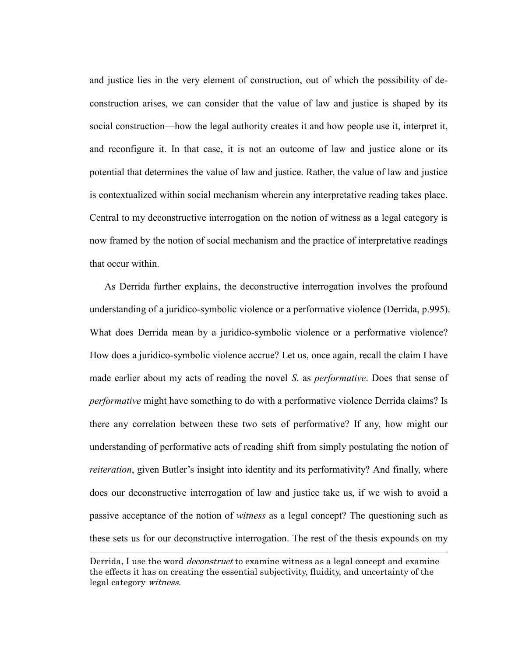and justice lies in the very element of construction, out of which the possibility of deconstruction arises, we can consider that the value of law and justice is shaped by its social construction—how the legal authority creates it and how people use it, interpret it, and reconfigure it. In that case, it is not an outcome of law and justice alone or its potential that determines the value of law and justice. Rather, the value of law and justice is contextualized within social mechanism wherein any interpretative reading takes place. Central to my deconstructive interrogation on the notion of witness as a legal category is now framed by the notion of social mechanism and the practice of interpretative readings that occur within.

As Derrida further explains, the deconstructive interrogation involves the profound understanding of a juridico-symbolic violence or a performative violence (Derrida, p.995). What does Derrida mean by a juridico-symbolic violence or a performative violence? How does a juridico-symbolic violence accrue? Let us, once again, recall the claim I have made earlier about my acts of reading the novel *S*. as *performative*. Does that sense of *performative* might have something to do with a performative violence Derrida claims? Is there any correlation between these two sets of performative? If any, how might our understanding of performative acts of reading shift from simply postulating the notion of *reiteration*, given Butler's insight into identity and its performativity? And finally, where does our deconstructive interrogation of law and justice take us, if we wish to avoid a passive acceptance of the notion of *witness* as a legal concept? The questioning such as these sets us for our deconstructive interrogation. The rest of the thesis expounds on my

 $\overline{a}$ 

Derrida, I use the word *deconstruct* to examine witness as a legal concept and examine the effects it has on creating the essential subjectivity, fluidity, and uncertainty of the legal category witness.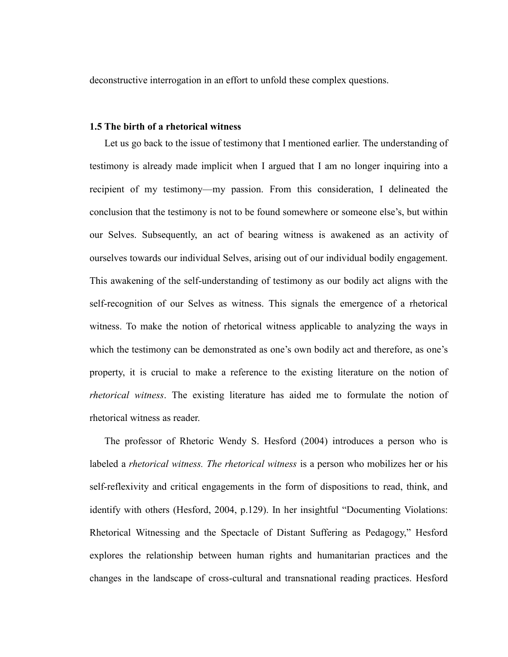deconstructive interrogation in an effort to unfold these complex questions.

## **1.5 The birth of a rhetorical witness**

Let us go back to the issue of testimony that I mentioned earlier. The understanding of testimony is already made implicit when I argued that I am no longer inquiring into a recipient of my testimony—my passion. From this consideration, I delineated the conclusion that the testimony is not to be found somewhere or someone else's, but within our Selves. Subsequently, an act of bearing witness is awakened as an activity of ourselves towards our individual Selves, arising out of our individual bodily engagement. This awakening of the self-understanding of testimony as our bodily act aligns with the self-recognition of our Selves as witness. This signals the emergence of a rhetorical witness. To make the notion of rhetorical witness applicable to analyzing the ways in which the testimony can be demonstrated as one's own bodily act and therefore, as one's property, it is crucial to make a reference to the existing literature on the notion of *rhetorical witness*. The existing literature has aided me to formulate the notion of rhetorical witness as reader.

The professor of Rhetoric Wendy S. Hesford (2004) introduces a person who is labeled a *rhetorical witness. The rhetorical witness* is a person who mobilizes her or his self-reflexivity and critical engagements in the form of dispositions to read, think, and identify with others (Hesford, 2004, p.129). In her insightful "Documenting Violations: Rhetorical Witnessing and the Spectacle of Distant Suffering as Pedagogy," Hesford explores the relationship between human rights and humanitarian practices and the changes in the landscape of cross-cultural and transnational reading practices. Hesford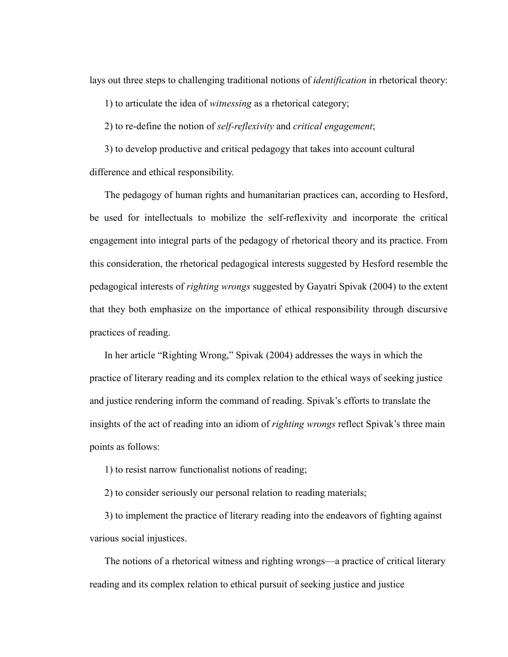lays out three steps to challenging traditional notions of *identification* in rhetorical theory:

1) to articulate the idea of *witnessing* as a rhetorical category;

2) to re-define the notion of *self-reflexivity* and *critical engagement*;

3) to develop productive and critical pedagogy that takes into account cultural difference and ethical responsibility.

The pedagogy of human rights and humanitarian practices can, according to Hesford, be used for intellectuals to mobilize the self-reflexivity and incorporate the critical engagement into integral parts of the pedagogy of rhetorical theory and its practice. From this consideration, the rhetorical pedagogical interests suggested by Hesford resemble the pedagogical interests of *righting wrongs* suggested by Gayatri Spivak (2004) to the extent that they both emphasize on the importance of ethical responsibility through discursive practices of reading.

In her article "Righting Wrong," Spivak (2004) addresses the ways in which the practice of literary reading and its complex relation to the ethical ways of seeking justice and justice rendering inform the command of reading. Spivak's efforts to translate the insights of the act of reading into an idiom of *righting wrongs* reflect Spivak's three main points as follows:

1) to resist narrow functionalist notions of reading;

2) to consider seriously our personal relation to reading materials;

3) to implement the practice of literary reading into the endeavors of fighting against various social injustices.

The notions of a rhetorical witness and righting wrongs—a practice of critical literary reading and its complex relation to ethical pursuit of seeking justice and justice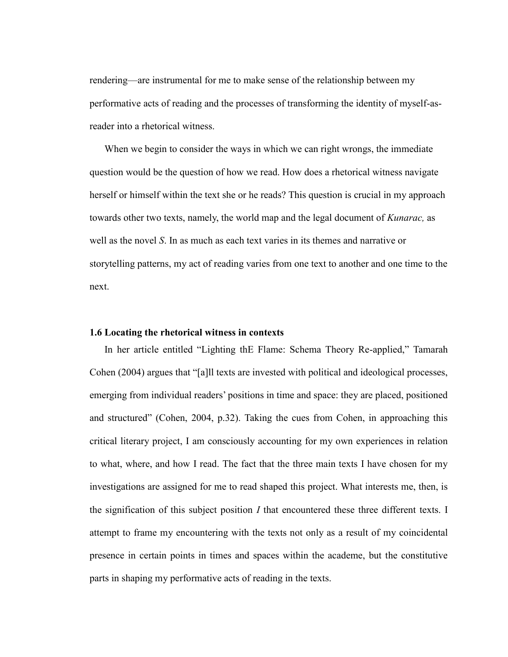rendering—are instrumental for me to make sense of the relationship between my performative acts of reading and the processes of transforming the identity of myself-asreader into a rhetorical witness.

When we begin to consider the ways in which we can right wrongs, the immediate question would be the question of how we read. How does a rhetorical witness navigate herself or himself within the text she or he reads? This question is crucial in my approach towards other two texts, namely, the world map and the legal document of *Kunarac,* as well as the novel *S*. In as much as each text varies in its themes and narrative or storytelling patterns, my act of reading varies from one text to another and one time to the next.

## **1.6 Locating the rhetorical witness in contexts**

In her article entitled "Lighting thE Flame: Schema Theory Re-applied," Tamarah Cohen  $(2004)$  argues that "[a]ll texts are invested with political and ideological processes, emerging from individual readers' positions in time and space: they are placed, positioned and structured" (Cohen, 2004, p.32). Taking the cues from Cohen, in approaching this critical literary project, I am consciously accounting for my own experiences in relation to what, where, and how I read. The fact that the three main texts I have chosen for my investigations are assigned for me to read shaped this project. What interests me, then, is the signification of this subject position *I* that encountered these three different texts. I attempt to frame my encountering with the texts not only as a result of my coincidental presence in certain points in times and spaces within the academe, but the constitutive parts in shaping my performative acts of reading in the texts.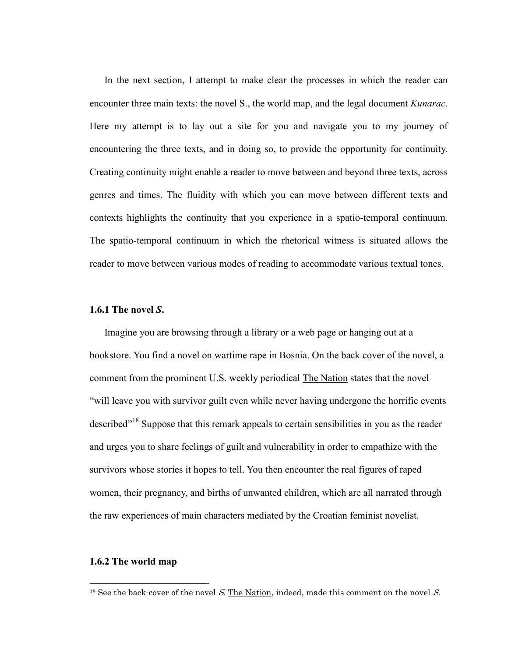In the next section, I attempt to make clear the processes in which the reader can encounter three main texts: the novel S., the world map, and the legal document *Kunarac*. Here my attempt is to lay out a site for you and navigate you to my journey of encountering the three texts, and in doing so, to provide the opportunity for continuity. Creating continuity might enable a reader to move between and beyond three texts, across genres and times. The fluidity with which you can move between different texts and contexts highlights the continuity that you experience in a spatio-temporal continuum. The spatio-temporal continuum in which the rhetorical witness is situated allows the reader to move between various modes of reading to accommodate various textual tones.

# **1.6.1 The novel** *S***.**

Imagine you are browsing through a library or a web page or hanging out at a bookstore. You find a novel on wartime rape in Bosnia. On the back cover of the novel, a comment from the prominent U.S. weekly periodical The Nation states that the novel "will leave you with survivor guilt even while never having undergone the horrific events described"<sup>18</sup> Suppose that this remark appeals to certain sensibilities in you as the reader and urges you to share feelings of guilt and vulnerability in order to empathize with the survivors whose stories it hopes to tell. You then encounter the real figures of raped women, their pregnancy, and births of unwanted children, which are all narrated through the raw experiences of main characters mediated by the Croatian feminist novelist.

# **1.6.2 The world map**

 $\overline{a}$ 

 $18$  See the back-cover of the novel S. The Nation, indeed, made this comment on the novel S.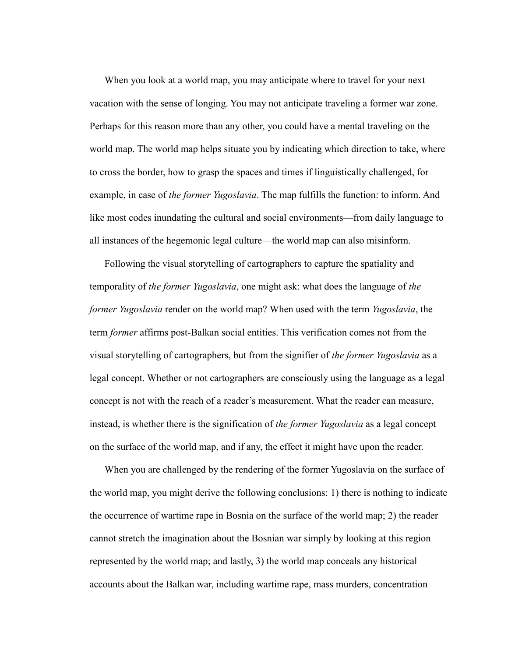When you look at a world map, you may anticipate where to travel for your next vacation with the sense of longing. You may not anticipate traveling a former war zone. Perhaps for this reason more than any other, you could have a mental traveling on the world map. The world map helps situate you by indicating which direction to take, where to cross the border, how to grasp the spaces and times if linguistically challenged, for example, in case of *the former Yugoslavia*. The map fulfills the function: to inform. And like most codes inundating the cultural and social environments—from daily language to all instances of the hegemonic legal culture—the world map can also misinform.

Following the visual storytelling of cartographers to capture the spatiality and temporality of *the former Yugoslavia*, one might ask: what does the language of *the former Yugoslavia* render on the world map? When used with the term *Yugoslavia*, the term *former* affirms post-Balkan social entities. This verification comes not from the visual storytelling of cartographers, but from the signifier of *the former Yugoslavia* as a legal concept. Whether or not cartographers are consciously using the language as a legal concept is not with the reach of a reader's measurement. What the reader can measure, instead, is whether there is the signification of *the former Yugoslavia* as a legal concept on the surface of the world map, and if any, the effect it might have upon the reader.

When you are challenged by the rendering of the former Yugoslavia on the surface of the world map, you might derive the following conclusions: 1) there is nothing to indicate the occurrence of wartime rape in Bosnia on the surface of the world map; 2) the reader cannot stretch the imagination about the Bosnian war simply by looking at this region represented by the world map; and lastly, 3) the world map conceals any historical accounts about the Balkan war, including wartime rape, mass murders, concentration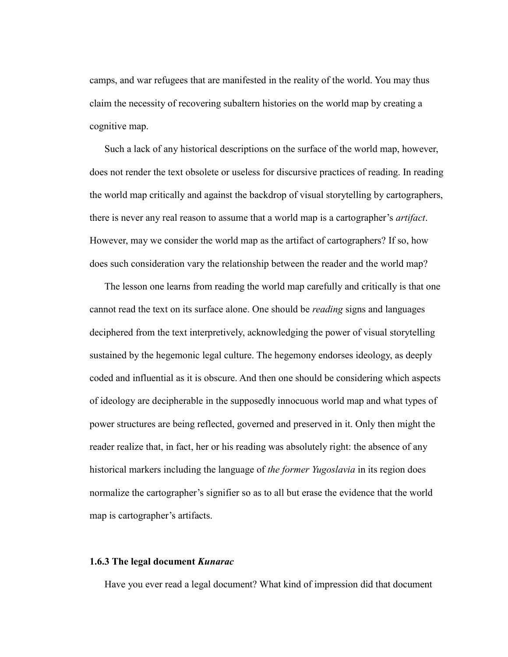camps, and war refugees that are manifested in the reality of the world. You may thus claim the necessity of recovering subaltern histories on the world map by creating a cognitive map.

Such a lack of any historical descriptions on the surface of the world map, however, does not render the text obsolete or useless for discursive practices of reading. In reading the world map critically and against the backdrop of visual storytelling by cartographers, there is never any real reason to assume that a world map is a cartographer's *artifact*. However, may we consider the world map as the artifact of cartographers? If so, how does such consideration vary the relationship between the reader and the world map?

The lesson one learns from reading the world map carefully and critically is that one cannot read the text on its surface alone. One should be *reading* signs and languages deciphered from the text interpretively, acknowledging the power of visual storytelling sustained by the hegemonic legal culture. The hegemony endorses ideology, as deeply coded and influential as it is obscure. And then one should be considering which aspects of ideology are decipherable in the supposedly innocuous world map and what types of power structures are being reflected, governed and preserved in it. Only then might the reader realize that, in fact, her or his reading was absolutely right: the absence of any historical markers including the language of *the former Yugoslavia* in its region does normalize the cartographer's signifier so as to all but erase the evidence that the world map is cartographer's artifacts.

# **1.6.3 The legal document** *Kunarac*

Have you ever read a legal document? What kind of impression did that document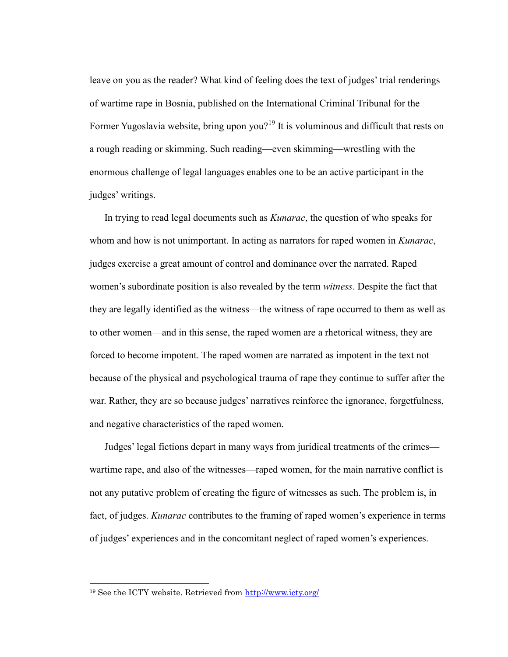leave on you as the reader? What kind of feeling does the text of judges' trial renderings of wartime rape in Bosnia, published on the International Criminal Tribunal for the Former Yugoslavia website, bring upon you?<sup>19</sup> It is voluminous and difficult that rests on a rough reading or skimming. Such reading—even skimming—wrestling with the enormous challenge of legal languages enables one to be an active participant in the judges' writings.

In trying to read legal documents such as *Kunarac*, the question of who speaks for whom and how is not unimportant. In acting as narrators for raped women in *Kunarac*, judges exercise a great amount of control and dominance over the narrated. Raped women's subordinate position is also revealed by the term *witness*. Despite the fact that they are legally identified as the witness—the witness of rape occurred to them as well as to other women—and in this sense, the raped women are a rhetorical witness, they are forced to become impotent. The raped women are narrated as impotent in the text not because of the physical and psychological trauma of rape they continue to suffer after the war. Rather, they are so because judges' narratives reinforce the ignorance, forgetfulness, and negative characteristics of the raped women.

Judges' legal fictions depart in many ways from juridical treatments of the crimes wartime rape, and also of the witnesses—raped women, for the main narrative conflict is not any putative problem of creating the figure of witnesses as such. The problem is, in fact, of judges. *Kunarac* contributes to the framing of raped women's experience in terms of judges' experiences and in the concomitant neglect of raped women's experiences.

 $\overline{a}$ 

<sup>19</sup> See the ICTY website. Retrieved from<http://www.icty.org/>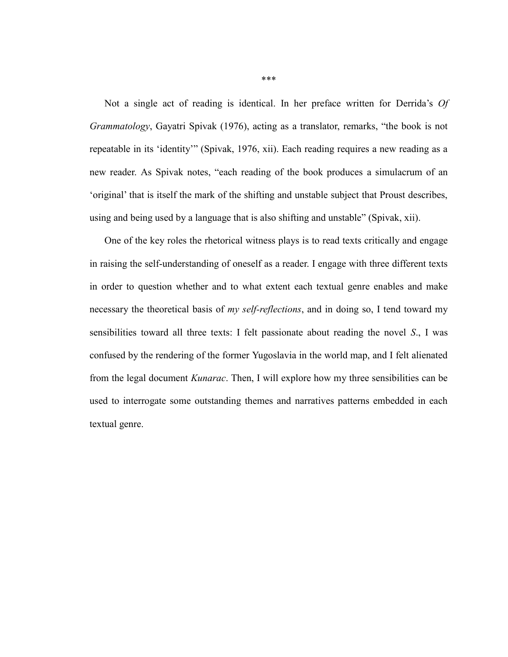Not a single act of reading is identical. In her preface written for Derrida's *Of Grammatology*, Gayatri Spivak (1976), acting as a translator, remarks, "the book is not repeatable in its 'identity'" (Spivak, 1976, xii). Each reading requires a new reading as a new reader. As Spivak notes, "each reading of the book produces a simulacrum of an ‗original' that is itself the mark of the shifting and unstable subject that Proust describes, using and being used by a language that is also shifting and unstable" (Spivak, xii).

One of the key roles the rhetorical witness plays is to read texts critically and engage in raising the self-understanding of oneself as a reader. I engage with three different texts in order to question whether and to what extent each textual genre enables and make necessary the theoretical basis of *my self-reflections*, and in doing so, I tend toward my sensibilities toward all three texts: I felt passionate about reading the novel *S*., I was confused by the rendering of the former Yugoslavia in the world map, and I felt alienated from the legal document *Kunarac*. Then, I will explore how my three sensibilities can be used to interrogate some outstanding themes and narratives patterns embedded in each textual genre.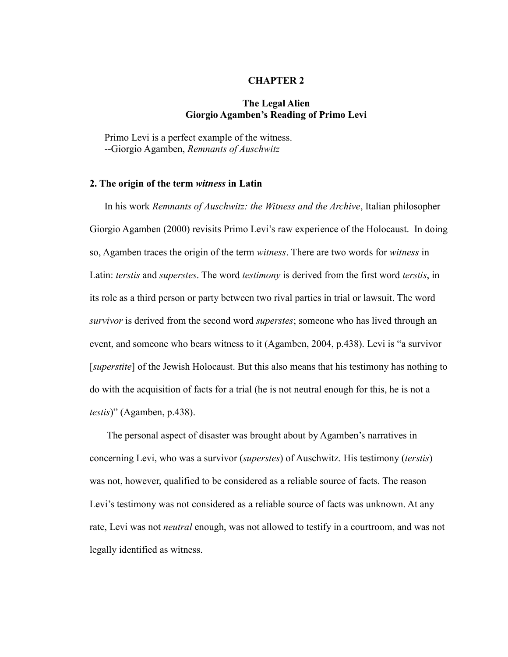### **CHAPTER 2**

# **The Legal Alien Giorgio Agamben's Reading of Primo Levi**

Primo Levi is a perfect example of the witness. --Giorgio Agamben, *Remnants of Auschwitz*

## **2. The origin of the term** *witness* **in Latin**

In his work *Remnants of Auschwitz: the Witness and the Archive*, Italian philosopher Giorgio Agamben (2000) revisits Primo Levi's raw experience of the Holocaust. In doing so, Agamben traces the origin of the term *witness*. There are two words for *witness* in Latin: *terstis* and *superstes*. The word *testimony* is derived from the first word *terstis*, in its role as a third person or party between two rival parties in trial or lawsuit. The word *survivor* is derived from the second word *superstes*; someone who has lived through an event, and someone who bears witness to it (Agamben, 2004, p.438). Levi is "a survivor" [*superstite*] of the Jewish Holocaust. But this also means that his testimony has nothing to do with the acquisition of facts for a trial (he is not neutral enough for this, he is not a *testis*)" (Agamben, p.438).

The personal aspect of disaster was brought about by Agamben's narratives in concerning Levi, who was a survivor (*superstes*) of Auschwitz. His testimony (*terstis*) was not, however, qualified to be considered as a reliable source of facts. The reason Levi's testimony was not considered as a reliable source of facts was unknown. At any rate, Levi was not *neutral* enough, was not allowed to testify in a courtroom, and was not legally identified as witness.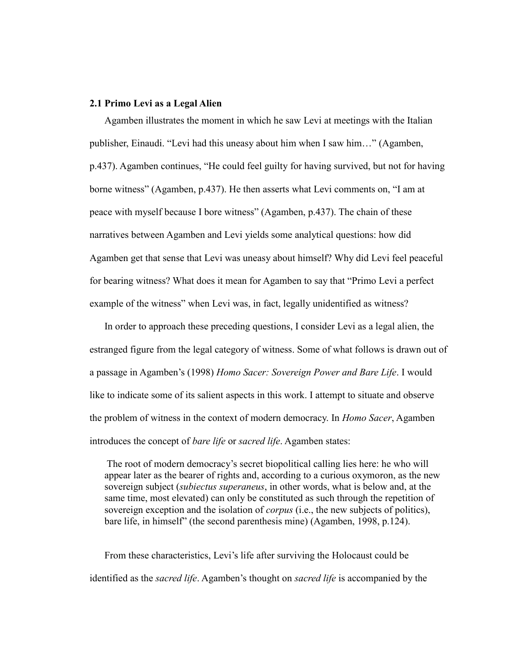### **2.1 Primo Levi as a Legal Alien**

Agamben illustrates the moment in which he saw Levi at meetings with the Italian publisher, Einaudi. "Levi had this uneasy about him when I saw him…" (Agamben, p.437). Agamben continues, "He could feel guilty for having survived, but not for having borne witness" (Agamben, p.437). He then asserts what Levi comments on, "I am at peace with myself because I bore witness" (Agamben, p.437). The chain of these narratives between Agamben and Levi yields some analytical questions: how did Agamben get that sense that Levi was uneasy about himself? Why did Levi feel peaceful for bearing witness? What does it mean for Agamben to say that "Primo Levi a perfect" example of the witness" when Levi was, in fact, legally unidentified as witness?

In order to approach these preceding questions, I consider Levi as a legal alien, the estranged figure from the legal category of witness. Some of what follows is drawn out of a passage in Agamben's (1998) *Homo Sacer: Sovereign Power and Bare Life*. I would like to indicate some of its salient aspects in this work. I attempt to situate and observe the problem of witness in the context of modern democracy. In *Homo Sacer*, Agamben introduces the concept of *bare life* or *sacred life*. Agamben states:

The root of modern democracy's secret biopolitical calling lies here: he who will appear later as the bearer of rights and, according to a curious oxymoron, as the new sovereign subject (*subiectus superaneus*, in other words, what is below and, at the same time, most elevated) can only be constituted as such through the repetition of sovereign exception and the isolation of *corpus* (i.e., the new subjects of politics), bare life, in himself" (the second parenthesis mine) (Agamben, 1998, p.124).

From these characteristics, Levi's life after surviving the Holocaust could be identified as the *sacred life*. Agamben's thought on *sacred life* is accompanied by the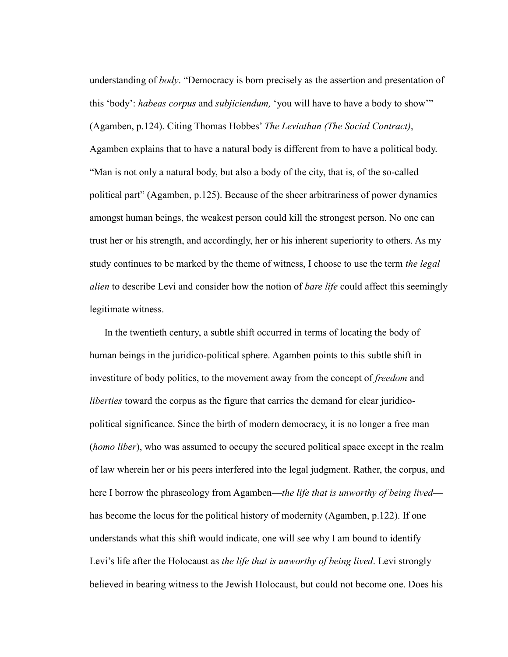understanding of *body*. "Democracy is born precisely as the assertion and presentation of this 'body': *habeas corpus* and *subjiciendum*, 'you will have to have a body to show'" (Agamben, p.124). Citing Thomas Hobbes' *The Leviathan (The Social Contract)*, Agamben explains that to have a natural body is different from to have a political body. ―Man is not only a natural body, but also a body of the city, that is, of the so-called political part‖ (Agamben, p.125). Because of the sheer arbitrariness of power dynamics amongst human beings, the weakest person could kill the strongest person. No one can trust her or his strength, and accordingly, her or his inherent superiority to others. As my study continues to be marked by the theme of witness, I choose to use the term *the legal alien* to describe Levi and consider how the notion of *bare life* could affect this seemingly legitimate witness.

In the twentieth century, a subtle shift occurred in terms of locating the body of human beings in the juridico-political sphere. Agamben points to this subtle shift in investiture of body politics, to the movement away from the concept of *freedom* and *liberties* toward the corpus as the figure that carries the demand for clear juridicopolitical significance. Since the birth of modern democracy, it is no longer a free man (*homo liber*), who was assumed to occupy the secured political space except in the realm of law wherein her or his peers interfered into the legal judgment. Rather, the corpus, and here I borrow the phraseology from Agamben—*the life that is unworthy of being lived* has become the locus for the political history of modernity (Agamben, p.122). If one understands what this shift would indicate, one will see why I am bound to identify Levi's life after the Holocaust as *the life that is unworthy of being lived*. Levi strongly believed in bearing witness to the Jewish Holocaust, but could not become one. Does his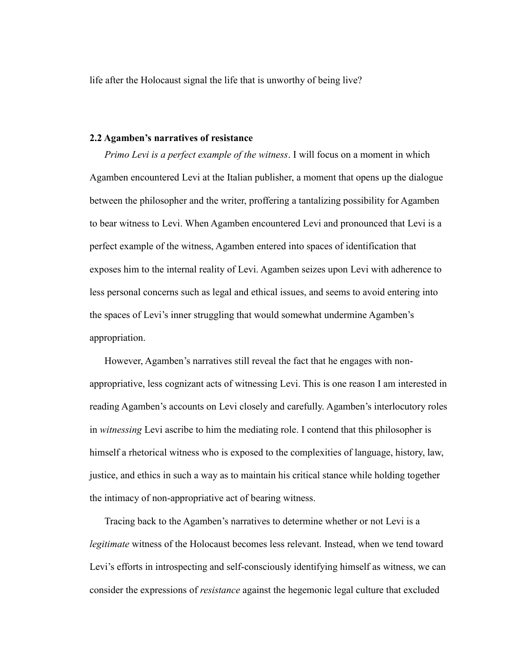life after the Holocaust signal the life that is unworthy of being live?

# **2.2 Agamben's narratives of resistance**

*Primo Levi is a perfect example of the witness*. I will focus on a moment in which Agamben encountered Levi at the Italian publisher, a moment that opens up the dialogue between the philosopher and the writer, proffering a tantalizing possibility for Agamben to bear witness to Levi. When Agamben encountered Levi and pronounced that Levi is a perfect example of the witness, Agamben entered into spaces of identification that exposes him to the internal reality of Levi. Agamben seizes upon Levi with adherence to less personal concerns such as legal and ethical issues, and seems to avoid entering into the spaces of Levi's inner struggling that would somewhat undermine Agamben's appropriation.

However, Agamben's narratives still reveal the fact that he engages with nonappropriative, less cognizant acts of witnessing Levi. This is one reason I am interested in reading Agamben's accounts on Levi closely and carefully. Agamben's interlocutory roles in *witnessing* Levi ascribe to him the mediating role. I contend that this philosopher is himself a rhetorical witness who is exposed to the complexities of language, history, law, justice, and ethics in such a way as to maintain his critical stance while holding together the intimacy of non-appropriative act of bearing witness.

Tracing back to the Agamben's narratives to determine whether or not Levi is a *legitimate* witness of the Holocaust becomes less relevant. Instead, when we tend toward Levi's efforts in introspecting and self-consciously identifying himself as witness, we can consider the expressions of *resistance* against the hegemonic legal culture that excluded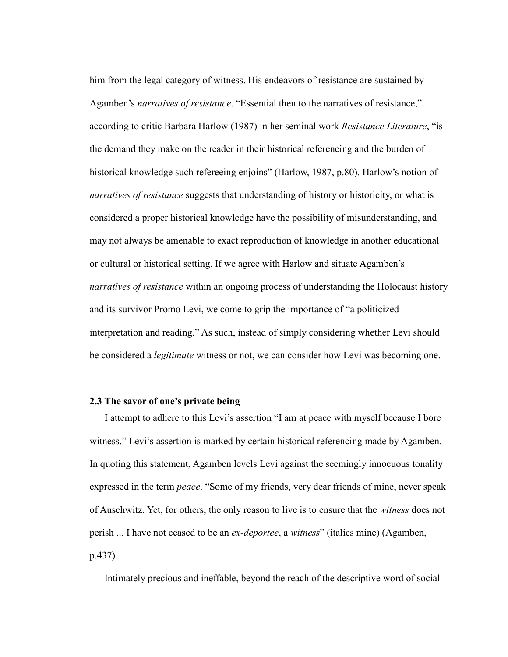him from the legal category of witness. His endeavors of resistance are sustained by Agamben's *narratives of resistance*. "Essential then to the narratives of resistance," according to critic Barbara Harlow (1987) in her seminal work *Resistance Literature*, "is the demand they make on the reader in their historical referencing and the burden of historical knowledge such refereeing enjoins" (Harlow, 1987, p.80). Harlow's notion of *narratives of resistance* suggests that understanding of history or historicity, or what is considered a proper historical knowledge have the possibility of misunderstanding, and may not always be amenable to exact reproduction of knowledge in another educational or cultural or historical setting. If we agree with Harlow and situate Agamben's *narratives of resistance* within an ongoing process of understanding the Holocaust history and its survivor Promo Levi, we come to grip the importance of "a politicized interpretation and reading." As such, instead of simply considering whether Levi should be considered a *legitimate* witness or not, we can consider how Levi was becoming one.

## **2.3 The savor of one's private being**

I attempt to adhere to this Levi's assertion "I am at peace with myself because I bore witness." Levi's assertion is marked by certain historical referencing made by Agamben. In quoting this statement, Agamben levels Levi against the seemingly innocuous tonality expressed in the term *peace*. "Some of my friends, very dear friends of mine, never speak of Auschwitz. Yet, for others, the only reason to live is to ensure that the *witness* does not perish ... I have not ceased to be an *ex-deportee*, a *witness*‖ (italics mine) (Agamben, p.437).

Intimately precious and ineffable, beyond the reach of the descriptive word of social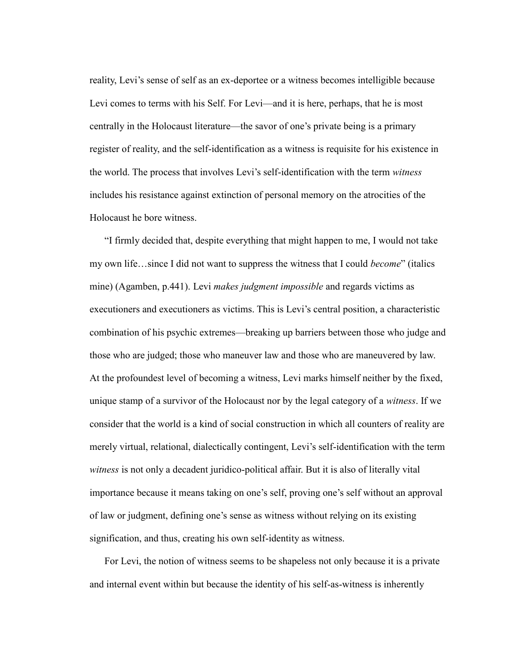reality, Levi's sense of self as an ex-deportee or a witness becomes intelligible because Levi comes to terms with his Self. For Levi—and it is here, perhaps, that he is most centrally in the Holocaust literature—the savor of one's private being is a primary register of reality, and the self-identification as a witness is requisite for his existence in the world. The process that involves Levi's self-identification with the term *witness* includes his resistance against extinction of personal memory on the atrocities of the Holocaust he bore witness.

―I firmly decided that, despite everything that might happen to me, I would not take my own life...since I did not want to suppress the witness that I could *become*" (italics mine) (Agamben, p.441). Levi *makes judgment impossible* and regards victims as executioners and executioners as victims. This is Levi's central position, a characteristic combination of his psychic extremes—breaking up barriers between those who judge and those who are judged; those who maneuver law and those who are maneuvered by law. At the profoundest level of becoming a witness, Levi marks himself neither by the fixed, unique stamp of a survivor of the Holocaust nor by the legal category of a *witness*. If we consider that the world is a kind of social construction in which all counters of reality are merely virtual, relational, dialectically contingent, Levi's self-identification with the term *witness* is not only a decadent juridico-political affair. But it is also of literally vital importance because it means taking on one's self, proving one's self without an approval of law or judgment, defining one's sense as witness without relying on its existing signification, and thus, creating his own self-identity as witness.

For Levi, the notion of witness seems to be shapeless not only because it is a private and internal event within but because the identity of his self-as-witness is inherently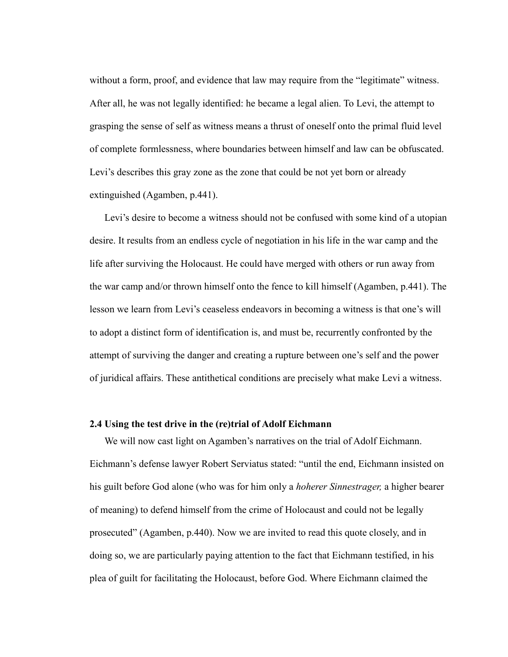without a form, proof, and evidence that law may require from the "legitimate" witness. After all, he was not legally identified: he became a legal alien. To Levi, the attempt to grasping the sense of self as witness means a thrust of oneself onto the primal fluid level of complete formlessness, where boundaries between himself and law can be obfuscated. Levi's describes this gray zone as the zone that could be not yet born or already extinguished (Agamben, p.441).

Levi's desire to become a witness should not be confused with some kind of a utopian desire. It results from an endless cycle of negotiation in his life in the war camp and the life after surviving the Holocaust. He could have merged with others or run away from the war camp and/or thrown himself onto the fence to kill himself (Agamben, p.441). The lesson we learn from Levi's ceaseless endeavors in becoming a witness is that one's will to adopt a distinct form of identification is, and must be, recurrently confronted by the attempt of surviving the danger and creating a rupture between one's self and the power of juridical affairs. These antithetical conditions are precisely what make Levi a witness.

# **2.4 Using the test drive in the (re)trial of Adolf Eichmann**

We will now cast light on Agamben's narratives on the trial of Adolf Eichmann. Eichmann's defense lawyer Robert Serviatus stated: "until the end, Eichmann insisted on his guilt before God alone (who was for him only a *hoherer Sinnestrager,* a higher bearer of meaning) to defend himself from the crime of Holocaust and could not be legally prosecuted‖ (Agamben, p.440). Now we are invited to read this quote closely, and in doing so, we are particularly paying attention to the fact that Eichmann testified, in his plea of guilt for facilitating the Holocaust, before God. Where Eichmann claimed the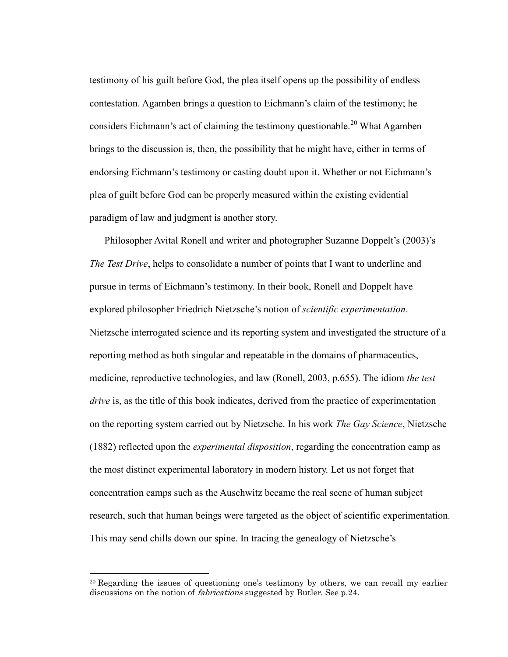testimony of his guilt before God, the plea itself opens up the possibility of endless contestation. Agamben brings a question to Eichmann's claim of the testimony; he considers Eichmann's act of claiming the testimony questionable.<sup>20</sup> What Agamben brings to the discussion is, then, the possibility that he might have, either in terms of endorsing Eichmann's testimony or casting doubt upon it. Whether or not Eichmann's plea of guilt before God can be properly measured within the existing evidential paradigm of law and judgment is another story.

Philosopher Avital Ronell and writer and photographer Suzanne Doppelt's (2003)'s *The Test Drive*, helps to consolidate a number of points that I want to underline and pursue in terms of Eichmann's testimony. In their book, Ronell and Doppelt have explored philosopher Friedrich Nietzsche's notion of *scientific experimentation*. Nietzsche interrogated science and its reporting system and investigated the structure of a reporting method as both singular and repeatable in the domains of pharmaceutics, medicine, reproductive technologies, and law (Ronell, 2003, p.655). The idiom *the test drive* is, as the title of this book indicates, derived from the practice of experimentation on the reporting system carried out by Nietzsche. In his work *The Gay Science*, Nietzsche (1882) reflected upon the *experimental disposition*, regarding the concentration camp as the most distinct experimental laboratory in modern history. Let us not forget that concentration camps such as the Auschwitz became the real scene of human subject research, such that human beings were targeted as the object of scientific experimentation. This may send chills down our spine. In tracing the genealogy of Nietzsche's

 $\overline{a}$ 

<sup>&</sup>lt;sup>20</sup> Regarding the issues of questioning one's testimony by others, we can recall my earlier discussions on the notion of fabrications suggested by Butler. See p.24.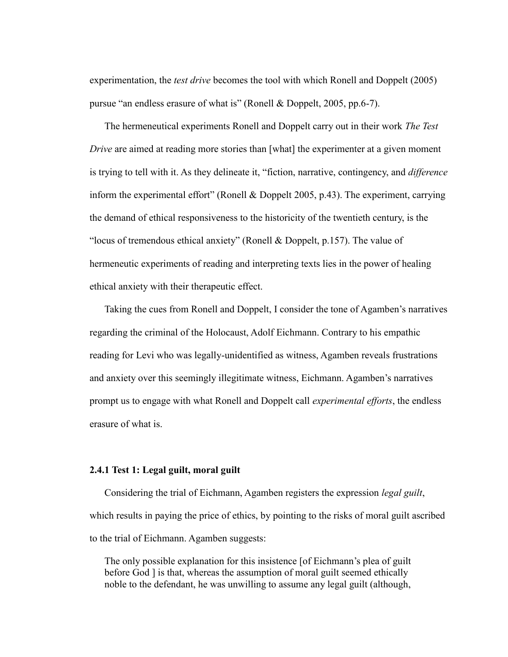experimentation, the *test drive* becomes the tool with which Ronell and Doppelt (2005) pursue "an endless erasure of what is" (Ronell & Doppelt, 2005, pp.6-7).

The hermeneutical experiments Ronell and Doppelt carry out in their work *The Test Drive* are aimed at reading more stories than [what] the experimenter at a given moment is trying to tell with it. As they delineate it, "fiction, narrative, contingency, and *difference* inform the experimental effort" (Ronell  $&$  Doppelt 2005, p.43). The experiment, carrying the demand of ethical responsiveness to the historicity of the twentieth century, is the "locus of tremendous ethical anxiety" (Ronell  $&$  Doppelt, p.157). The value of hermeneutic experiments of reading and interpreting texts lies in the power of healing ethical anxiety with their therapeutic effect.

Taking the cues from Ronell and Doppelt, I consider the tone of Agamben's narratives regarding the criminal of the Holocaust, Adolf Eichmann. Contrary to his empathic reading for Levi who was legally-unidentified as witness, Agamben reveals frustrations and anxiety over this seemingly illegitimate witness, Eichmann. Agamben's narratives prompt us to engage with what Ronell and Doppelt call *experimental efforts*, the endless erasure of what is.

# **2.4.1 Test 1: Legal guilt, moral guilt**

Considering the trial of Eichmann, Agamben registers the expression *legal guilt*, which results in paying the price of ethics, by pointing to the risks of moral guilt ascribed to the trial of Eichmann. Agamben suggests:

The only possible explanation for this insistence [of Eichmann's plea of guilt before God ] is that, whereas the assumption of moral guilt seemed ethically noble to the defendant, he was unwilling to assume any legal guilt (although,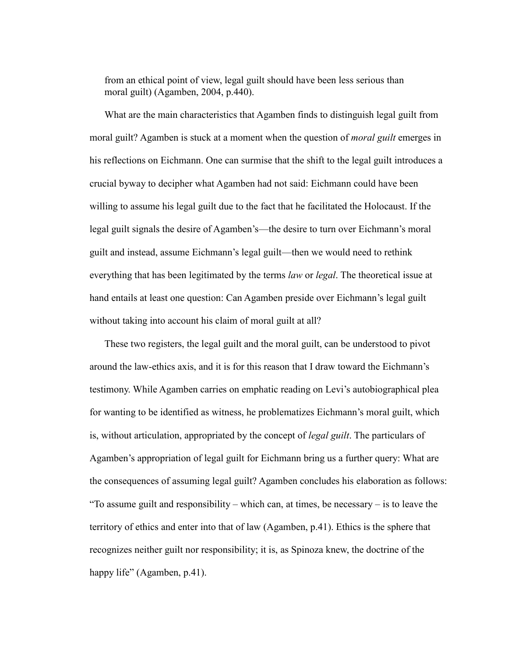from an ethical point of view, legal guilt should have been less serious than moral guilt) (Agamben, 2004, p.440).

What are the main characteristics that Agamben finds to distinguish legal guilt from moral guilt? Agamben is stuck at a moment when the question of *moral guilt* emerges in his reflections on Eichmann. One can surmise that the shift to the legal guilt introduces a crucial byway to decipher what Agamben had not said: Eichmann could have been willing to assume his legal guilt due to the fact that he facilitated the Holocaust. If the legal guilt signals the desire of Agamben's—the desire to turn over Eichmann's moral guilt and instead, assume Eichmann's legal guilt—then we would need to rethink everything that has been legitimated by the terms *law* or *legal*. The theoretical issue at hand entails at least one question: Can Agamben preside over Eichmann's legal guilt without taking into account his claim of moral guilt at all?

These two registers, the legal guilt and the moral guilt, can be understood to pivot around the law-ethics axis, and it is for this reason that I draw toward the Eichmann's testimony. While Agamben carries on emphatic reading on Levi's autobiographical plea for wanting to be identified as witness, he problematizes Eichmann's moral guilt, which is, without articulation, appropriated by the concept of *legal guilt*. The particulars of Agamben's appropriation of legal guilt for Eichmann bring us a further query: What are the consequences of assuming legal guilt? Agamben concludes his elaboration as follows: "To assume guilt and responsibility – which can, at times, be necessary – is to leave the territory of ethics and enter into that of law (Agamben, p.41). Ethics is the sphere that recognizes neither guilt nor responsibility; it is, as Spinoza knew, the doctrine of the happy life" (Agamben, p.41).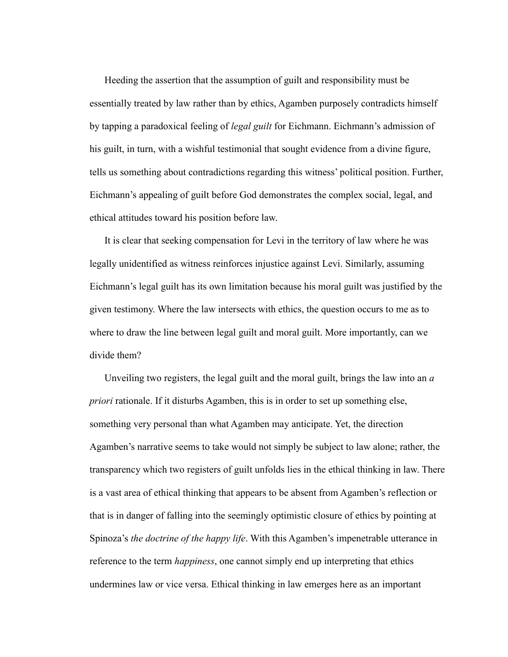Heeding the assertion that the assumption of guilt and responsibility must be essentially treated by law rather than by ethics, Agamben purposely contradicts himself by tapping a paradoxical feeling of *legal guilt* for Eichmann. Eichmann's admission of his guilt, in turn, with a wishful testimonial that sought evidence from a divine figure, tells us something about contradictions regarding this witness' political position. Further, Eichmann's appealing of guilt before God demonstrates the complex social, legal, and ethical attitudes toward his position before law.

It is clear that seeking compensation for Levi in the territory of law where he was legally unidentified as witness reinforces injustice against Levi. Similarly, assuming Eichmann's legal guilt has its own limitation because his moral guilt was justified by the given testimony. Where the law intersects with ethics, the question occurs to me as to where to draw the line between legal guilt and moral guilt. More importantly, can we divide them?

Unveiling two registers, the legal guilt and the moral guilt, brings the law into an *a priori* rationale. If it disturbs Agamben, this is in order to set up something else, something very personal than what Agamben may anticipate. Yet, the direction Agamben's narrative seems to take would not simply be subject to law alone; rather, the transparency which two registers of guilt unfolds lies in the ethical thinking in law. There is a vast area of ethical thinking that appears to be absent from Agamben's reflection or that is in danger of falling into the seemingly optimistic closure of ethics by pointing at Spinoza's *the doctrine of the happy life*. With this Agamben's impenetrable utterance in reference to the term *happiness*, one cannot simply end up interpreting that ethics undermines law or vice versa. Ethical thinking in law emerges here as an important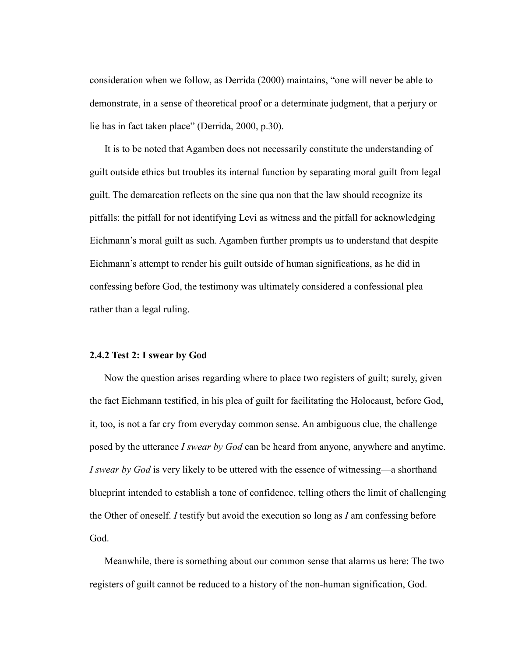consideration when we follow, as Derrida (2000) maintains, "one will never be able to demonstrate, in a sense of theoretical proof or a determinate judgment, that a perjury or lie has in fact taken place" (Derrida, 2000, p.30).

It is to be noted that Agamben does not necessarily constitute the understanding of guilt outside ethics but troubles its internal function by separating moral guilt from legal guilt. The demarcation reflects on the sine qua non that the law should recognize its pitfalls: the pitfall for not identifying Levi as witness and the pitfall for acknowledging Eichmann's moral guilt as such. Agamben further prompts us to understand that despite Eichmann's attempt to render his guilt outside of human significations, as he did in confessing before God, the testimony was ultimately considered a confessional plea rather than a legal ruling.

## **2.4.2 Test 2: I swear by God**

Now the question arises regarding where to place two registers of guilt; surely, given the fact Eichmann testified, in his plea of guilt for facilitating the Holocaust, before God, it, too, is not a far cry from everyday common sense. An ambiguous clue, the challenge posed by the utterance *I swear by God* can be heard from anyone, anywhere and anytime. *I swear by God* is very likely to be uttered with the essence of witnessing—a shorthand blueprint intended to establish a tone of confidence, telling others the limit of challenging the Other of oneself. *I* testify but avoid the execution so long as *I* am confessing before God.

Meanwhile, there is something about our common sense that alarms us here: The two registers of guilt cannot be reduced to a history of the non-human signification, God.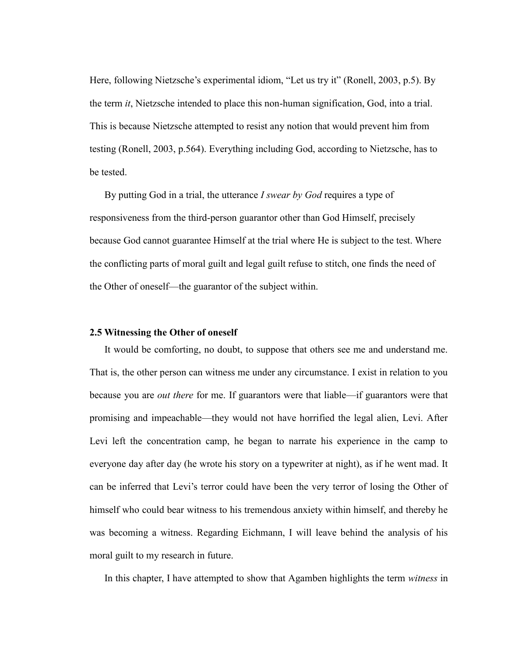Here, following Nietzsche's experimental idiom, "Let us try it" (Ronell, 2003, p.5). By the term *it*, Nietzsche intended to place this non-human signification, God, into a trial. This is because Nietzsche attempted to resist any notion that would prevent him from testing (Ronell, 2003, p.564). Everything including God, according to Nietzsche, has to be tested.

By putting God in a trial, the utterance *I swear by God* requires a type of responsiveness from the third-person guarantor other than God Himself, precisely because God cannot guarantee Himself at the trial where He is subject to the test. Where the conflicting parts of moral guilt and legal guilt refuse to stitch, one finds the need of the Other of oneself—the guarantor of the subject within.

## **2.5 Witnessing the Other of oneself**

It would be comforting, no doubt, to suppose that others see me and understand me. That is, the other person can witness me under any circumstance. I exist in relation to you because you are *out there* for me. If guarantors were that liable—if guarantors were that promising and impeachable—they would not have horrified the legal alien, Levi. After Levi left the concentration camp, he began to narrate his experience in the camp to everyone day after day (he wrote his story on a typewriter at night), as if he went mad. It can be inferred that Levi's terror could have been the very terror of losing the Other of himself who could bear witness to his tremendous anxiety within himself, and thereby he was becoming a witness. Regarding Eichmann, I will leave behind the analysis of his moral guilt to my research in future.

In this chapter, I have attempted to show that Agamben highlights the term *witness* in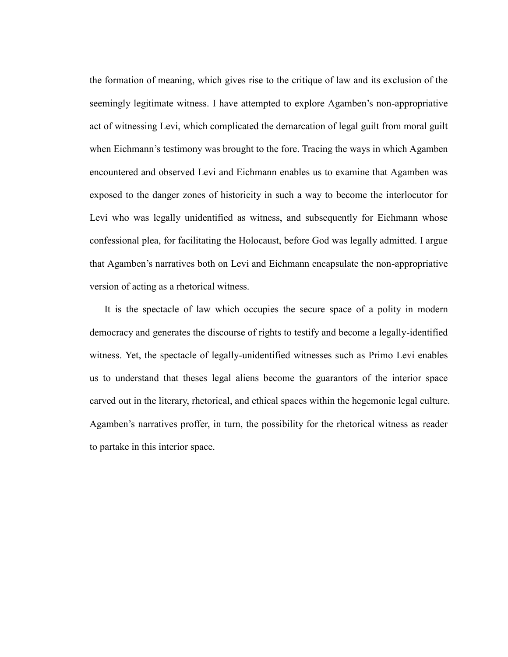the formation of meaning, which gives rise to the critique of law and its exclusion of the seemingly legitimate witness. I have attempted to explore Agamben's non-appropriative act of witnessing Levi, which complicated the demarcation of legal guilt from moral guilt when Eichmann's testimony was brought to the fore. Tracing the ways in which Agamben encountered and observed Levi and Eichmann enables us to examine that Agamben was exposed to the danger zones of historicity in such a way to become the interlocutor for Levi who was legally unidentified as witness, and subsequently for Eichmann whose confessional plea, for facilitating the Holocaust, before God was legally admitted. I argue that Agamben's narratives both on Levi and Eichmann encapsulate the non-appropriative version of acting as a rhetorical witness.

It is the spectacle of law which occupies the secure space of a polity in modern democracy and generates the discourse of rights to testify and become a legally-identified witness. Yet, the spectacle of legally-unidentified witnesses such as Primo Levi enables us to understand that theses legal aliens become the guarantors of the interior space carved out in the literary, rhetorical, and ethical spaces within the hegemonic legal culture. Agamben's narratives proffer, in turn, the possibility for the rhetorical witness as reader to partake in this interior space.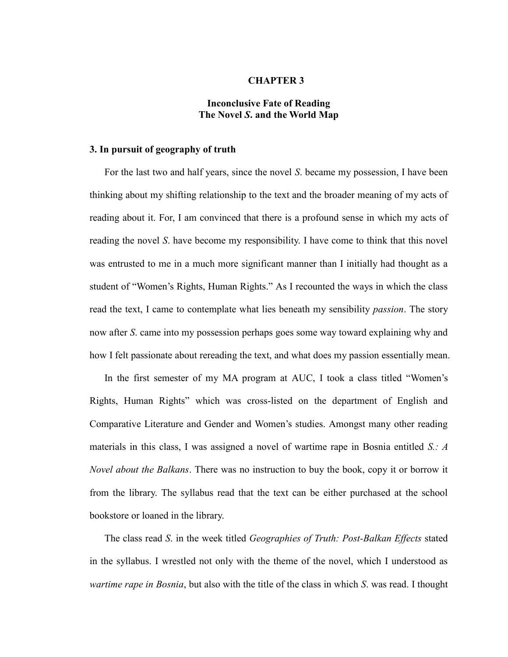### **CHAPTER 3**

# **Inconclusive Fate of Reading The Novel** *S***. and the World Map**

## **3. In pursuit of geography of truth**

For the last two and half years, since the novel *S*. became my possession, I have been thinking about my shifting relationship to the text and the broader meaning of my acts of reading about it. For, I am convinced that there is a profound sense in which my acts of reading the novel *S*. have become my responsibility. I have come to think that this novel was entrusted to me in a much more significant manner than I initially had thought as a student of "Women's Rights, Human Rights." As I recounted the ways in which the class read the text, I came to contemplate what lies beneath my sensibility *passion*. The story now after *S*. came into my possession perhaps goes some way toward explaining why and how I felt passionate about rereading the text, and what does my passion essentially mean.

In the first semester of my MA program at AUC, I took a class titled "Women's Rights, Human Rights" which was cross-listed on the department of English and Comparative Literature and Gender and Women's studies. Amongst many other reading materials in this class, I was assigned a novel of wartime rape in Bosnia entitled *S.: A Novel about the Balkans*. There was no instruction to buy the book, copy it or borrow it from the library. The syllabus read that the text can be either purchased at the school bookstore or loaned in the library.

The class read *S*. in the week titled *Geographies of Truth: Post-Balkan Effects* stated in the syllabus. I wrestled not only with the theme of the novel, which I understood as *wartime rape in Bosnia*, but also with the title of the class in which *S*. was read. I thought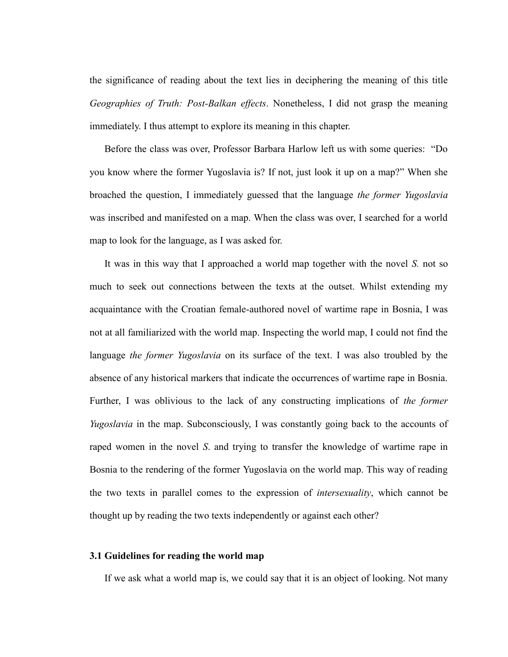the significance of reading about the text lies in deciphering the meaning of this title *Geographies of Truth: Post-Balkan effects*. Nonetheless, I did not grasp the meaning immediately. I thus attempt to explore its meaning in this chapter.

Before the class was over, Professor Barbara Harlow left us with some queries: "Do you know where the former Yugoslavia is? If not, just look it up on a map?" When she broached the question, I immediately guessed that the language *the former Yugoslavia* was inscribed and manifested on a map. When the class was over, I searched for a world map to look for the language, as I was asked for.

It was in this way that I approached a world map together with the novel *S.* not so much to seek out connections between the texts at the outset. Whilst extending my acquaintance with the Croatian female-authored novel of wartime rape in Bosnia, I was not at all familiarized with the world map. Inspecting the world map, I could not find the language *the former Yugoslavia* on its surface of the text. I was also troubled by the absence of any historical markers that indicate the occurrences of wartime rape in Bosnia. Further, I was oblivious to the lack of any constructing implications of *the former Yugoslavia* in the map. Subconsciously, I was constantly going back to the accounts of raped women in the novel *S*. and trying to transfer the knowledge of wartime rape in Bosnia to the rendering of the former Yugoslavia on the world map. This way of reading the two texts in parallel comes to the expression of *intersexuality*, which cannot be thought up by reading the two texts independently or against each other?

### **3.1 Guidelines for reading the world map**

If we ask what a world map is, we could say that it is an object of looking. Not many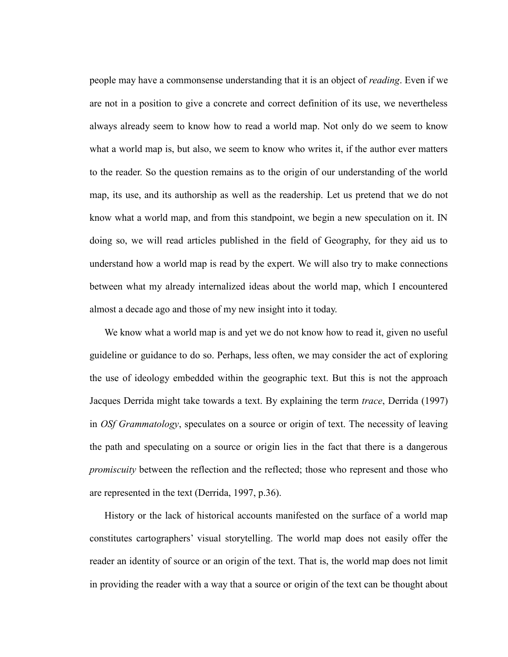people may have a commonsense understanding that it is an object of *reading*. Even if we are not in a position to give a concrete and correct definition of its use, we nevertheless always already seem to know how to read a world map. Not only do we seem to know what a world map is, but also, we seem to know who writes it, if the author ever matters to the reader. So the question remains as to the origin of our understanding of the world map, its use, and its authorship as well as the readership. Let us pretend that we do not know what a world map, and from this standpoint, we begin a new speculation on it. IN doing so, we will read articles published in the field of Geography, for they aid us to understand how a world map is read by the expert. We will also try to make connections between what my already internalized ideas about the world map, which I encountered almost a decade ago and those of my new insight into it today.

We know what a world map is and yet we do not know how to read it, given no useful guideline or guidance to do so. Perhaps, less often, we may consider the act of exploring the use of ideology embedded within the geographic text. But this is not the approach Jacques Derrida might take towards a text. By explaining the term *trace*, Derrida (1997) in *OSf Grammatology*, speculates on a source or origin of text. The necessity of leaving the path and speculating on a source or origin lies in the fact that there is a dangerous *promiscuity* between the reflection and the reflected; those who represent and those who are represented in the text (Derrida, 1997, p.36).

History or the lack of historical accounts manifested on the surface of a world map constitutes cartographers' visual storytelling. The world map does not easily offer the reader an identity of source or an origin of the text. That is, the world map does not limit in providing the reader with a way that a source or origin of the text can be thought about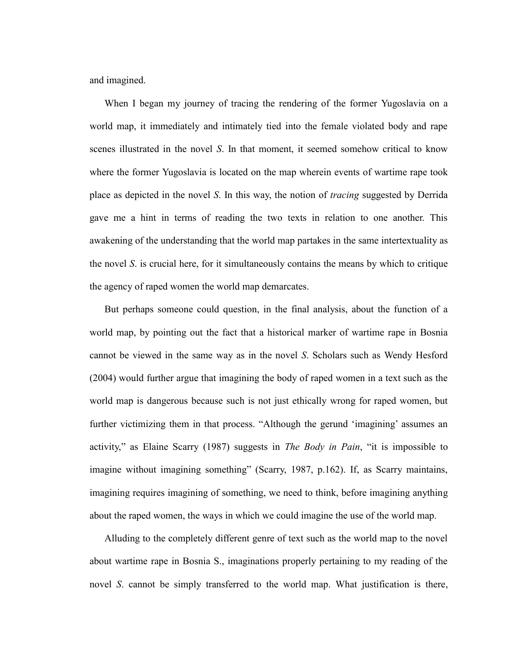and imagined.

When I began my journey of tracing the rendering of the former Yugoslavia on a world map, it immediately and intimately tied into the female violated body and rape scenes illustrated in the novel *S*. In that moment, it seemed somehow critical to know where the former Yugoslavia is located on the map wherein events of wartime rape took place as depicted in the novel *S*. In this way, the notion of *tracing* suggested by Derrida gave me a hint in terms of reading the two texts in relation to one another. This awakening of the understanding that the world map partakes in the same intertextuality as the novel *S*. is crucial here, for it simultaneously contains the means by which to critique the agency of raped women the world map demarcates.

But perhaps someone could question, in the final analysis, about the function of a world map, by pointing out the fact that a historical marker of wartime rape in Bosnia cannot be viewed in the same way as in the novel *S*. Scholars such as Wendy Hesford (2004) would further argue that imagining the body of raped women in a text such as the world map is dangerous because such is not just ethically wrong for raped women, but further victimizing them in that process. "Although the gerund 'imagining' assumes an activity," as Elaine Scarry (1987) suggests in *The Body in Pain*, "it is impossible to imagine without imagining something" (Scarry, 1987, p.162). If, as Scarry maintains, imagining requires imagining of something, we need to think, before imagining anything about the raped women, the ways in which we could imagine the use of the world map.

Alluding to the completely different genre of text such as the world map to the novel about wartime rape in Bosnia S., imaginations properly pertaining to my reading of the novel *S*. cannot be simply transferred to the world map. What justification is there,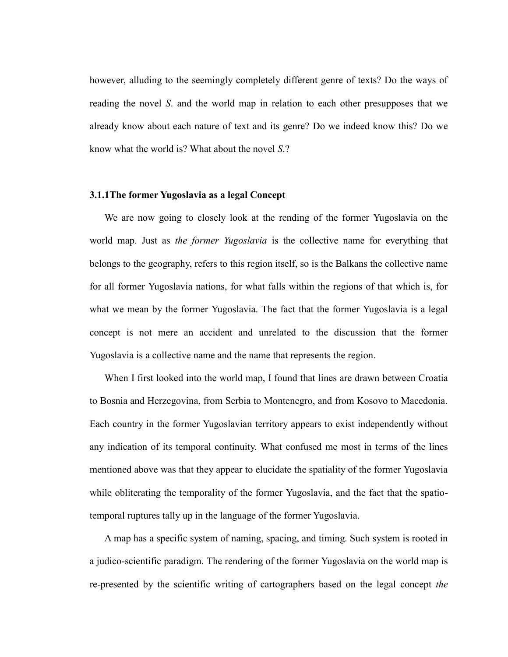however, alluding to the seemingly completely different genre of texts? Do the ways of reading the novel *S*. and the world map in relation to each other presupposes that we already know about each nature of text and its genre? Do we indeed know this? Do we know what the world is? What about the novel *S*.?

### **3.1.1The former Yugoslavia as a legal Concept**

We are now going to closely look at the rending of the former Yugoslavia on the world map. Just as *the former Yugoslavia* is the collective name for everything that belongs to the geography, refers to this region itself, so is the Balkans the collective name for all former Yugoslavia nations, for what falls within the regions of that which is, for what we mean by the former Yugoslavia. The fact that the former Yugoslavia is a legal concept is not mere an accident and unrelated to the discussion that the former Yugoslavia is a collective name and the name that represents the region.

When I first looked into the world map, I found that lines are drawn between Croatia to Bosnia and Herzegovina, from Serbia to Montenegro, and from Kosovo to Macedonia. Each country in the former Yugoslavian territory appears to exist independently without any indication of its temporal continuity. What confused me most in terms of the lines mentioned above was that they appear to elucidate the spatiality of the former Yugoslavia while obliterating the temporality of the former Yugoslavia, and the fact that the spatiotemporal ruptures tally up in the language of the former Yugoslavia.

A map has a specific system of naming, spacing, and timing. Such system is rooted in a judico-scientific paradigm. The rendering of the former Yugoslavia on the world map is re-presented by the scientific writing of cartographers based on the legal concept *the*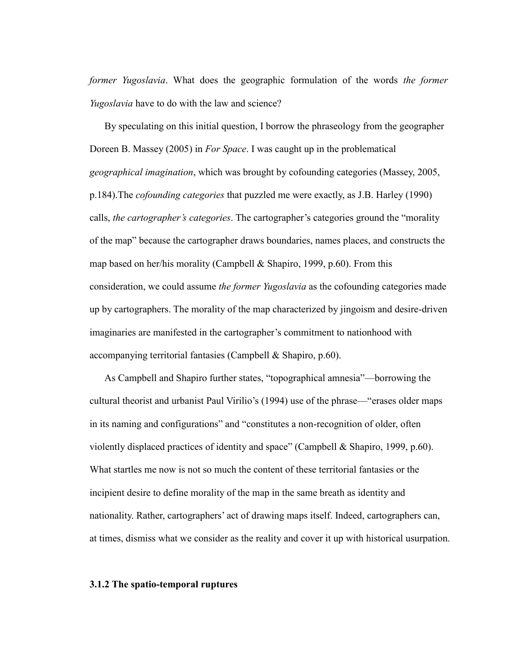*former Yugoslavia*. What does the geographic formulation of the words *the former Yugoslavia* have to do with the law and science?

By speculating on this initial question, I borrow the phraseology from the geographer Doreen B. Massey (2005) in *For Space*. I was caught up in the problematical *geographical imagination*, which was brought by cofounding categories (Massey, 2005, p.184).The *cofounding categories* that puzzled me were exactly, as J.B. Harley (1990) calls, *the cartographer's categories*. The cartographer's categories ground the "morality" of the map" because the cartographer draws boundaries, names places, and constructs the map based on her/his morality (Campbell & Shapiro, 1999, p.60). From this consideration, we could assume *the former Yugoslavia* as the cofounding categories made up by cartographers. The morality of the map characterized by jingoism and desire-driven imaginaries are manifested in the cartographer's commitment to nationhood with accompanying territorial fantasies (Campbell & Shapiro, p.60).

As Campbell and Shapiro further states, "topographical amnesia"—borrowing the cultural theorist and urbanist Paul Virilio's (1994) use of the phrase—"erases older maps in its naming and configurations" and "constitutes a non-recognition of older, often violently displaced practices of identity and space" (Campbell & Shapiro, 1999, p.60). What startles me now is not so much the content of these territorial fantasies or the incipient desire to define morality of the map in the same breath as identity and nationality. Rather, cartographers' act of drawing maps itself. Indeed, cartographers can, at times, dismiss what we consider as the reality and cover it up with historical usurpation.

# **3.1.2 The spatio-temporal ruptures**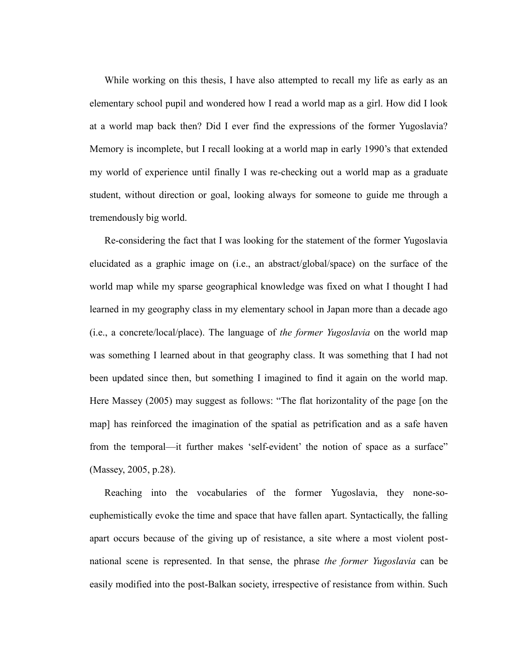While working on this thesis, I have also attempted to recall my life as early as an elementary school pupil and wondered how I read a world map as a girl. How did I look at a world map back then? Did I ever find the expressions of the former Yugoslavia? Memory is incomplete, but I recall looking at a world map in early 1990's that extended my world of experience until finally I was re-checking out a world map as a graduate student, without direction or goal, looking always for someone to guide me through a tremendously big world.

Re-considering the fact that I was looking for the statement of the former Yugoslavia elucidated as a graphic image on (i.e., an abstract/global/space) on the surface of the world map while my sparse geographical knowledge was fixed on what I thought I had learned in my geography class in my elementary school in Japan more than a decade ago (i.e., a concrete/local/place). The language of *the former Yugoslavia* on the world map was something I learned about in that geography class. It was something that I had not been updated since then, but something I imagined to find it again on the world map. Here Massey (2005) may suggest as follows: "The flat horizontality of the page [on the map] has reinforced the imagination of the spatial as petrification and as a safe haven from the temporal—it further makes 'self-evident' the notion of space as a surface" (Massey, 2005, p.28).

Reaching into the vocabularies of the former Yugoslavia, they none-soeuphemistically evoke the time and space that have fallen apart. Syntactically, the falling apart occurs because of the giving up of resistance, a site where a most violent postnational scene is represented. In that sense, the phrase *the former Yugoslavia* can be easily modified into the post-Balkan society, irrespective of resistance from within. Such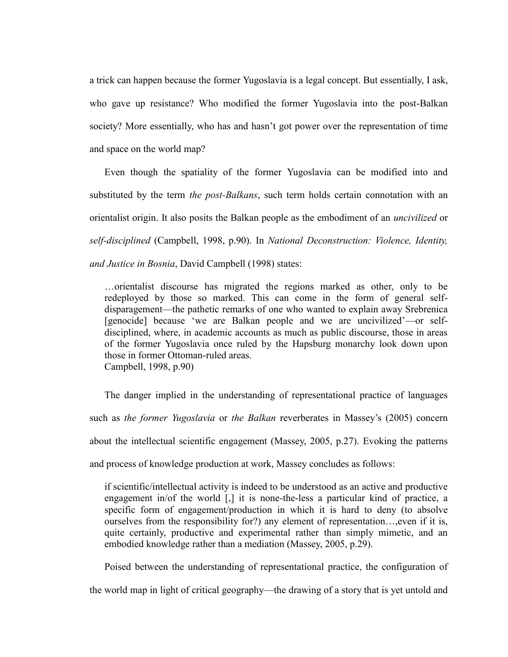a trick can happen because the former Yugoslavia is a legal concept. But essentially, I ask, who gave up resistance? Who modified the former Yugoslavia into the post-Balkan society? More essentially, who has and hasn't got power over the representation of time and space on the world map?

Even though the spatiality of the former Yugoslavia can be modified into and substituted by the term *the post-Balkans*, such term holds certain connotation with an orientalist origin. It also posits the Balkan people as the embodiment of an *uncivilized* or *self-disciplined* (Campbell, 1998, p.90). In *National Deconstruction: Violence, Identity, and Justice in Bosnia*, David Campbell (1998) states:

…orientalist discourse has migrated the regions marked as other, only to be redeployed by those so marked. This can come in the form of general selfdisparagement—the pathetic remarks of one who wanted to explain away Srebrenica [genocide] because 'we are Balkan people and we are uncivilized'—or selfdisciplined, where, in academic accounts as much as public discourse, those in areas of the former Yugoslavia once ruled by the Hapsburg monarchy look down upon those in former Ottoman-ruled areas. Campbell, 1998, p.90)

The danger implied in the understanding of representational practice of languages such as *the former Yugoslavia* or *the Balkan* reverberates in Massey's (2005) concern about the intellectual scientific engagement (Massey, 2005, p.27). Evoking the patterns and process of knowledge production at work, Massey concludes as follows:

if scientific/intellectual activity is indeed to be understood as an active and productive engagement in/of the world [,] it is none-the-less a particular kind of practice, a specific form of engagement/production in which it is hard to deny (to absolve ourselves from the responsibility for?) any element of representation…,even if it is, quite certainly, productive and experimental rather than simply mimetic, and an embodied knowledge rather than a mediation (Massey, 2005, p.29).

Poised between the understanding of representational practice, the configuration of

the world map in light of critical geography—the drawing of a story that is yet untold and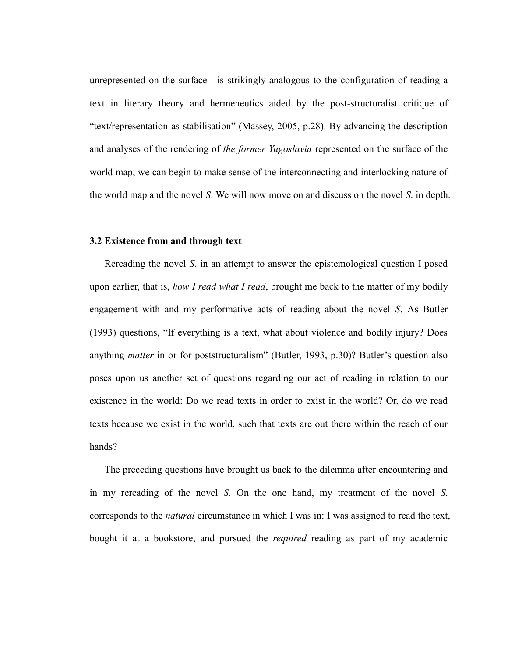unrepresented on the surface—is strikingly analogous to the configuration of reading a text in literary theory and hermeneutics aided by the post-structuralist critique of ―text/representation-as-stabilisation‖ (Massey, 2005, p.28). By advancing the description and analyses of the rendering of *the former Yugoslavia* represented on the surface of the world map, we can begin to make sense of the interconnecting and interlocking nature of the world map and the novel *S*. We will now move on and discuss on the novel *S*. in depth.

#### **3.2 Existence from and through text**

Rereading the novel *S*. in an attempt to answer the epistemological question I posed upon earlier, that is, *how I read what I read*, brought me back to the matter of my bodily engagement with and my performative acts of reading about the novel *S*. As Butler (1993) questions, "If everything is a text, what about violence and bodily injury? Does anything *matter* in or for poststructuralism" (Butler, 1993, p.30)? Butler's question also poses upon us another set of questions regarding our act of reading in relation to our existence in the world: Do we read texts in order to exist in the world? Or, do we read texts because we exist in the world, such that texts are out there within the reach of our hands?

The preceding questions have brought us back to the dilemma after encountering and in my rereading of the novel *S.* On the one hand, my treatment of the novel *S*. corresponds to the *natural* circumstance in which I was in: I was assigned to read the text, bought it at a bookstore, and pursued the *required* reading as part of my academic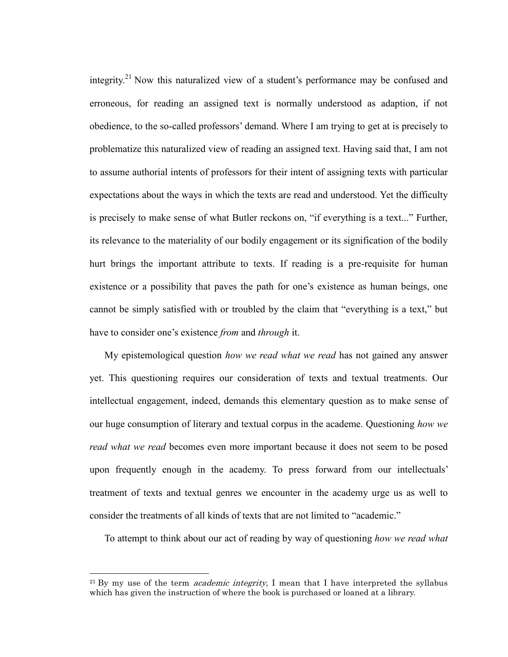integrity.<sup>21</sup> Now this naturalized view of a student's performance may be confused and erroneous, for reading an assigned text is normally understood as adaption, if not obedience, to the so-called professors' demand. Where I am trying to get at is precisely to problematize this naturalized view of reading an assigned text. Having said that, I am not to assume authorial intents of professors for their intent of assigning texts with particular expectations about the ways in which the texts are read and understood. Yet the difficulty is precisely to make sense of what Butler reckons on, "if everything is a text..." Further, its relevance to the materiality of our bodily engagement or its signification of the bodily hurt brings the important attribute to texts. If reading is a pre-requisite for human existence or a possibility that paves the path for one's existence as human beings, one cannot be simply satisfied with or troubled by the claim that "everything is a text," but have to consider one's existence *from* and *through* it.

My epistemological question *how we read what we read* has not gained any answer yet. This questioning requires our consideration of texts and textual treatments. Our intellectual engagement, indeed, demands this elementary question as to make sense of our huge consumption of literary and textual corpus in the academe. Questioning *how we read what we read* becomes even more important because it does not seem to be posed upon frequently enough in the academy. To press forward from our intellectuals' treatment of texts and textual genres we encounter in the academy urge us as well to consider the treatments of all kinds of texts that are not limited to "academic."

To attempt to think about our act of reading by way of questioning *how we read what* 

 $\overline{a}$ 

<sup>&</sup>lt;sup>21</sup> By my use of the term *academic integrity*, I mean that I have interpreted the syllabus which has given the instruction of where the book is purchased or loaned at a library.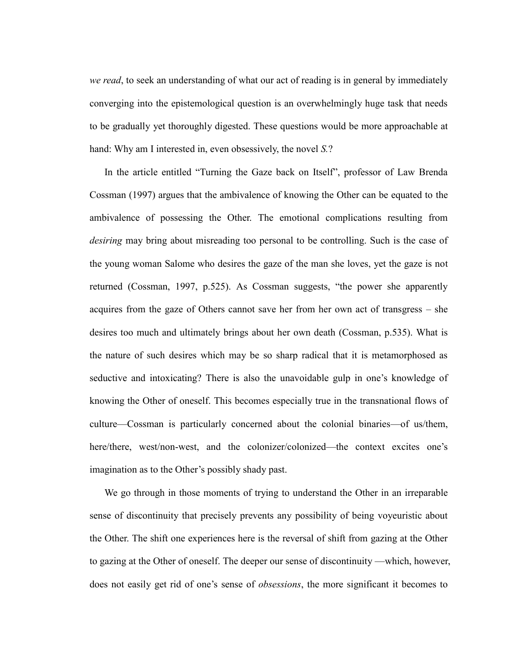*we read*, to seek an understanding of what our act of reading is in general by immediately converging into the epistemological question is an overwhelmingly huge task that needs to be gradually yet thoroughly digested. These questions would be more approachable at hand: Why am I interested in, even obsessively, the novel *S.*?

In the article entitled "Turning the Gaze back on Itself", professor of Law Brenda Cossman (1997) argues that the ambivalence of knowing the Other can be equated to the ambivalence of possessing the Other. The emotional complications resulting from *desiring* may bring about misreading too personal to be controlling. Such is the case of the young woman Salome who desires the gaze of the man she loves, yet the gaze is not returned (Cossman, 1997, p.525). As Cossman suggests, "the power she apparently acquires from the gaze of Others cannot save her from her own act of transgress – she desires too much and ultimately brings about her own death (Cossman, p.535). What is the nature of such desires which may be so sharp radical that it is metamorphosed as seductive and intoxicating? There is also the unavoidable gulp in one's knowledge of knowing the Other of oneself. This becomes especially true in the transnational flows of culture—Cossman is particularly concerned about the colonial binaries—of us/them, here/there, west/non-west, and the colonizer/colonized—the context excites one's imagination as to the Other's possibly shady past.

We go through in those moments of trying to understand the Other in an irreparable sense of discontinuity that precisely prevents any possibility of being voyeuristic about the Other. The shift one experiences here is the reversal of shift from gazing at the Other to gazing at the Other of oneself. The deeper our sense of discontinuity —which, however, does not easily get rid of one's sense of *obsessions*, the more significant it becomes to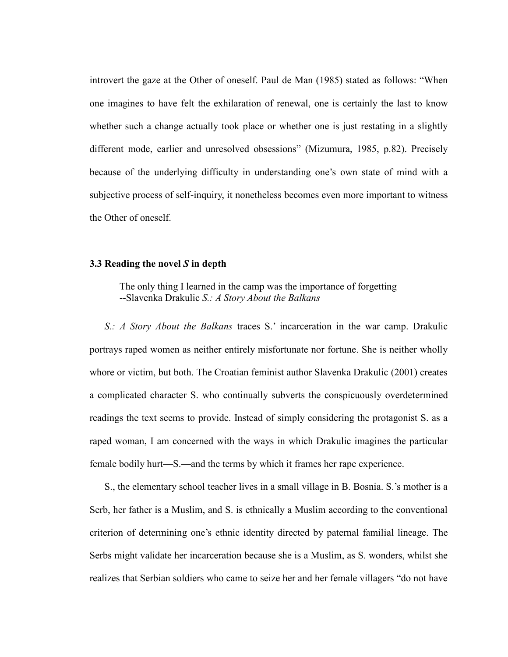introvert the gaze at the Other of oneself. Paul de Man (1985) stated as follows: "When one imagines to have felt the exhilaration of renewal, one is certainly the last to know whether such a change actually took place or whether one is just restating in a slightly different mode, earlier and unresolved obsessions" (Mizumura, 1985, p.82). Precisely because of the underlying difficulty in understanding one's own state of mind with a subjective process of self-inquiry, it nonetheless becomes even more important to witness the Other of oneself.

# **3.3 Reading the novel** *S* **in depth**

The only thing I learned in the camp was the importance of forgetting --Slavenka Drakulic *S.: A Story About the Balkans*

*S.: A Story About the Balkans* traces S.' incarceration in the war camp. Drakulic portrays raped women as neither entirely misfortunate nor fortune. She is neither wholly whore or victim, but both. The Croatian feminist author Slavenka Drakulic (2001) creates a complicated character S. who continually subverts the conspicuously overdetermined readings the text seems to provide. Instead of simply considering the protagonist S. as a raped woman, I am concerned with the ways in which Drakulic imagines the particular female bodily hurt—S.—and the terms by which it frames her rape experience.

S., the elementary school teacher lives in a small village in B. Bosnia. S.'s mother is a Serb, her father is a Muslim, and S. is ethnically a Muslim according to the conventional criterion of determining one's ethnic identity directed by paternal familial lineage. The Serbs might validate her incarceration because she is a Muslim, as S. wonders, whilst she realizes that Serbian soldiers who came to seize her and her female villagers "do not have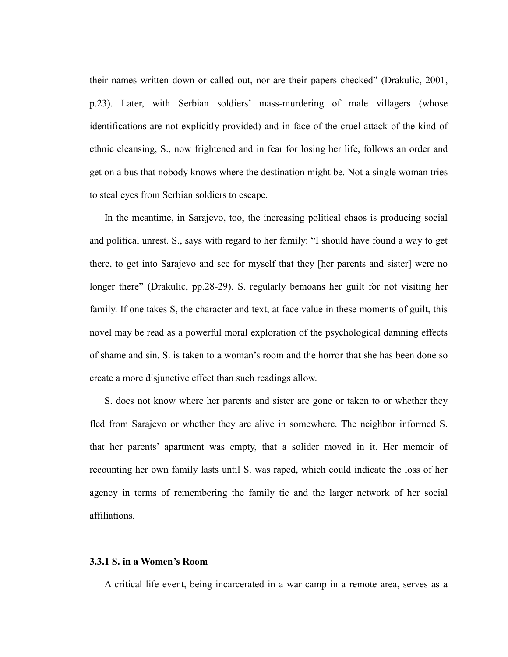their names written down or called out, nor are their papers checked" (Drakulic, 2001, p.23). Later, with Serbian soldiers' mass-murdering of male villagers (whose identifications are not explicitly provided) and in face of the cruel attack of the kind of ethnic cleansing, S., now frightened and in fear for losing her life, follows an order and get on a bus that nobody knows where the destination might be. Not a single woman tries to steal eyes from Serbian soldiers to escape.

In the meantime, in Sarajevo, too, the increasing political chaos is producing social and political unrest. S., says with regard to her family: "I should have found a way to get there, to get into Sarajevo and see for myself that they [her parents and sister] were no longer there" (Drakulic, pp.28-29). S. regularly bemoans her guilt for not visiting her family. If one takes S, the character and text, at face value in these moments of guilt, this novel may be read as a powerful moral exploration of the psychological damning effects of shame and sin. S. is taken to a woman's room and the horror that she has been done so create a more disjunctive effect than such readings allow.

S. does not know where her parents and sister are gone or taken to or whether they fled from Sarajevo or whether they are alive in somewhere. The neighbor informed S. that her parents' apartment was empty, that a solider moved in it. Her memoir of recounting her own family lasts until S. was raped, which could indicate the loss of her agency in terms of remembering the family tie and the larger network of her social affiliations.

# **3.3.1 S. in a Women's Room**

A critical life event, being incarcerated in a war camp in a remote area, serves as a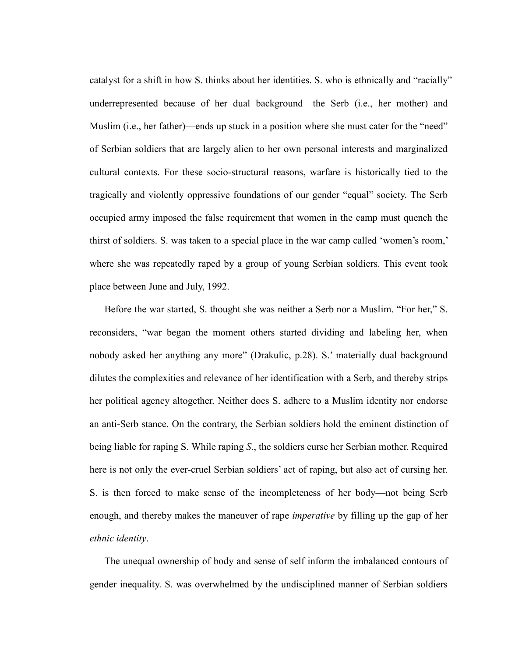catalyst for a shift in how S. thinks about her identities. S. who is ethnically and "racially" underrepresented because of her dual background—the Serb (i.e., her mother) and Muslim (i.e., her father)—ends up stuck in a position where she must cater for the "need" of Serbian soldiers that are largely alien to her own personal interests and marginalized cultural contexts. For these socio-structural reasons, warfare is historically tied to the tragically and violently oppressive foundations of our gender "equal" society. The Serb occupied army imposed the false requirement that women in the camp must quench the thirst of soldiers. S. was taken to a special place in the war camp called 'women's room,' where she was repeatedly raped by a group of young Serbian soldiers. This event took place between June and July, 1992.

Before the war started, S. thought she was neither a Serb nor a Muslim. "For her," S. reconsiders, "war began the moment others started dividing and labeling her, when nobody asked her anything any more" (Drakulic, p.28). S.' materially dual background dilutes the complexities and relevance of her identification with a Serb, and thereby strips her political agency altogether. Neither does S. adhere to a Muslim identity nor endorse an anti-Serb stance. On the contrary, the Serbian soldiers hold the eminent distinction of being liable for raping S. While raping *S*., the soldiers curse her Serbian mother. Required here is not only the ever-cruel Serbian soldiers' act of raping, but also act of cursing her. S. is then forced to make sense of the incompleteness of her body—not being Serb enough, and thereby makes the maneuver of rape *imperative* by filling up the gap of her *ethnic identity*.

The unequal ownership of body and sense of self inform the imbalanced contours of gender inequality. S. was overwhelmed by the undisciplined manner of Serbian soldiers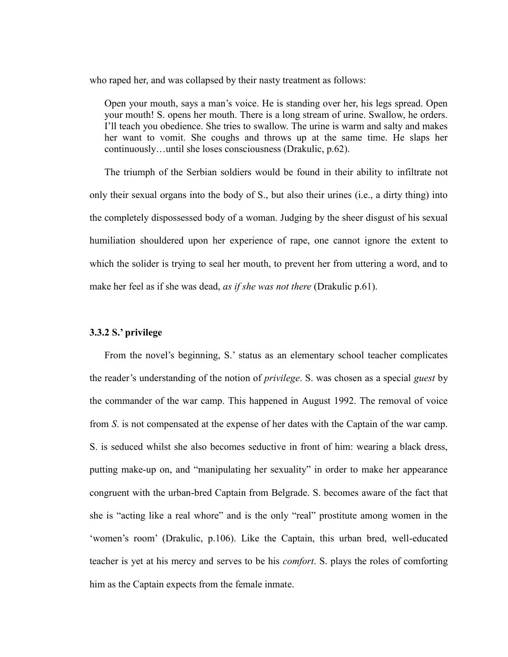who raped her, and was collapsed by their nasty treatment as follows:

Open your mouth, says a man's voice. He is standing over her, his legs spread. Open your mouth! S. opens her mouth. There is a long stream of urine. Swallow, he orders. I'll teach you obedience. She tries to swallow. The urine is warm and salty and makes her want to vomit. She coughs and throws up at the same time. He slaps her continuously…until she loses consciousness (Drakulic, p.62).

The triumph of the Serbian soldiers would be found in their ability to infiltrate not only their sexual organs into the body of S., but also their urines (i.e., a dirty thing) into the completely dispossessed body of a woman. Judging by the sheer disgust of his sexual humiliation shouldered upon her experience of rape, one cannot ignore the extent to which the solider is trying to seal her mouth, to prevent her from uttering a word, and to make her feel as if she was dead, *as if she was not there* (Drakulic p.61).

# **3.3.2 S.' privilege**

From the novel's beginning, S.' status as an elementary school teacher complicates the reader's understanding of the notion of *privilege*. S. was chosen as a special *guest* by the commander of the war camp. This happened in August 1992. The removal of voice from *S*. is not compensated at the expense of her dates with the Captain of the war camp. S. is seduced whilst she also becomes seductive in front of him: wearing a black dress, putting make-up on, and "manipulating her sexuality" in order to make her appearance congruent with the urban-bred Captain from Belgrade. S. becomes aware of the fact that she is "acting like a real whore" and is the only "real" prostitute among women in the ‗women's room' (Drakulic, p.106). Like the Captain, this urban bred, well-educated teacher is yet at his mercy and serves to be his *comfort*. S. plays the roles of comforting him as the Captain expects from the female inmate.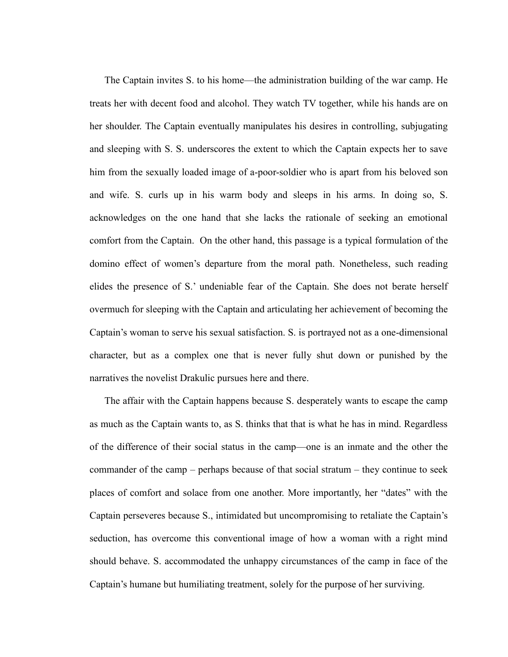The Captain invites S. to his home—the administration building of the war camp. He treats her with decent food and alcohol. They watch TV together, while his hands are on her shoulder. The Captain eventually manipulates his desires in controlling, subjugating and sleeping with S. S. underscores the extent to which the Captain expects her to save him from the sexually loaded image of a-poor-soldier who is apart from his beloved son and wife. S. curls up in his warm body and sleeps in his arms. In doing so, S. acknowledges on the one hand that she lacks the rationale of seeking an emotional comfort from the Captain. On the other hand, this passage is a typical formulation of the domino effect of women's departure from the moral path. Nonetheless, such reading elides the presence of S.' undeniable fear of the Captain. She does not berate herself overmuch for sleeping with the Captain and articulating her achievement of becoming the Captain's woman to serve his sexual satisfaction. S. is portrayed not as a one-dimensional character, but as a complex one that is never fully shut down or punished by the narratives the novelist Drakulic pursues here and there.

The affair with the Captain happens because S. desperately wants to escape the camp as much as the Captain wants to, as S. thinks that that is what he has in mind. Regardless of the difference of their social status in the camp—one is an inmate and the other the commander of the camp – perhaps because of that social stratum – they continue to seek places of comfort and solace from one another. More importantly, her "dates" with the Captain perseveres because S., intimidated but uncompromising to retaliate the Captain's seduction, has overcome this conventional image of how a woman with a right mind should behave. S. accommodated the unhappy circumstances of the camp in face of the Captain's humane but humiliating treatment, solely for the purpose of her surviving.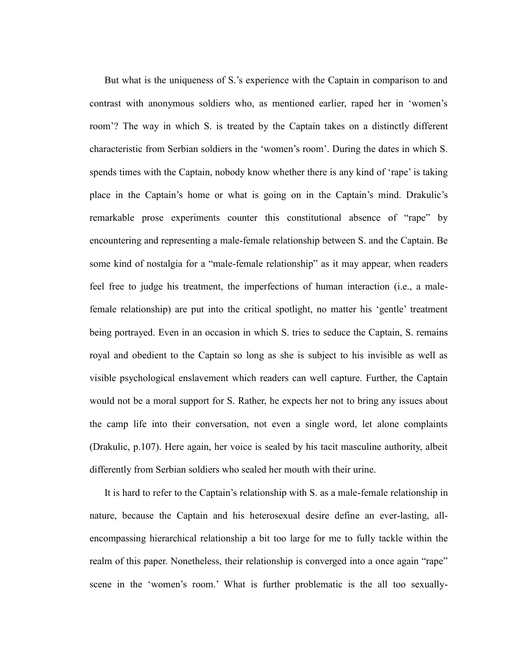But what is the uniqueness of S.'s experience with the Captain in comparison to and contrast with anonymous soldiers who, as mentioned earlier, raped her in ‗women's room'? The way in which S. is treated by the Captain takes on a distinctly different characteristic from Serbian soldiers in the 'women's room'. During the dates in which S. spends times with the Captain, nobody know whether there is any kind of 'rape' is taking place in the Captain's home or what is going on in the Captain's mind. Drakulic's remarkable prose experiments counter this constitutional absence of "rape" by encountering and representing a male-female relationship between S. and the Captain. Be some kind of nostalgia for a "male-female relationship" as it may appear, when readers feel free to judge his treatment, the imperfections of human interaction (i.e., a malefemale relationship) are put into the critical spotlight, no matter his 'gentle' treatment being portrayed. Even in an occasion in which S. tries to seduce the Captain, S. remains royal and obedient to the Captain so long as she is subject to his invisible as well as visible psychological enslavement which readers can well capture. Further, the Captain would not be a moral support for S. Rather, he expects her not to bring any issues about the camp life into their conversation, not even a single word, let alone complaints (Drakulic, p.107). Here again, her voice is sealed by his tacit masculine authority, albeit differently from Serbian soldiers who sealed her mouth with their urine.

It is hard to refer to the Captain's relationship with S. as a male-female relationship in nature, because the Captain and his heterosexual desire define an ever-lasting, allencompassing hierarchical relationship a bit too large for me to fully tackle within the realm of this paper. Nonetheless, their relationship is converged into a once again "rape" scene in the 'women's room.' What is further problematic is the all too sexually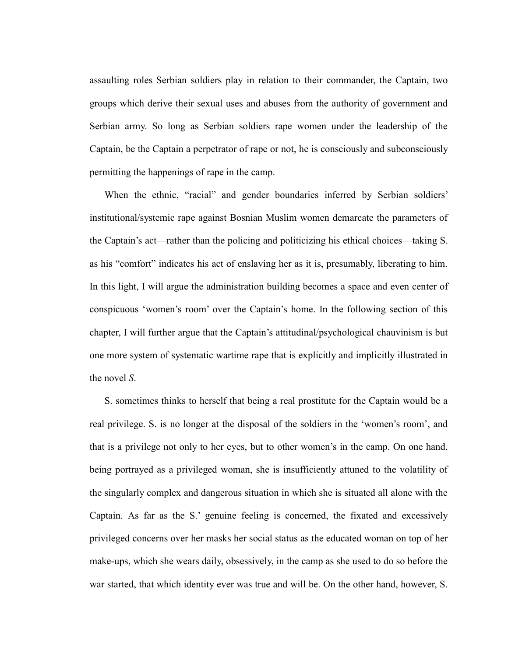assaulting roles Serbian soldiers play in relation to their commander, the Captain, two groups which derive their sexual uses and abuses from the authority of government and Serbian army. So long as Serbian soldiers rape women under the leadership of the Captain, be the Captain a perpetrator of rape or not, he is consciously and subconsciously permitting the happenings of rape in the camp.

When the ethnic, "racial" and gender boundaries inferred by Serbian soldiers' institutional/systemic rape against Bosnian Muslim women demarcate the parameters of the Captain's act—rather than the policing and politicizing his ethical choices—taking S. as his "comfort" indicates his act of enslaving her as it is, presumably, liberating to him. In this light, I will argue the administration building becomes a space and even center of conspicuous ‗women's room' over the Captain's home. In the following section of this chapter, I will further argue that the Captain's attitudinal/psychological chauvinism is but one more system of systematic wartime rape that is explicitly and implicitly illustrated in the novel *S*.

S. sometimes thinks to herself that being a real prostitute for the Captain would be a real privilege. S. is no longer at the disposal of the soldiers in the 'women's room', and that is a privilege not only to her eyes, but to other women's in the camp. On one hand, being portrayed as a privileged woman, she is insufficiently attuned to the volatility of the singularly complex and dangerous situation in which she is situated all alone with the Captain. As far as the S.' genuine feeling is concerned, the fixated and excessively privileged concerns over her masks her social status as the educated woman on top of her make-ups, which she wears daily, obsessively, in the camp as she used to do so before the war started, that which identity ever was true and will be. On the other hand, however, S.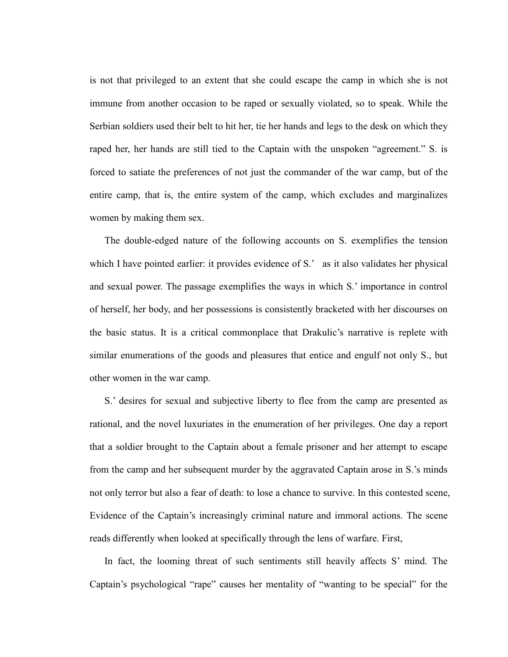is not that privileged to an extent that she could escape the camp in which she is not immune from another occasion to be raped or sexually violated, so to speak. While the Serbian soldiers used their belt to hit her, tie her hands and legs to the desk on which they raped her, her hands are still tied to the Captain with the unspoken "agreement." S. is forced to satiate the preferences of not just the commander of the war camp, but of the entire camp, that is, the entire system of the camp, which excludes and marginalizes women by making them sex.

The double-edged nature of the following accounts on S. exemplifies the tension which I have pointed earlier: it provides evidence of S.' as it also validates her physical and sexual power. The passage exemplifies the ways in which S.' importance in control of herself, her body, and her possessions is consistently bracketed with her discourses on the basic status. It is a critical commonplace that Drakulic's narrative is replete with similar enumerations of the goods and pleasures that entice and engulf not only S., but other women in the war camp.

S.' desires for sexual and subjective liberty to flee from the camp are presented as rational, and the novel luxuriates in the enumeration of her privileges. One day a report that a soldier brought to the Captain about a female prisoner and her attempt to escape from the camp and her subsequent murder by the aggravated Captain arose in S.'s minds not only terror but also a fear of death: to lose a chance to survive. In this contested scene, Evidence of the Captain's increasingly criminal nature and immoral actions. The scene reads differently when looked at specifically through the lens of warfare. First,

In fact, the looming threat of such sentiments still heavily affects S' mind. The Captain's psychological "rape" causes her mentality of "wanting to be special" for the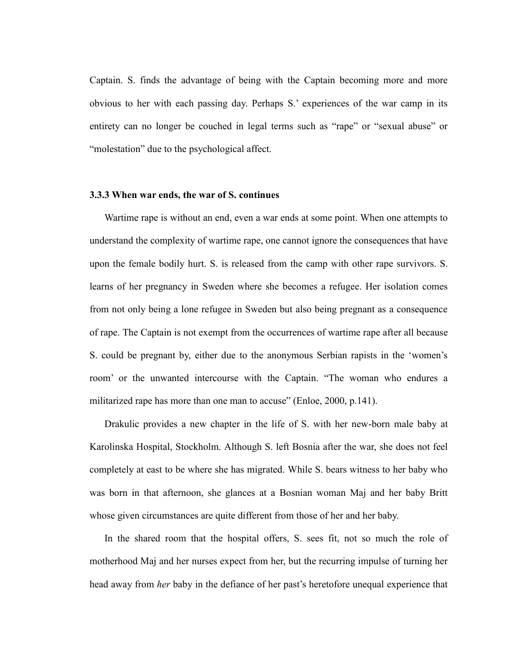Captain. S. finds the advantage of being with the Captain becoming more and more obvious to her with each passing day. Perhaps S.' experiences of the war camp in its entirety can no longer be couched in legal terms such as "rape" or "sexual abuse" or "molestation" due to the psychological affect.

#### **3.3.3 When war ends, the war of S. continues**

Wartime rape is without an end, even a war ends at some point. When one attempts to understand the complexity of wartime rape, one cannot ignore the consequences that have upon the female bodily hurt. S. is released from the camp with other rape survivors. S. learns of her pregnancy in Sweden where she becomes a refugee. Her isolation comes from not only being a lone refugee in Sweden but also being pregnant as a consequence of rape. The Captain is not exempt from the occurrences of wartime rape after all because S. could be pregnant by, either due to the anonymous Serbian rapists in the 'women's room' or the unwanted intercourse with the Captain. "The woman who endures a militarized rape has more than one man to accuse" (Enloe, 2000, p.141).

Drakulic provides a new chapter in the life of S. with her new-born male baby at Karolinska Hospital, Stockholm. Although S. left Bosnia after the war, she does not feel completely at east to be where she has migrated. While S. bears witness to her baby who was born in that afternoon, she glances at a Bosnian woman Maj and her baby Britt whose given circumstances are quite different from those of her and her baby.

In the shared room that the hospital offers, S. sees fit, not so much the role of motherhood Maj and her nurses expect from her, but the recurring impulse of turning her head away from *her* baby in the defiance of her past's heretofore unequal experience that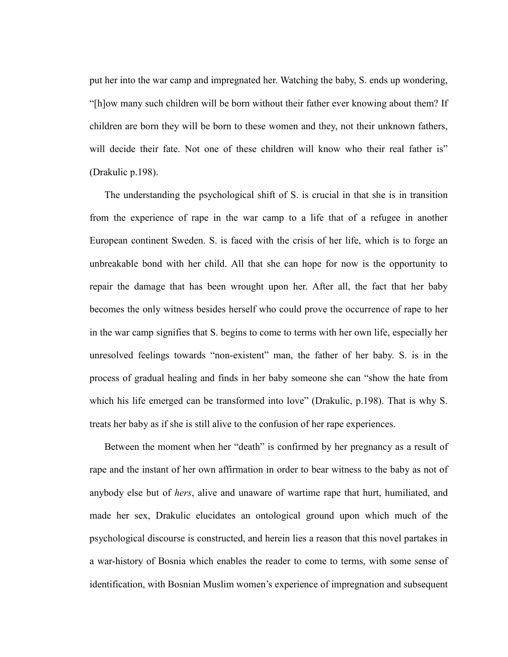put her into the war camp and impregnated her. Watching the baby, S. ends up wondering, ―[h]ow many such children will be born without their father ever knowing about them? If children are born they will be born to these women and they, not their unknown fathers, will decide their fate. Not one of these children will know who their real father is" (Drakulic p.198).

The understanding the psychological shift of S. is crucial in that she is in transition from the experience of rape in the war camp to a life that of a refugee in another European continent Sweden. S. is faced with the crisis of her life, which is to forge an unbreakable bond with her child. All that she can hope for now is the opportunity to repair the damage that has been wrought upon her. After all, the fact that her baby becomes the only witness besides herself who could prove the occurrence of rape to her in the war camp signifies that S. begins to come to terms with her own life, especially her unresolved feelings towards "non-existent" man, the father of her baby. S. is in the process of gradual healing and finds in her baby someone she can "show the hate from which his life emerged can be transformed into love" (Drakulic, p.198). That is why S. treats her baby as if she is still alive to the confusion of her rape experiences.

Between the moment when her "death" is confirmed by her pregnancy as a result of rape and the instant of her own affirmation in order to bear witness to the baby as not of anybody else but of *hers*, alive and unaware of wartime rape that hurt, humiliated, and made her sex, Drakulic elucidates an ontological ground upon which much of the psychological discourse is constructed, and herein lies a reason that this novel partakes in a war-history of Bosnia which enables the reader to come to terms, with some sense of identification, with Bosnian Muslim women's experience of impregnation and subsequent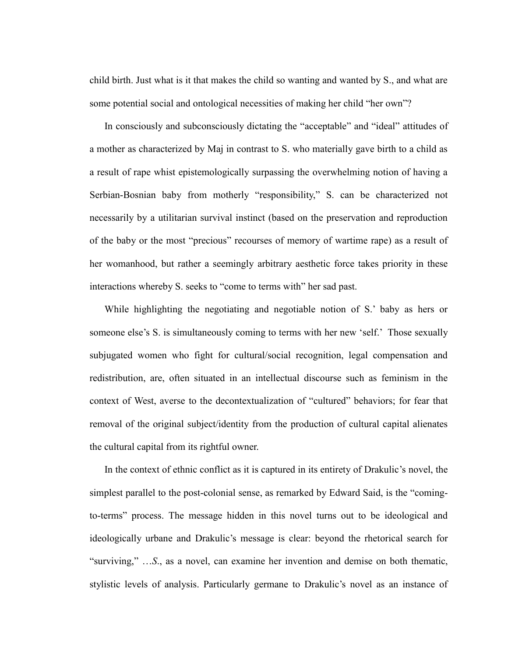child birth. Just what is it that makes the child so wanting and wanted by S., and what are some potential social and ontological necessities of making her child "her own"?

In consciously and subconsciously dictating the "acceptable" and "ideal" attitudes of a mother as characterized by Maj in contrast to S. who materially gave birth to a child as a result of rape whist epistemologically surpassing the overwhelming notion of having a Serbian-Bosnian baby from motherly "responsibility," S. can be characterized not necessarily by a utilitarian survival instinct (based on the preservation and reproduction of the baby or the most "precious" recourses of memory of wartime rape) as a result of her womanhood, but rather a seemingly arbitrary aesthetic force takes priority in these interactions whereby S. seeks to "come to terms with" her sad past.

While highlighting the negotiating and negotiable notion of S.' baby as hers or someone else's S. is simultaneously coming to terms with her new 'self.' Those sexually subjugated women who fight for cultural/social recognition, legal compensation and redistribution, are, often situated in an intellectual discourse such as feminism in the context of West, averse to the decontextualization of "cultured" behaviors; for fear that removal of the original subject/identity from the production of cultural capital alienates the cultural capital from its rightful owner.

In the context of ethnic conflict as it is captured in its entirety of Drakulic's novel, the simplest parallel to the post-colonial sense, as remarked by Edward Said, is the "comingto-terms" process. The message hidden in this novel turns out to be ideological and ideologically urbane and Drakulic's message is clear: beyond the rhetorical search for "surviving," …S., as a novel, can examine her invention and demise on both thematic, stylistic levels of analysis. Particularly germane to Drakulic's novel as an instance of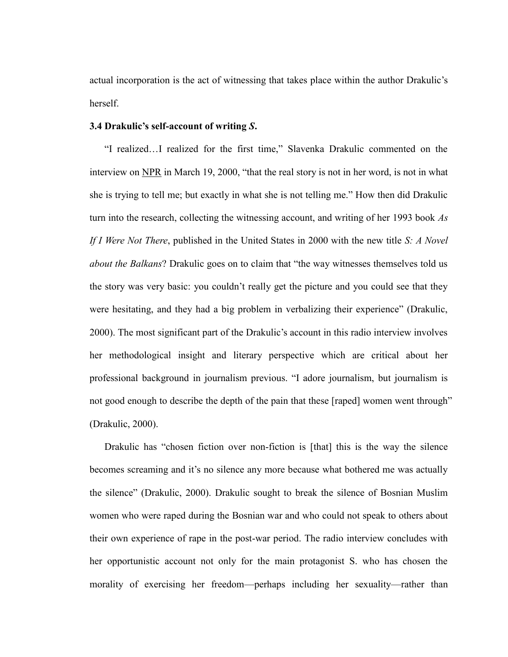actual incorporation is the act of witnessing that takes place within the author Drakulic's herself.

#### **3.4 Drakulic's self-account of writing** *S***.**

"I realized...I realized for the first time," Slavenka Drakulic commented on the interview on NPR in March 19, 2000, "that the real story is not in her word, is not in what she is trying to tell me; but exactly in what she is not telling me." How then did Drakulic turn into the research, collecting the witnessing account, and writing of her 1993 book *As If I Were Not There*, published in the United States in 2000 with the new title *S: A Novel about the Balkans*? Drakulic goes on to claim that "the way witnesses themselves told us the story was very basic: you couldn't really get the picture and you could see that they were hesitating, and they had a big problem in verbalizing their experience" (Drakulic, 2000). The most significant part of the Drakulic's account in this radio interview involves her methodological insight and literary perspective which are critical about her professional background in journalism previous. "I adore journalism, but journalism is not good enough to describe the depth of the pain that these [raped] women went through" (Drakulic, 2000).

Drakulic has "chosen fiction over non-fiction is [that] this is the way the silence becomes screaming and it's no silence any more because what bothered me was actually the silence" (Drakulic, 2000). Drakulic sought to break the silence of Bosnian Muslim women who were raped during the Bosnian war and who could not speak to others about their own experience of rape in the post-war period. The radio interview concludes with her opportunistic account not only for the main protagonist S. who has chosen the morality of exercising her freedom—perhaps including her sexuality—rather than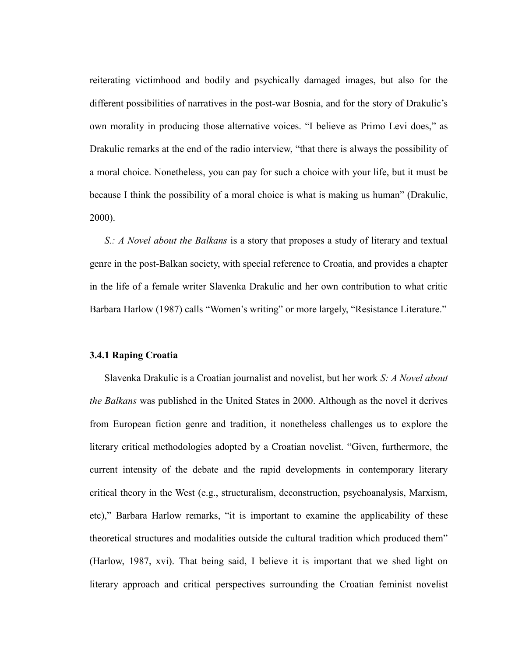reiterating victimhood and bodily and psychically damaged images, but also for the different possibilities of narratives in the post-war Bosnia, and for the story of Drakulic's own morality in producing those alternative voices. "I believe as Primo Levi does," as Drakulic remarks at the end of the radio interview, "that there is always the possibility of a moral choice. Nonetheless, you can pay for such a choice with your life, but it must be because I think the possibility of a moral choice is what is making us human" (Drakulic, 2000).

*S.: A Novel about the Balkans* is a story that proposes a study of literary and textual genre in the post-Balkan society, with special reference to Croatia, and provides a chapter in the life of a female writer Slavenka Drakulic and her own contribution to what critic Barbara Harlow (1987) calls "Women's writing" or more largely, "Resistance Literature."

# **3.4.1 Raping Croatia**

Slavenka Drakulic is a Croatian journalist and novelist, but her work *S: A Novel about the Balkans* was published in the United States in 2000. Although as the novel it derives from European fiction genre and tradition, it nonetheless challenges us to explore the literary critical methodologies adopted by a Croatian novelist. "Given, furthermore, the current intensity of the debate and the rapid developments in contemporary literary critical theory in the West (e.g., structuralism, deconstruction, psychoanalysis, Marxism, etc)," Barbara Harlow remarks, "it is important to examine the applicability of these theoretical structures and modalities outside the cultural tradition which produced them<sup>?</sup> (Harlow, 1987, xvi). That being said, I believe it is important that we shed light on literary approach and critical perspectives surrounding the Croatian feminist novelist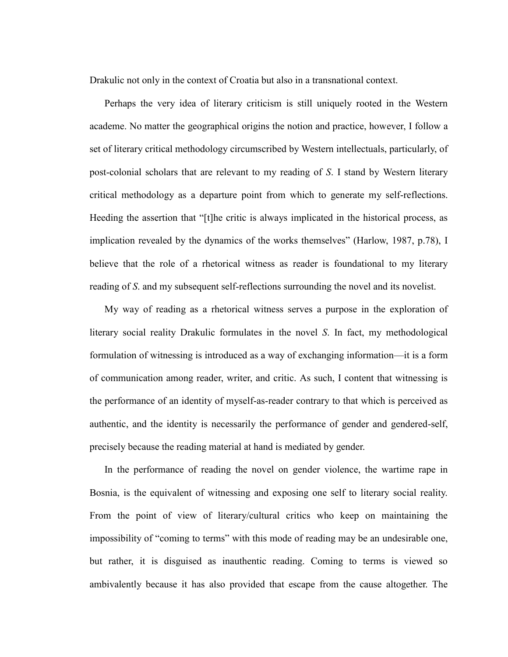Drakulic not only in the context of Croatia but also in a transnational context.

Perhaps the very idea of literary criticism is still uniquely rooted in the Western academe. No matter the geographical origins the notion and practice, however, I follow a set of literary critical methodology circumscribed by Western intellectuals, particularly, of post-colonial scholars that are relevant to my reading of *S*. I stand by Western literary critical methodology as a departure point from which to generate my self-reflections. Heeding the assertion that "[t]he critic is always implicated in the historical process, as implication revealed by the dynamics of the works themselves" (Harlow, 1987, p.78), I believe that the role of a rhetorical witness as reader is foundational to my literary reading of *S*. and my subsequent self-reflections surrounding the novel and its novelist.

My way of reading as a rhetorical witness serves a purpose in the exploration of literary social reality Drakulic formulates in the novel *S*. In fact, my methodological formulation of witnessing is introduced as a way of exchanging information—it is a form of communication among reader, writer, and critic. As such, I content that witnessing is the performance of an identity of myself-as-reader contrary to that which is perceived as authentic, and the identity is necessarily the performance of gender and gendered-self, precisely because the reading material at hand is mediated by gender.

In the performance of reading the novel on gender violence, the wartime rape in Bosnia, is the equivalent of witnessing and exposing one self to literary social reality. From the point of view of literary/cultural critics who keep on maintaining the impossibility of "coming to terms" with this mode of reading may be an undesirable one, but rather, it is disguised as inauthentic reading. Coming to terms is viewed so ambivalently because it has also provided that escape from the cause altogether. The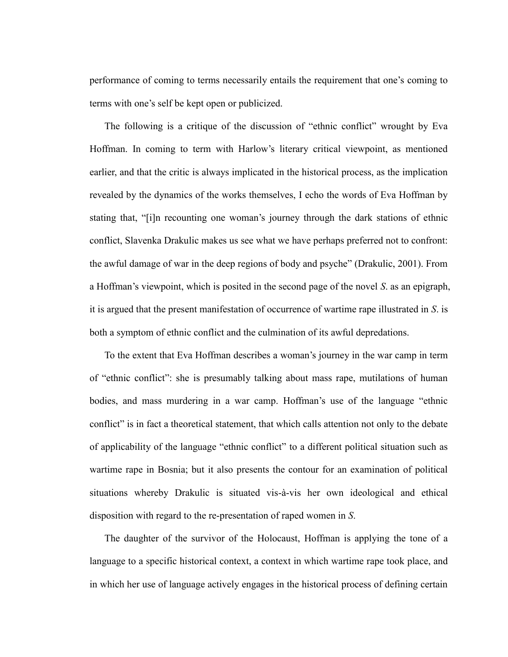performance of coming to terms necessarily entails the requirement that one's coming to terms with one's self be kept open or publicized.

The following is a critique of the discussion of "ethnic conflict" wrought by Eva Hoffman. In coming to term with Harlow's literary critical viewpoint, as mentioned earlier, and that the critic is always implicated in the historical process, as the implication revealed by the dynamics of the works themselves, I echo the words of Eva Hoffman by stating that, "[i]n recounting one woman's journey through the dark stations of ethnic conflict, Slavenka Drakulic makes us see what we have perhaps preferred not to confront: the awful damage of war in the deep regions of body and psyche" (Drakulic, 2001). From a Hoffman's viewpoint, which is posited in the second page of the novel *S*. as an epigraph, it is argued that the present manifestation of occurrence of wartime rape illustrated in *S*. is both a symptom of ethnic conflict and the culmination of its awful depredations.

To the extent that Eva Hoffman describes a woman's journey in the war camp in term of "ethnic conflict": she is presumably talking about mass rape, mutilations of human bodies, and mass murdering in a war camp. Hoffman's use of the language "ethnic conflict" is in fact a theoretical statement, that which calls attention not only to the debate of applicability of the language "ethnic conflict" to a different political situation such as wartime rape in Bosnia; but it also presents the contour for an examination of political situations whereby Drakulic is situated vis-à-vis her own ideological and ethical disposition with regard to the re-presentation of raped women in *S*.

The daughter of the survivor of the Holocaust, Hoffman is applying the tone of a language to a specific historical context, a context in which wartime rape took place, and in which her use of language actively engages in the historical process of defining certain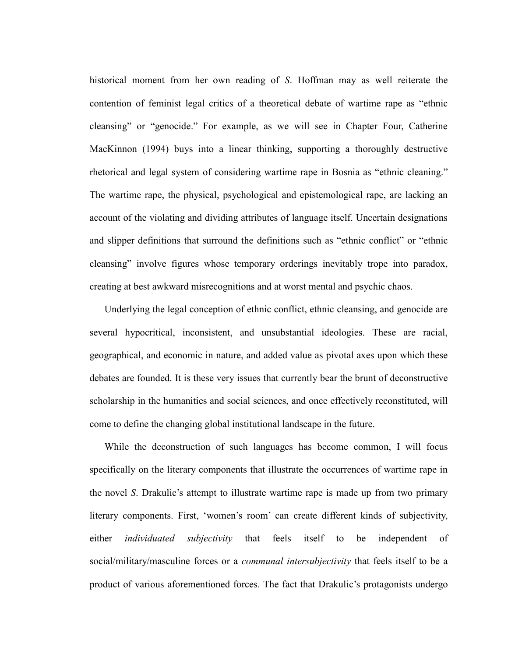historical moment from her own reading of *S*. Hoffman may as well reiterate the contention of feminist legal critics of a theoretical debate of wartime rape as "ethnic cleansing" or "genocide." For example, as we will see in Chapter Four, Catherine MacKinnon (1994) buys into a linear thinking, supporting a thoroughly destructive rhetorical and legal system of considering wartime rape in Bosnia as "ethnic cleaning." The wartime rape, the physical, psychological and epistemological rape, are lacking an account of the violating and dividing attributes of language itself. Uncertain designations and slipper definitions that surround the definitions such as "ethnic conflict" or "ethnic cleansing" involve figures whose temporary orderings inevitably trope into paradox, creating at best awkward misrecognitions and at worst mental and psychic chaos.

Underlying the legal conception of ethnic conflict, ethnic cleansing, and genocide are several hypocritical, inconsistent, and unsubstantial ideologies. These are racial, geographical, and economic in nature, and added value as pivotal axes upon which these debates are founded. It is these very issues that currently bear the brunt of deconstructive scholarship in the humanities and social sciences, and once effectively reconstituted, will come to define the changing global institutional landscape in the future.

While the deconstruction of such languages has become common, I will focus specifically on the literary components that illustrate the occurrences of wartime rape in the novel *S*. Drakulic's attempt to illustrate wartime rape is made up from two primary literary components. First, ‗women's room' can create different kinds of subjectivity, either *individuated subjectivity* that feels itself to be independent of social/military/masculine forces or a *communal intersubjectivity* that feels itself to be a product of various aforementioned forces. The fact that Drakulic's protagonists undergo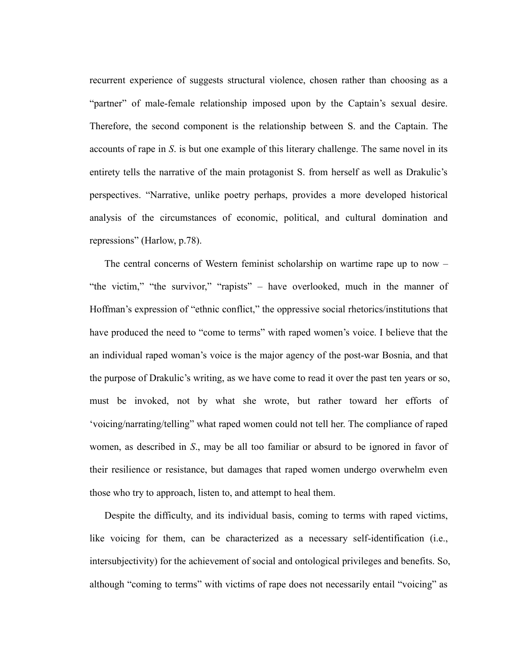recurrent experience of suggests structural violence, chosen rather than choosing as a "partner" of male-female relationship imposed upon by the Captain's sexual desire. Therefore, the second component is the relationship between S. and the Captain. The accounts of rape in *S*. is but one example of this literary challenge. The same novel in its entirety tells the narrative of the main protagonist S. from herself as well as Drakulic's perspectives. "Narrative, unlike poetry perhaps, provides a more developed historical analysis of the circumstances of economic, political, and cultural domination and repressions" (Harlow, p.78).

The central concerns of Western feminist scholarship on wartime rape up to now – "the victim," "the survivor," "rapists" – have overlooked, much in the manner of Hoffman's expression of "ethnic conflict," the oppressive social rhetorics/institutions that have produced the need to "come to terms" with raped women's voice. I believe that the an individual raped woman's voice is the major agency of the post-war Bosnia, and that the purpose of Drakulic's writing, as we have come to read it over the past ten years or so, must be invoked, not by what she wrote, but rather toward her efforts of 'voicing/narrating/telling" what raped women could not tell her. The compliance of raped women, as described in *S*., may be all too familiar or absurd to be ignored in favor of their resilience or resistance, but damages that raped women undergo overwhelm even those who try to approach, listen to, and attempt to heal them.

Despite the difficulty, and its individual basis, coming to terms with raped victims, like voicing for them, can be characterized as a necessary self-identification (i.e., intersubjectivity) for the achievement of social and ontological privileges and benefits. So, although "coming to terms" with victims of rape does not necessarily entail "voicing" as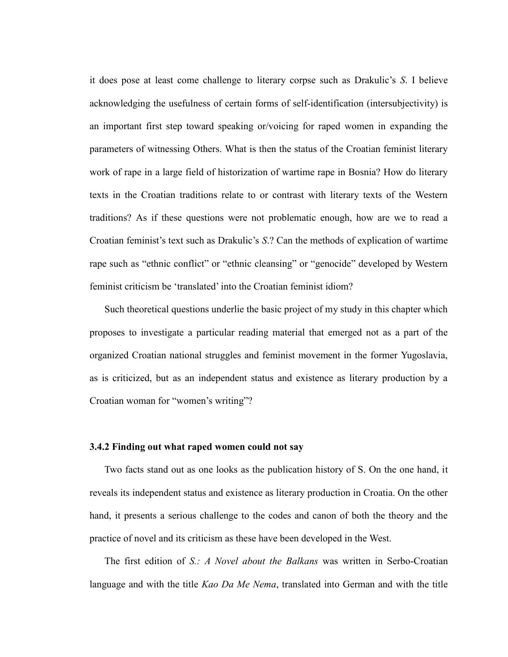it does pose at least come challenge to literary corpse such as Drakulic's *S*. I believe acknowledging the usefulness of certain forms of self-identification (intersubjectivity) is an important first step toward speaking or/voicing for raped women in expanding the parameters of witnessing Others. What is then the status of the Croatian feminist literary work of rape in a large field of historization of wartime rape in Bosnia? How do literary texts in the Croatian traditions relate to or contrast with literary texts of the Western traditions? As if these questions were not problematic enough, how are we to read a Croatian feminist's text such as Drakulic's *S*.? Can the methods of explication of wartime rape such as "ethnic conflict" or "ethnic cleansing" or "genocide" developed by Western feminist criticism be 'translated' into the Croatian feminist idiom?

Such theoretical questions underlie the basic project of my study in this chapter which proposes to investigate a particular reading material that emerged not as a part of the organized Croatian national struggles and feminist movement in the former Yugoslavia, as is criticized, but as an independent status and existence as literary production by a Croatian woman for "women's writing"?

# **3.4.2 Finding out what raped women could not say**

Two facts stand out as one looks as the publication history of S. On the one hand, it reveals its independent status and existence as literary production in Croatia. On the other hand, it presents a serious challenge to the codes and canon of both the theory and the practice of novel and its criticism as these have been developed in the West.

The first edition of *S.: A Novel about the Balkans* was written in Serbo-Croatian language and with the title *Kao Da Me Nema*, translated into German and with the title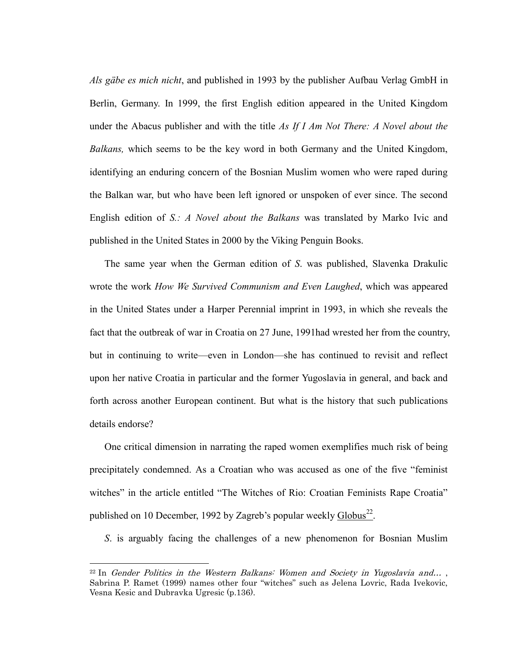*Als gäbe es mich nicht*, and published in 1993 by the publisher Aufbau Verlag GmbH in Berlin, Germany. In 1999, the first English edition appeared in the United Kingdom under the Abacus publisher and with the title *As If I Am Not There: A Novel about the Balkans,* which seems to be the key word in both Germany and the United Kingdom, identifying an enduring concern of the Bosnian Muslim women who were raped during the Balkan war, but who have been left ignored or unspoken of ever since. The second English edition of *S.: A Novel about the Balkans* was translated by Marko Ivic and published in the United States in 2000 by the Viking Penguin Books.

The same year when the German edition of *S*. was published, Slavenka Drakulic wrote the work *How We Survived Communism and Even Laughed*, which was appeared in the United States under a Harper Perennial imprint in 1993, in which she reveals the fact that the outbreak of war in Croatia on 27 June, 1991had wrested her from the country, but in continuing to write—even in London—she has continued to revisit and reflect upon her native Croatia in particular and the former Yugoslavia in general, and back and forth across another European continent. But what is the history that such publications details endorse?

One critical dimension in narrating the raped women exemplifies much risk of being precipitately condemned. As a Croatian who was accused as one of the five "feminist" witches" in the article entitled "The Witches of Rio: Croatian Feminists Rape Croatia" published on 10 December, 1992 by Zagreb's popular weekly Globus<sup>22</sup>.

*S*. is arguably facing the challenges of a new phenomenon for Bosnian Muslim

 $\overline{a}$ 

 $22 \text{ In }$  Gender Politics in the Western Balkans: Women and Society in Yugoslavia and..., Sabrina P. Ramet (1999) names other four "witches" such as Jelena Lovric, Rada Ivekovic, Vesna Kesic and Dubravka Ugresic (p.136).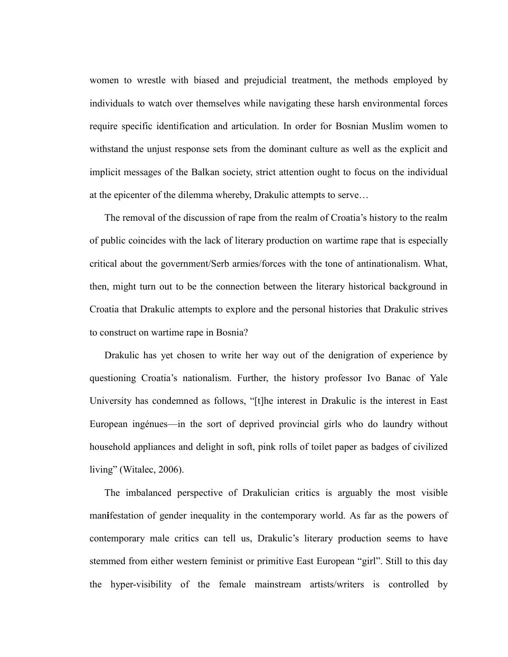women to wrestle with biased and prejudicial treatment, the methods employed by individuals to watch over themselves while navigating these harsh environmental forces require specific identification and articulation. In order for Bosnian Muslim women to withstand the unjust response sets from the dominant culture as well as the explicit and implicit messages of the Balkan society, strict attention ought to focus on the individual at the epicenter of the dilemma whereby, Drakulic attempts to serve…

The removal of the discussion of rape from the realm of Croatia's history to the realm of public coincides with the lack of literary production on wartime rape that is especially critical about the government/Serb armies/forces with the tone of antinationalism. What, then, might turn out to be the connection between the literary historical background in Croatia that Drakulic attempts to explore and the personal histories that Drakulic strives to construct on wartime rape in Bosnia?

Drakulic has yet chosen to write her way out of the denigration of experience by questioning Croatia's nationalism. Further, the history professor Ivo Banac of Yale University has condemned as follows, "[t]he interest in Drakulic is the interest in East European ingénues—in the sort of deprived provincial girls who do laundry without household appliances and delight in soft, pink rolls of toilet paper as badges of civilized living" (Witalec,  $2006$ ).

The imbalanced perspective of Drakulician critics is arguably the most visible man**i**festation of gender inequality in the contemporary world. As far as the powers of contemporary male critics can tell us, Drakulic's literary production seems to have stemmed from either western feminist or primitive East European "girl". Still to this day the hyper-visibility of the female mainstream artists/writers is controlled by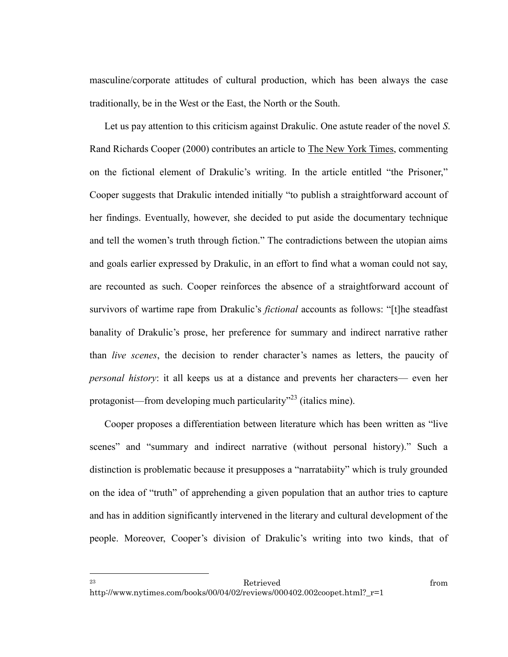masculine/corporate attitudes of cultural production, which has been always the case traditionally, be in the West or the East, the North or the South.

Let us pay attention to this criticism against Drakulic. One astute reader of the novel *S*. Rand Richards Cooper (2000) contributes an article to The New York Times, commenting on the fictional element of Drakulic's writing. In the article entitled "the Prisoner," Cooper suggests that Drakulic intended initially "to publish a straightforward account of her findings. Eventually, however, she decided to put aside the documentary technique and tell the women's truth through fiction." The contradictions between the utopian aims and goals earlier expressed by Drakulic, in an effort to find what a woman could not say, are recounted as such. Cooper reinforces the absence of a straightforward account of survivors of wartime rape from Drakulic's *fictional* accounts as follows: "[t]he steadfast banality of Drakulic's prose, her preference for summary and indirect narrative rather than *live scenes*, the decision to render character's names as letters, the paucity of *personal history*: it all keeps us at a distance and prevents her characters— even her protagonist—from developing much particularity<sup> $23$ </sup> (italics mine).

Cooper proposes a differentiation between literature which has been written as "live" scenes" and "summary and indirect narrative (without personal history)." Such a distinction is problematic because it presupposes a "narratabiity" which is truly grounded on the idea of "truth" of apprehending a given population that an author tries to capture and has in addition significantly intervened in the literary and cultural development of the people. Moreover, Cooper's division of Drakulic's writing into two kinds, that of

 $\overline{a}$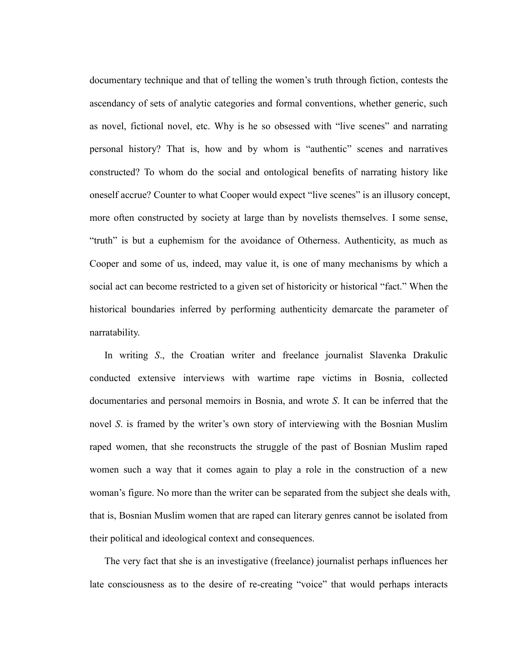documentary technique and that of telling the women's truth through fiction, contests the ascendancy of sets of analytic categories and formal conventions, whether generic, such as novel, fictional novel, etc. Why is he so obsessed with "live scenes" and narrating personal history? That is, how and by whom is "authentic" scenes and narratives constructed? To whom do the social and ontological benefits of narrating history like oneself accrue? Counter to what Cooper would expect "live scenes" is an illusory concept, more often constructed by society at large than by novelists themselves. I some sense, ―truth‖ is but a euphemism for the avoidance of Otherness. Authenticity, as much as Cooper and some of us, indeed, may value it, is one of many mechanisms by which a social act can become restricted to a given set of historicity or historical "fact." When the historical boundaries inferred by performing authenticity demarcate the parameter of narratability.

In writing *S*., the Croatian writer and freelance journalist Slavenka Drakulic conducted extensive interviews with wartime rape victims in Bosnia, collected documentaries and personal memoirs in Bosnia, and wrote *S*. It can be inferred that the novel *S*. is framed by the writer's own story of interviewing with the Bosnian Muslim raped women, that she reconstructs the struggle of the past of Bosnian Muslim raped women such a way that it comes again to play a role in the construction of a new woman's figure. No more than the writer can be separated from the subject she deals with, that is, Bosnian Muslim women that are raped can literary genres cannot be isolated from their political and ideological context and consequences.

The very fact that she is an investigative (freelance) journalist perhaps influences her late consciousness as to the desire of re-creating "voice" that would perhaps interacts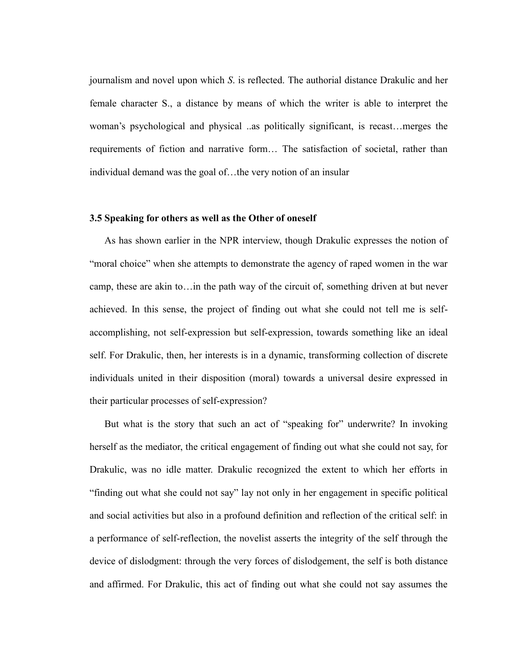journalism and novel upon which *S*. is reflected. The authorial distance Drakulic and her female character S., a distance by means of which the writer is able to interpret the woman's psychological and physical ..as politically significant, is recast…merges the requirements of fiction and narrative form… The satisfaction of societal, rather than individual demand was the goal of…the very notion of an insular

# **3.5 Speaking for others as well as the Other of oneself**

As has shown earlier in the NPR interview, though Drakulic expresses the notion of "moral choice" when she attempts to demonstrate the agency of raped women in the war camp, these are akin to…in the path way of the circuit of, something driven at but never achieved. In this sense, the project of finding out what she could not tell me is selfaccomplishing, not self-expression but self-expression, towards something like an ideal self. For Drakulic, then, her interests is in a dynamic, transforming collection of discrete individuals united in their disposition (moral) towards a universal desire expressed in their particular processes of self-expression?

But what is the story that such an act of "speaking for" underwrite? In invoking herself as the mediator, the critical engagement of finding out what she could not say, for Drakulic, was no idle matter. Drakulic recognized the extent to which her efforts in "finding out what she could not say" lay not only in her engagement in specific political and social activities but also in a profound definition and reflection of the critical self: in a performance of self-reflection, the novelist asserts the integrity of the self through the device of dislodgment: through the very forces of dislodgement, the self is both distance and affirmed. For Drakulic, this act of finding out what she could not say assumes the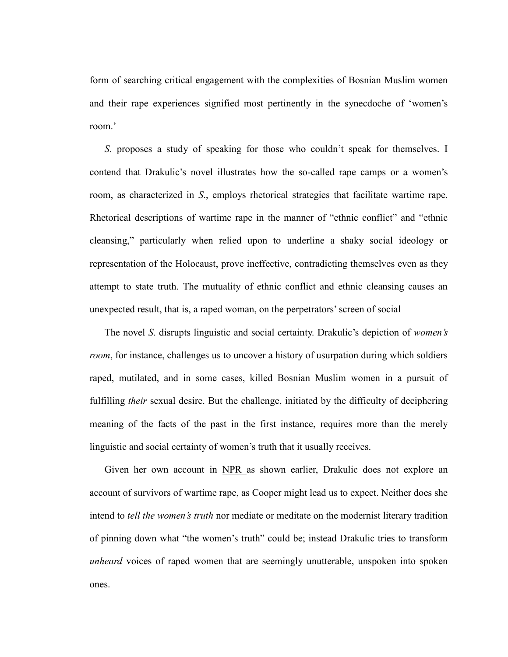form of searching critical engagement with the complexities of Bosnian Muslim women and their rape experiences signified most pertinently in the synecdoche of 'women's room.'

*S*. proposes a study of speaking for those who couldn't speak for themselves. I contend that Drakulic's novel illustrates how the so-called rape camps or a women's room, as characterized in *S*., employs rhetorical strategies that facilitate wartime rape. Rhetorical descriptions of wartime rape in the manner of "ethnic conflict" and "ethnic cleansing,‖ particularly when relied upon to underline a shaky social ideology or representation of the Holocaust, prove ineffective, contradicting themselves even as they attempt to state truth. The mutuality of ethnic conflict and ethnic cleansing causes an unexpected result, that is, a raped woman, on the perpetrators' screen of social

The novel *S*. disrupts linguistic and social certainty. Drakulic's depiction of *women's room*, for instance, challenges us to uncover a history of usurpation during which soldiers raped, mutilated, and in some cases, killed Bosnian Muslim women in a pursuit of fulfilling *their* sexual desire. But the challenge, initiated by the difficulty of deciphering meaning of the facts of the past in the first instance, requires more than the merely linguistic and social certainty of women's truth that it usually receives.

Given her own account in NPR as shown earlier, Drakulic does not explore an account of survivors of wartime rape, as Cooper might lead us to expect. Neither does she intend to *tell the women's truth* nor mediate or meditate on the modernist literary tradition of pinning down what "the women's truth" could be; instead Drakulic tries to transform *unheard* voices of raped women that are seemingly unutterable, unspoken into spoken ones.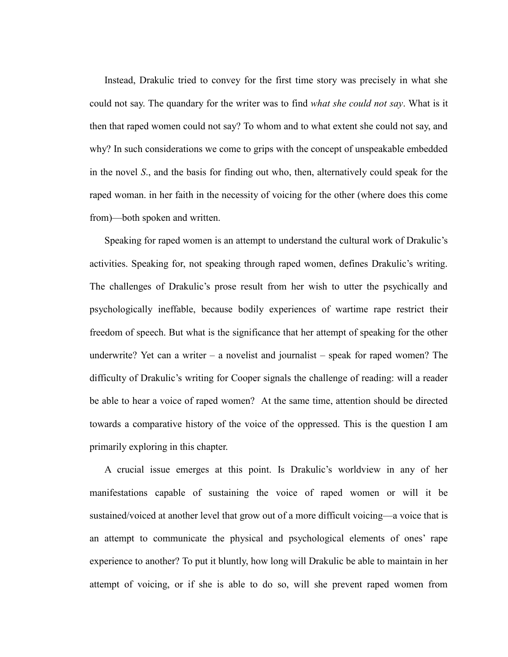Instead, Drakulic tried to convey for the first time story was precisely in what she could not say. The quandary for the writer was to find *what she could not say*. What is it then that raped women could not say? To whom and to what extent she could not say, and why? In such considerations we come to grips with the concept of unspeakable embedded in the novel *S*., and the basis for finding out who, then, alternatively could speak for the raped woman. in her faith in the necessity of voicing for the other (where does this come from)—both spoken and written.

Speaking for raped women is an attempt to understand the cultural work of Drakulic's activities. Speaking for, not speaking through raped women, defines Drakulic's writing. The challenges of Drakulic's prose result from her wish to utter the psychically and psychologically ineffable, because bodily experiences of wartime rape restrict their freedom of speech. But what is the significance that her attempt of speaking for the other underwrite? Yet can a writer – a novelist and journalist – speak for raped women? The difficulty of Drakulic's writing for Cooper signals the challenge of reading: will a reader be able to hear a voice of raped women? At the same time, attention should be directed towards a comparative history of the voice of the oppressed. This is the question I am primarily exploring in this chapter.

A crucial issue emerges at this point. Is Drakulic's worldview in any of her manifestations capable of sustaining the voice of raped women or will it be sustained/voiced at another level that grow out of a more difficult voicing—a voice that is an attempt to communicate the physical and psychological elements of ones' rape experience to another? To put it bluntly, how long will Drakulic be able to maintain in her attempt of voicing, or if she is able to do so, will she prevent raped women from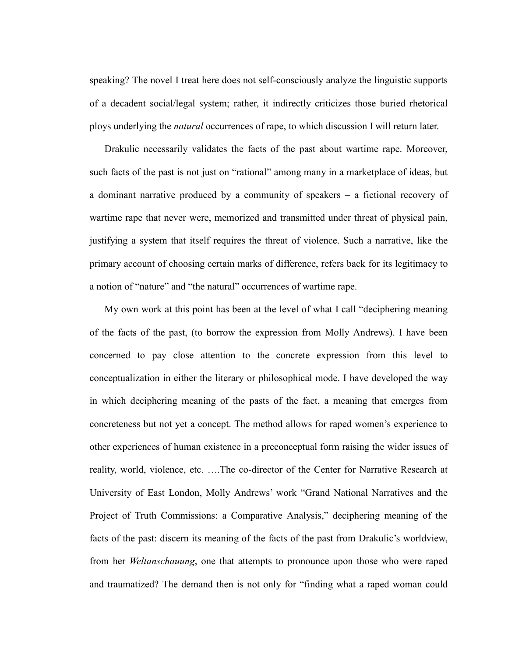speaking? The novel I treat here does not self-consciously analyze the linguistic supports of a decadent social/legal system; rather, it indirectly criticizes those buried rhetorical ploys underlying the *natural* occurrences of rape, to which discussion I will return later.

Drakulic necessarily validates the facts of the past about wartime rape. Moreover, such facts of the past is not just on "rational" among many in a marketplace of ideas, but a dominant narrative produced by a community of speakers – a fictional recovery of wartime rape that never were, memorized and transmitted under threat of physical pain, justifying a system that itself requires the threat of violence. Such a narrative, like the primary account of choosing certain marks of difference, refers back for its legitimacy to a notion of "nature" and "the natural" occurrences of wartime rape.

My own work at this point has been at the level of what I call "deciphering meaning of the facts of the past, (to borrow the expression from Molly Andrews). I have been concerned to pay close attention to the concrete expression from this level to conceptualization in either the literary or philosophical mode. I have developed the way in which deciphering meaning of the pasts of the fact, a meaning that emerges from concreteness but not yet a concept. The method allows for raped women's experience to other experiences of human existence in a preconceptual form raising the wider issues of reality, world, violence, etc. ….The co-director of the Center for Narrative Research at University of East London, Molly Andrews' work "Grand National Narratives and the Project of Truth Commissions: a Comparative Analysis," deciphering meaning of the facts of the past: discern its meaning of the facts of the past from Drakulic's worldview, from her *Weltanschauung*, one that attempts to pronounce upon those who were raped and traumatized? The demand then is not only for "finding what a raped woman could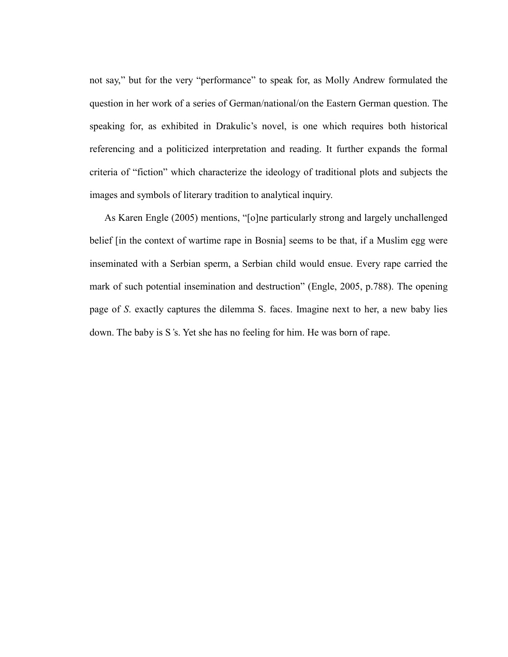not say," but for the very "performance" to speak for, as Molly Andrew formulated the question in her work of a series of German/national/on the Eastern German question. The speaking for, as exhibited in Drakulic's novel, is one which requires both historical referencing and a politicized interpretation and reading. It further expands the formal criteria of "fiction" which characterize the ideology of traditional plots and subjects the images and symbols of literary tradition to analytical inquiry.

As Karen Engle (2005) mentions, "[o]ne particularly strong and largely unchallenged belief [in the context of wartime rape in Bosnia] seems to be that, if a Muslim egg were inseminated with a Serbian sperm, a Serbian child would ensue. Every rape carried the mark of such potential insemination and destruction" (Engle, 2005, p.788). The opening page of *S*. exactly captures the dilemma S. faces. Imagine next to her, a new baby lies down. The baby is S*'*s. Yet she has no feeling for him. He was born of rape.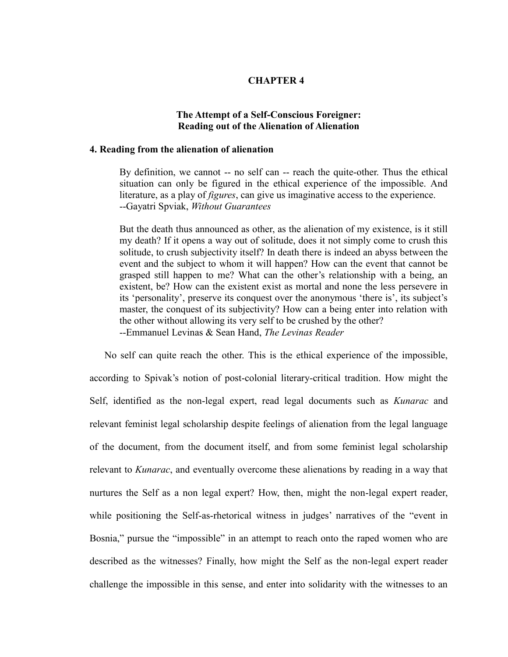# **CHAPTER 4**

# **The Attempt of a Self-Conscious Foreigner: Reading out of the Alienation of Alienation**

#### **4. Reading from the alienation of alienation**

By definition, we cannot -- no self can -- reach the quite-other. Thus the ethical situation can only be figured in the ethical experience of the impossible. And literature, as a play of *figures*, can give us imaginative access to the experience. --Gayatri Spviak, *Without Guarantees*

But the death thus announced as other, as the alienation of my existence, is it still my death? If it opens a way out of solitude, does it not simply come to crush this solitude, to crush subjectivity itself? In death there is indeed an abyss between the event and the subject to whom it will happen? How can the event that cannot be grasped still happen to me? What can the other's relationship with a being, an existent, be? How can the existent exist as mortal and none the less persevere in its 'personality', preserve its conquest over the anonymous 'there is', its subject's master, the conquest of its subjectivity? How can a being enter into relation with the other without allowing its very self to be crushed by the other? --Emmanuel Levinas & Sean Hand, *The Levinas Reader*

No self can quite reach the other. This is the ethical experience of the impossible, according to Spivak's notion of post-colonial literary-critical tradition. How might the Self, identified as the non-legal expert, read legal documents such as *Kunarac* and relevant feminist legal scholarship despite feelings of alienation from the legal language of the document, from the document itself, and from some feminist legal scholarship relevant to *Kunarac*, and eventually overcome these alienations by reading in a way that nurtures the Self as a non legal expert? How, then, might the non-legal expert reader, while positioning the Self-as-rhetorical witness in judges' narratives of the "event in Bosnia," pursue the "impossible" in an attempt to reach onto the raped women who are described as the witnesses? Finally, how might the Self as the non-legal expert reader challenge the impossible in this sense, and enter into solidarity with the witnesses to an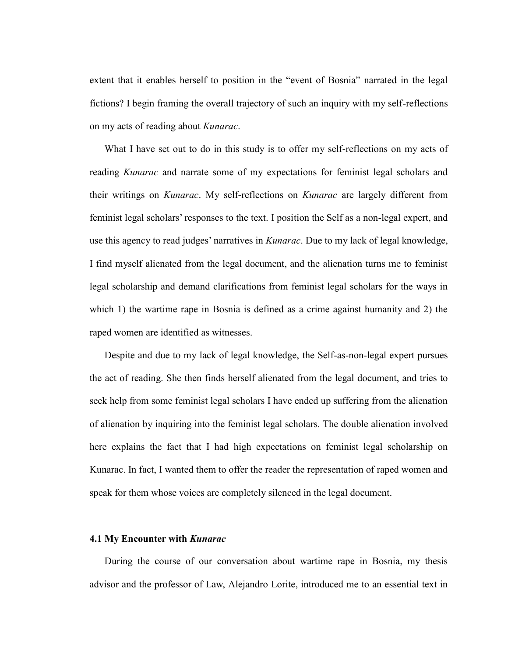extent that it enables herself to position in the "event of Bosnia" narrated in the legal fictions? I begin framing the overall trajectory of such an inquiry with my self-reflections on my acts of reading about *Kunarac*.

What I have set out to do in this study is to offer my self-reflections on my acts of reading *Kunarac* and narrate some of my expectations for feminist legal scholars and their writings on *Kunarac*. My self-reflections on *Kunarac* are largely different from feminist legal scholars' responses to the text. I position the Self as a non-legal expert, and use this agency to read judges' narratives in *Kunarac*. Due to my lack of legal knowledge, I find myself alienated from the legal document, and the alienation turns me to feminist legal scholarship and demand clarifications from feminist legal scholars for the ways in which 1) the wartime rape in Bosnia is defined as a crime against humanity and 2) the raped women are identified as witnesses.

Despite and due to my lack of legal knowledge, the Self-as-non-legal expert pursues the act of reading. She then finds herself alienated from the legal document, and tries to seek help from some feminist legal scholars I have ended up suffering from the alienation of alienation by inquiring into the feminist legal scholars. The double alienation involved here explains the fact that I had high expectations on feminist legal scholarship on Kunarac. In fact, I wanted them to offer the reader the representation of raped women and speak for them whose voices are completely silenced in the legal document.

# **4.1 My Encounter with** *Kunarac*

During the course of our conversation about wartime rape in Bosnia, my thesis advisor and the professor of Law, Alejandro Lorite, introduced me to an essential text in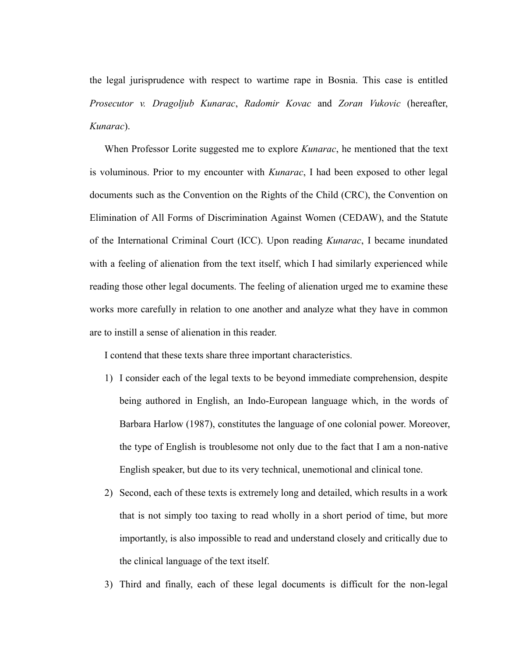the legal jurisprudence with respect to wartime rape in Bosnia. This case is entitled *Prosecutor v. Dragoljub Kunarac*, *Radomir Kovac* and *Zoran Vukovic* (hereafter, *Kunarac*).

When Professor Lorite suggested me to explore *Kunarac*, he mentioned that the text is voluminous. Prior to my encounter with *Kunarac*, I had been exposed to other legal documents such as the Convention on the Rights of the Child (CRC), the Convention on Elimination of All Forms of Discrimination Against Women (CEDAW), and the Statute of the International Criminal Court (ICC). Upon reading *Kunarac*, I became inundated with a feeling of alienation from the text itself, which I had similarly experienced while reading those other legal documents. The feeling of alienation urged me to examine these works more carefully in relation to one another and analyze what they have in common are to instill a sense of alienation in this reader.

I contend that these texts share three important characteristics.

- 1) I consider each of the legal texts to be beyond immediate comprehension, despite being authored in English, an Indo-European language which, in the words of Barbara Harlow (1987), constitutes the language of one colonial power. Moreover, the type of English is troublesome not only due to the fact that I am a non-native English speaker, but due to its very technical, unemotional and clinical tone.
- 2) Second, each of these texts is extremely long and detailed, which results in a work that is not simply too taxing to read wholly in a short period of time, but more importantly, is also impossible to read and understand closely and critically due to the clinical language of the text itself.
- 3) Third and finally, each of these legal documents is difficult for the non-legal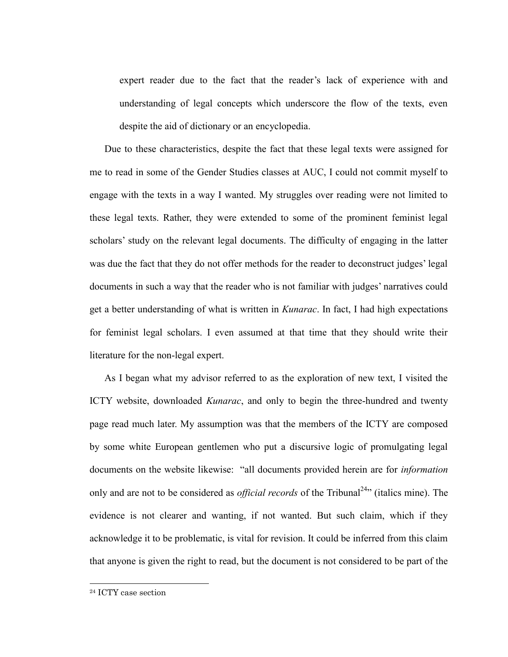expert reader due to the fact that the reader's lack of experience with and understanding of legal concepts which underscore the flow of the texts, even despite the aid of dictionary or an encyclopedia.

Due to these characteristics, despite the fact that these legal texts were assigned for me to read in some of the Gender Studies classes at AUC, I could not commit myself to engage with the texts in a way I wanted. My struggles over reading were not limited to these legal texts. Rather, they were extended to some of the prominent feminist legal scholars' study on the relevant legal documents. The difficulty of engaging in the latter was due the fact that they do not offer methods for the reader to deconstruct judges' legal documents in such a way that the reader who is not familiar with judges' narratives could get a better understanding of what is written in *Kunarac*. In fact, I had high expectations for feminist legal scholars. I even assumed at that time that they should write their literature for the non-legal expert.

As I began what my advisor referred to as the exploration of new text, I visited the ICTY website, downloaded *Kunarac*, and only to begin the three-hundred and twenty page read much later. My assumption was that the members of the ICTY are composed by some white European gentlemen who put a discursive logic of promulgating legal documents on the website likewise: "all documents provided herein are for *information* only and are not to be considered as *official records* of the Tribunal<sup>24</sup> (italics mine). The evidence is not clearer and wanting, if not wanted. But such claim, which if they acknowledge it to be problematic, is vital for revision. It could be inferred from this claim that anyone is given the right to read, but the document is not considered to be part of the

 $\overline{a}$ 

<sup>24</sup> ICTY case section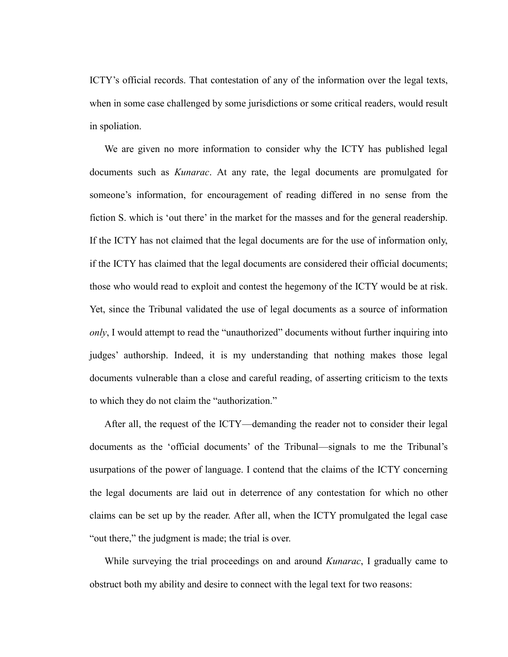ICTY's official records. That contestation of any of the information over the legal texts, when in some case challenged by some jurisdictions or some critical readers, would result in spoliation.

We are given no more information to consider why the ICTY has published legal documents such as *Kunarac*. At any rate, the legal documents are promulgated for someone's information, for encouragement of reading differed in no sense from the fiction S. which is 'out there' in the market for the masses and for the general readership. If the ICTY has not claimed that the legal documents are for the use of information only, if the ICTY has claimed that the legal documents are considered their official documents; those who would read to exploit and contest the hegemony of the ICTY would be at risk. Yet, since the Tribunal validated the use of legal documents as a source of information *only*, I would attempt to read the "unauthorized" documents without further inquiring into judges' authorship. Indeed, it is my understanding that nothing makes those legal documents vulnerable than a close and careful reading, of asserting criticism to the texts to which they do not claim the "authorization."

After all, the request of the ICTY—demanding the reader not to consider their legal documents as the 'official documents' of the Tribunal—signals to me the Tribunal's usurpations of the power of language. I contend that the claims of the ICTY concerning the legal documents are laid out in deterrence of any contestation for which no other claims can be set up by the reader. After all, when the ICTY promulgated the legal case "out there," the judgment is made; the trial is over.

While surveying the trial proceedings on and around *Kunarac*, I gradually came to obstruct both my ability and desire to connect with the legal text for two reasons: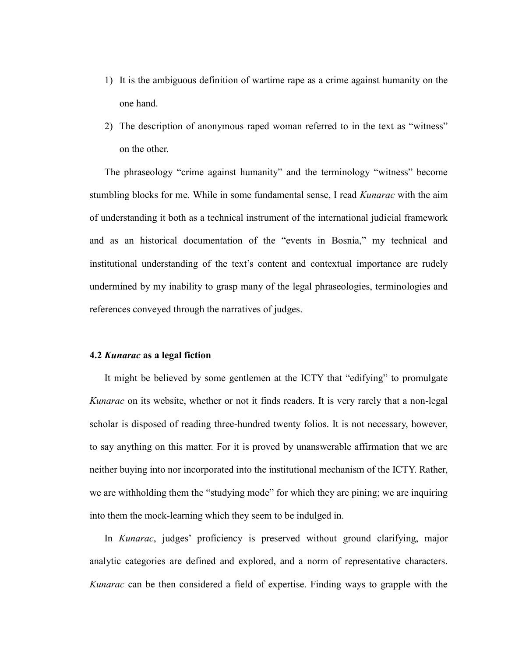- 1) It is the ambiguous definition of wartime rape as a crime against humanity on the one hand.
- 2) The description of anonymous raped woman referred to in the text as "witness" on the other.

The phraseology "crime against humanity" and the terminology "witness" become stumbling blocks for me. While in some fundamental sense, I read *Kunarac* with the aim of understanding it both as a technical instrument of the international judicial framework and as an historical documentation of the "events in Bosnia," my technical and institutional understanding of the text's content and contextual importance are rudely undermined by my inability to grasp many of the legal phraseologies, terminologies and references conveyed through the narratives of judges.

# **4.2** *Kunarac* **as a legal fiction**

It might be believed by some gentlemen at the ICTY that "edifying" to promulgate *Kunarac* on its website, whether or not it finds readers. It is very rarely that a non-legal scholar is disposed of reading three-hundred twenty folios. It is not necessary, however, to say anything on this matter. For it is proved by unanswerable affirmation that we are neither buying into nor incorporated into the institutional mechanism of the ICTY. Rather, we are withholding them the "studying mode" for which they are pining; we are inquiring into them the mock-learning which they seem to be indulged in.

In *Kunarac*, judges' proficiency is preserved without ground clarifying, major analytic categories are defined and explored, and a norm of representative characters. *Kunarac* can be then considered a field of expertise. Finding ways to grapple with the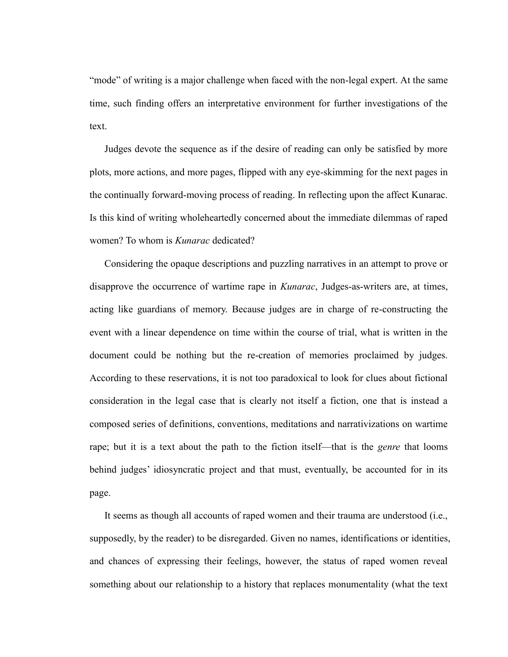"mode" of writing is a major challenge when faced with the non-legal expert. At the same time, such finding offers an interpretative environment for further investigations of the text.

Judges devote the sequence as if the desire of reading can only be satisfied by more plots, more actions, and more pages, flipped with any eye-skimming for the next pages in the continually forward-moving process of reading. In reflecting upon the affect Kunarac. Is this kind of writing wholeheartedly concerned about the immediate dilemmas of raped women? To whom is *Kunarac* dedicated?

Considering the opaque descriptions and puzzling narratives in an attempt to prove or disapprove the occurrence of wartime rape in *Kunarac*, Judges-as-writers are, at times, acting like guardians of memory. Because judges are in charge of re-constructing the event with a linear dependence on time within the course of trial, what is written in the document could be nothing but the re-creation of memories proclaimed by judges. According to these reservations, it is not too paradoxical to look for clues about fictional consideration in the legal case that is clearly not itself a fiction, one that is instead a composed series of definitions, conventions, meditations and narrativizations on wartime rape; but it is a text about the path to the fiction itself—that is the *genre* that looms behind judges' idiosyncratic project and that must, eventually, be accounted for in its page.

It seems as though all accounts of raped women and their trauma are understood (i.e., supposedly, by the reader) to be disregarded. Given no names, identifications or identities, and chances of expressing their feelings, however, the status of raped women reveal something about our relationship to a history that replaces monumentality (what the text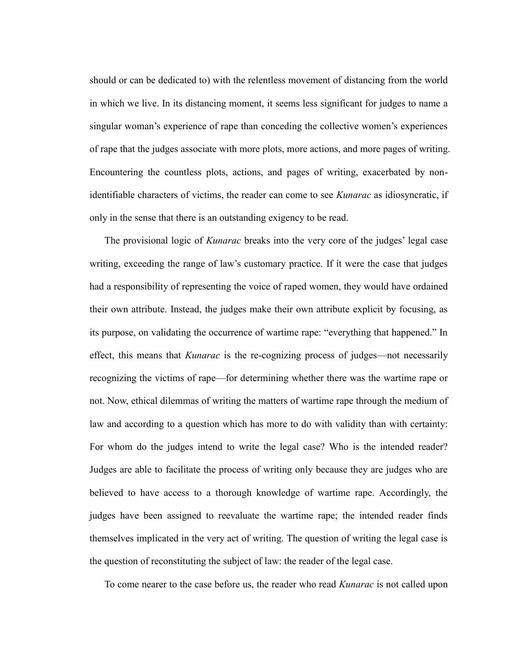should or can be dedicated to) with the relentless movement of distancing from the world in which we live. In its distancing moment, it seems less significant for judges to name a singular woman's experience of rape than conceding the collective women's experiences of rape that the judges associate with more plots, more actions, and more pages of writing. Encountering the countless plots, actions, and pages of writing, exacerbated by nonidentifiable characters of victims, the reader can come to see *Kunarac* as idiosyncratic, if only in the sense that there is an outstanding exigency to be read.

The provisional logic of *Kunarac* breaks into the very core of the judges' legal case writing, exceeding the range of law's customary practice. If it were the case that judges had a responsibility of representing the voice of raped women, they would have ordained their own attribute. Instead, the judges make their own attribute explicit by focusing, as its purpose, on validating the occurrence of wartime rape: "everything that happened." In effect, this means that *Kunarac* is the re-cognizing process of judges—not necessarily recognizing the victims of rape—for determining whether there was the wartime rape or not. Now, ethical dilemmas of writing the matters of wartime rape through the medium of law and according to a question which has more to do with validity than with certainty: For whom do the judges intend to write the legal case? Who is the intended reader? Judges are able to facilitate the process of writing only because they are judges who are believed to have access to a thorough knowledge of wartime rape. Accordingly, the judges have been assigned to reevaluate the wartime rape; the intended reader finds themselves implicated in the very act of writing. The question of writing the legal case is the question of reconstituting the subject of law: the reader of the legal case.

To come nearer to the case before us, the reader who read *Kunarac* is not called upon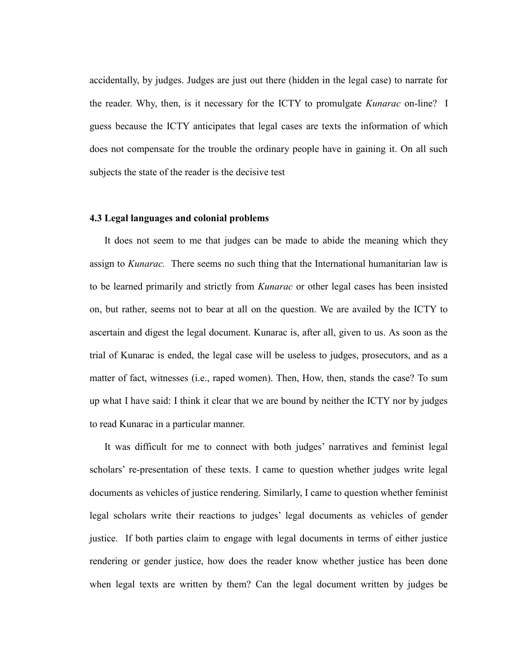accidentally, by judges. Judges are just out there (hidden in the legal case) to narrate for the reader. Why, then, is it necessary for the ICTY to promulgate *Kunarac* on-line? I guess because the ICTY anticipates that legal cases are texts the information of which does not compensate for the trouble the ordinary people have in gaining it. On all such subjects the state of the reader is the decisive test

### **4.3 Legal languages and colonial problems**

It does not seem to me that judges can be made to abide the meaning which they assign to *Kunarac.* There seems no such thing that the International humanitarian law is to be learned primarily and strictly from *Kunarac* or other legal cases has been insisted on, but rather, seems not to bear at all on the question. We are availed by the ICTY to ascertain and digest the legal document. Kunarac is, after all, given to us. As soon as the trial of Kunarac is ended, the legal case will be useless to judges, prosecutors, and as a matter of fact, witnesses (i.e., raped women). Then, How, then, stands the case? To sum up what I have said: I think it clear that we are bound by neither the ICTY nor by judges to read Kunarac in a particular manner.

It was difficult for me to connect with both judges' narratives and feminist legal scholars' re-presentation of these texts. I came to question whether judges write legal documents as vehicles of justice rendering. Similarly, I came to question whether feminist legal scholars write their reactions to judges' legal documents as vehicles of gender justice. If both parties claim to engage with legal documents in terms of either justice rendering or gender justice, how does the reader know whether justice has been done when legal texts are written by them? Can the legal document written by judges be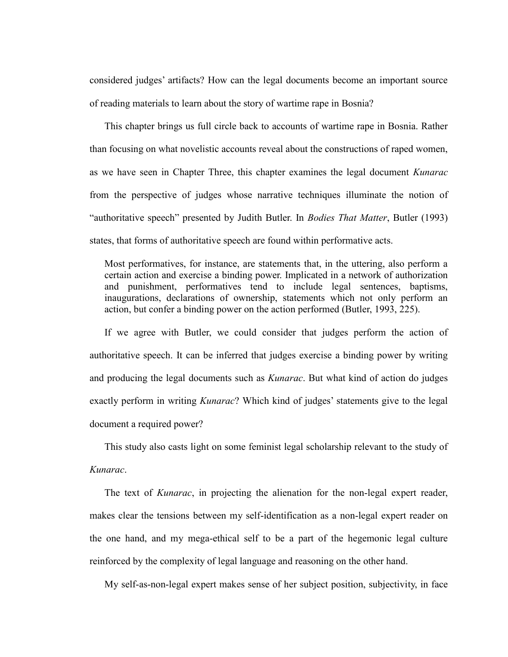considered judges' artifacts? How can the legal documents become an important source of reading materials to learn about the story of wartime rape in Bosnia?

This chapter brings us full circle back to accounts of wartime rape in Bosnia. Rather than focusing on what novelistic accounts reveal about the constructions of raped women, as we have seen in Chapter Three, this chapter examines the legal document *Kunarac* from the perspective of judges whose narrative techniques illuminate the notion of ―authoritative speech‖ presented by Judith Butler. In *Bodies That Matter*, Butler (1993) states, that forms of authoritative speech are found within performative acts.

Most performatives, for instance, are statements that, in the uttering, also perform a certain action and exercise a binding power. Implicated in a network of authorization and punishment, performatives tend to include legal sentences, baptisms, inaugurations, declarations of ownership, statements which not only perform an action, but confer a binding power on the action performed (Butler, 1993, 225).

If we agree with Butler, we could consider that judges perform the action of authoritative speech. It can be inferred that judges exercise a binding power by writing and producing the legal documents such as *Kunarac*. But what kind of action do judges exactly perform in writing *Kunarac*? Which kind of judges' statements give to the legal document a required power?

This study also casts light on some feminist legal scholarship relevant to the study of *Kunarac*.

The text of *Kunarac*, in projecting the alienation for the non-legal expert reader, makes clear the tensions between my self-identification as a non-legal expert reader on the one hand, and my mega-ethical self to be a part of the hegemonic legal culture reinforced by the complexity of legal language and reasoning on the other hand.

My self-as-non-legal expert makes sense of her subject position, subjectivity, in face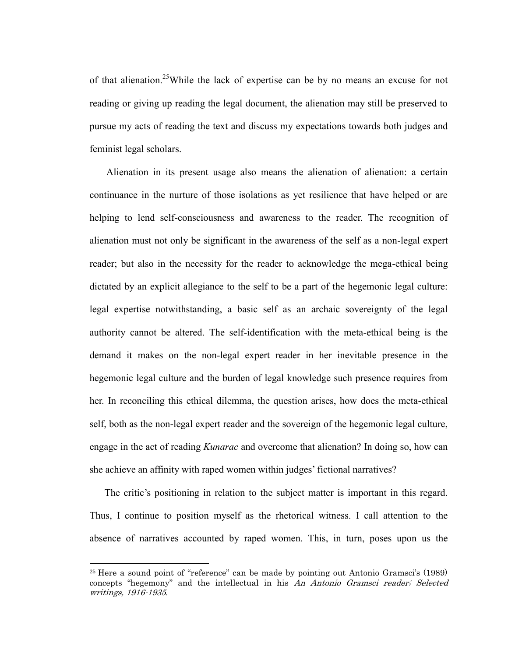of that alienation.<sup>25</sup>While the lack of expertise can be by no means an excuse for not reading or giving up reading the legal document, the alienation may still be preserved to pursue my acts of reading the text and discuss my expectations towards both judges and feminist legal scholars.

Alienation in its present usage also means the alienation of alienation: a certain continuance in the nurture of those isolations as yet resilience that have helped or are helping to lend self-consciousness and awareness to the reader. The recognition of alienation must not only be significant in the awareness of the self as a non-legal expert reader; but also in the necessity for the reader to acknowledge the mega-ethical being dictated by an explicit allegiance to the self to be a part of the hegemonic legal culture: legal expertise notwithstanding, a basic self as an archaic sovereignty of the legal authority cannot be altered. The self-identification with the meta-ethical being is the demand it makes on the non-legal expert reader in her inevitable presence in the hegemonic legal culture and the burden of legal knowledge such presence requires from her. In reconciling this ethical dilemma, the question arises, how does the meta-ethical self, both as the non-legal expert reader and the sovereign of the hegemonic legal culture, engage in the act of reading *Kunarac* and overcome that alienation? In doing so, how can she achieve an affinity with raped women within judges' fictional narratives?

The critic's positioning in relation to the subject matter is important in this regard. Thus, I continue to position myself as the rhetorical witness. I call attention to the absence of narratives accounted by raped women. This, in turn, poses upon us the

 $\overline{a}$ 

<sup>&</sup>lt;sup>25</sup> Here a sound point of "reference" can be made by pointing out Antonio Gramsci's (1989) concepts "hegemony" and the intellectual in his An Antonio Gramsci reader; Selected writings, 1916-1935.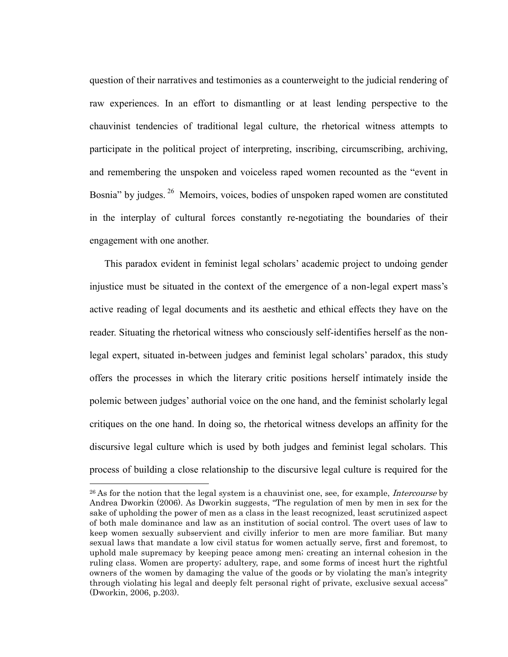question of their narratives and testimonies as a counterweight to the judicial rendering of raw experiences. In an effort to dismantling or at least lending perspective to the chauvinist tendencies of traditional legal culture, the rhetorical witness attempts to participate in the political project of interpreting, inscribing, circumscribing, archiving, and remembering the unspoken and voiceless raped women recounted as the "event in Bosnia" by judges. <sup>26</sup> Memoirs, voices, bodies of unspoken raped women are constituted in the interplay of cultural forces constantly re-negotiating the boundaries of their engagement with one another.

This paradox evident in feminist legal scholars' academic project to undoing gender injustice must be situated in the context of the emergence of a non-legal expert mass's active reading of legal documents and its aesthetic and ethical effects they have on the reader. Situating the rhetorical witness who consciously self-identifies herself as the nonlegal expert, situated in-between judges and feminist legal scholars' paradox, this study offers the processes in which the literary critic positions herself intimately inside the polemic between judges' authorial voice on the one hand, and the feminist scholarly legal critiques on the one hand. In doing so, the rhetorical witness develops an affinity for the discursive legal culture which is used by both judges and feminist legal scholars. This process of building a close relationship to the discursive legal culture is required for the

<sup>&</sup>lt;sup>26</sup> As for the notion that the legal system is a chauvinist one, see, for example, *Intercourse* by Andrea Dworkin (2006). As Dworkin suggests, "The regulation of men by men in sex for the sake of upholding the power of men as a class in the least recognized, least scrutinized aspect of both male dominance and law as an institution of social control. The overt uses of law to keep women sexually subservient and civilly inferior to men are more familiar. But many sexual laws that mandate a low civil status for women actually serve, first and foremost, to uphold male supremacy by keeping peace among men; creating an internal cohesion in the ruling class. Women are property; adultery, rape, and some forms of incest hurt the rightful owners of the women by damaging the value of the goods or by violating the man"s integrity through violating his legal and deeply felt personal right of private, exclusive sexual access" (Dworkin, 2006, p.203).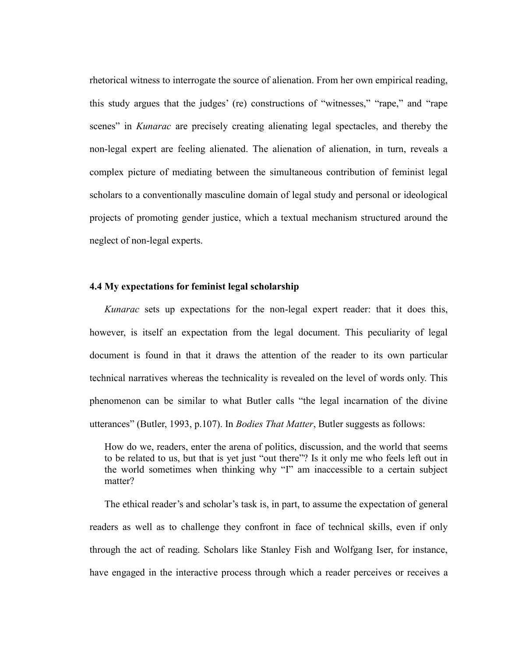rhetorical witness to interrogate the source of alienation. From her own empirical reading, this study argues that the judges' (re) constructions of "witnesses," "rape," and "rape scenes" in *Kunarac* are precisely creating alienating legal spectacles, and thereby the non-legal expert are feeling alienated. The alienation of alienation, in turn, reveals a complex picture of mediating between the simultaneous contribution of feminist legal scholars to a conventionally masculine domain of legal study and personal or ideological projects of promoting gender justice, which a textual mechanism structured around the neglect of non-legal experts.

## **4.4 My expectations for feminist legal scholarship**

*Kunarac* sets up expectations for the non-legal expert reader: that it does this, however, is itself an expectation from the legal document. This peculiarity of legal document is found in that it draws the attention of the reader to its own particular technical narratives whereas the technicality is revealed on the level of words only. This phenomenon can be similar to what Butler calls "the legal incarnation of the divine utterances" (Butler, 1993, p.107). In *Bodies That Matter*, Butler suggests as follows:

How do we, readers, enter the arena of politics, discussion, and the world that seems to be related to us, but that is yet just "out there"? Is it only me who feels left out in the world sometimes when thinking why "I" am inaccessible to a certain subject matter?

The ethical reader's and scholar's task is, in part, to assume the expectation of general readers as well as to challenge they confront in face of technical skills, even if only through the act of reading. Scholars like Stanley Fish and Wolfgang Iser, for instance, have engaged in the interactive process through which a reader perceives or receives a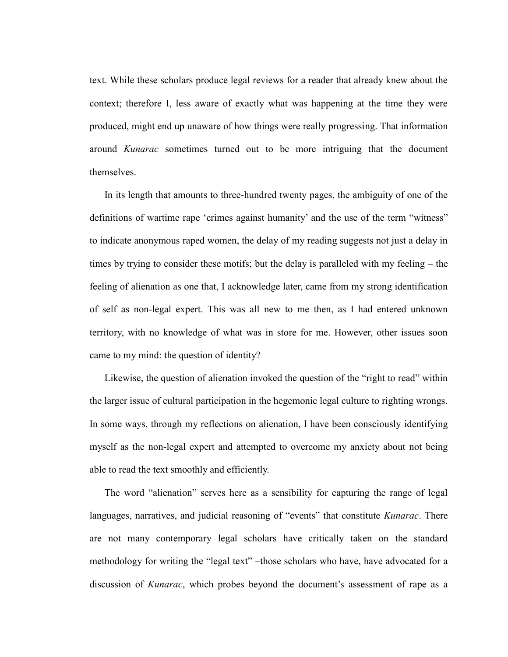text. While these scholars produce legal reviews for a reader that already knew about the context; therefore I, less aware of exactly what was happening at the time they were produced, might end up unaware of how things were really progressing. That information around *Kunarac* sometimes turned out to be more intriguing that the document themselves.

In its length that amounts to three-hundred twenty pages, the ambiguity of one of the definitions of wartime rape 'crimes against humanity' and the use of the term "witness" to indicate anonymous raped women, the delay of my reading suggests not just a delay in times by trying to consider these motifs; but the delay is paralleled with my feeling – the feeling of alienation as one that, I acknowledge later, came from my strong identification of self as non-legal expert. This was all new to me then, as I had entered unknown territory, with no knowledge of what was in store for me. However, other issues soon came to my mind: the question of identity?

Likewise, the question of alienation invoked the question of the "right to read" within the larger issue of cultural participation in the hegemonic legal culture to righting wrongs. In some ways, through my reflections on alienation, I have been consciously identifying myself as the non-legal expert and attempted to overcome my anxiety about not being able to read the text smoothly and efficiently.

The word "alienation" serves here as a sensibility for capturing the range of legal languages, narratives, and judicial reasoning of "events" that constitute *Kunarac*. There are not many contemporary legal scholars have critically taken on the standard methodology for writing the "legal text" –those scholars who have, have advocated for a discussion of *Kunarac*, which probes beyond the document's assessment of rape as a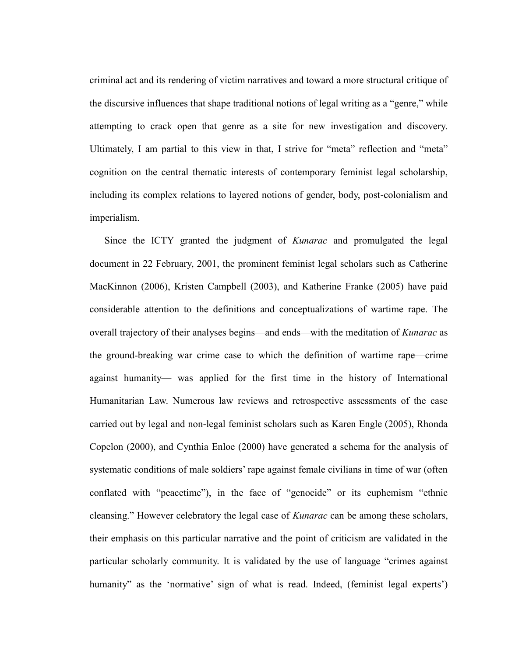criminal act and its rendering of victim narratives and toward a more structural critique of the discursive influences that shape traditional notions of legal writing as a "genre," while attempting to crack open that genre as a site for new investigation and discovery. Ultimately, I am partial to this view in that, I strive for "meta" reflection and "meta" cognition on the central thematic interests of contemporary feminist legal scholarship, including its complex relations to layered notions of gender, body, post-colonialism and imperialism.

Since the ICTY granted the judgment of *Kunarac* and promulgated the legal document in 22 February, 2001, the prominent feminist legal scholars such as Catherine MacKinnon (2006), Kristen Campbell (2003), and Katherine Franke (2005) have paid considerable attention to the definitions and conceptualizations of wartime rape. The overall trajectory of their analyses begins—and ends—with the meditation of *Kunarac* as the ground-breaking war crime case to which the definition of wartime rape—crime against humanity— was applied for the first time in the history of International Humanitarian Law. Numerous law reviews and retrospective assessments of the case carried out by legal and non-legal feminist scholars such as Karen Engle (2005), Rhonda Copelon (2000), and Cynthia Enloe (2000) have generated a schema for the analysis of systematic conditions of male soldiers' rape against female civilians in time of war (often conflated with "peacetime"), in the face of "genocide" or its euphemism "ethnic cleansing." However celebratory the legal case of *Kunarac* can be among these scholars, their emphasis on this particular narrative and the point of criticism are validated in the particular scholarly community. It is validated by the use of language "crimes against humanity" as the 'normative' sign of what is read. Indeed, (feminist legal experts')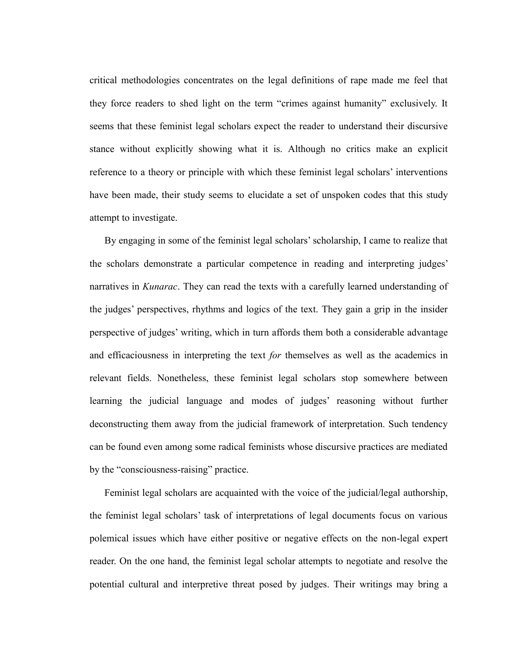critical methodologies concentrates on the legal definitions of rape made me feel that they force readers to shed light on the term "crimes against humanity" exclusively. It seems that these feminist legal scholars expect the reader to understand their discursive stance without explicitly showing what it is. Although no critics make an explicit reference to a theory or principle with which these feminist legal scholars' interventions have been made, their study seems to elucidate a set of unspoken codes that this study attempt to investigate.

By engaging in some of the feminist legal scholars' scholarship, I came to realize that the scholars demonstrate a particular competence in reading and interpreting judges' narratives in *Kunarac*. They can read the texts with a carefully learned understanding of the judges' perspectives, rhythms and logics of the text. They gain a grip in the insider perspective of judges' writing, which in turn affords them both a considerable advantage and efficaciousness in interpreting the text *for* themselves as well as the academics in relevant fields. Nonetheless, these feminist legal scholars stop somewhere between learning the judicial language and modes of judges' reasoning without further deconstructing them away from the judicial framework of interpretation. Such tendency can be found even among some radical feminists whose discursive practices are mediated by the "consciousness-raising" practice.

Feminist legal scholars are acquainted with the voice of the judicial/legal authorship, the feminist legal scholars' task of interpretations of legal documents focus on various polemical issues which have either positive or negative effects on the non-legal expert reader. On the one hand, the feminist legal scholar attempts to negotiate and resolve the potential cultural and interpretive threat posed by judges. Their writings may bring a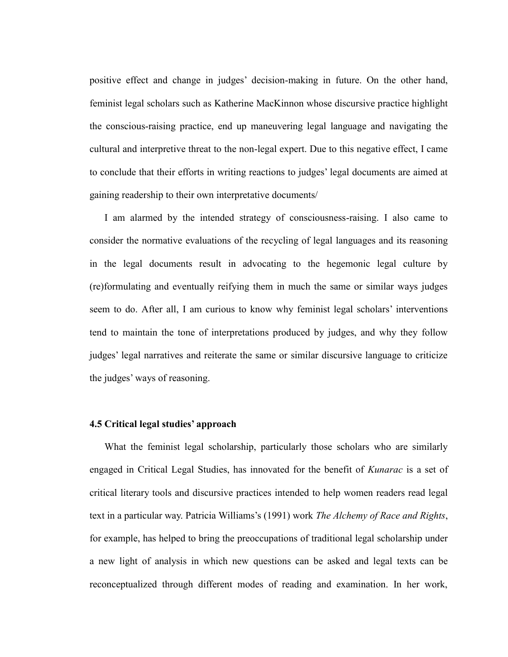positive effect and change in judges' decision-making in future. On the other hand, feminist legal scholars such as Katherine MacKinnon whose discursive practice highlight the conscious-raising practice, end up maneuvering legal language and navigating the cultural and interpretive threat to the non-legal expert. Due to this negative effect, I came to conclude that their efforts in writing reactions to judges' legal documents are aimed at gaining readership to their own interpretative documents/

I am alarmed by the intended strategy of consciousness-raising. I also came to consider the normative evaluations of the recycling of legal languages and its reasoning in the legal documents result in advocating to the hegemonic legal culture by (re)formulating and eventually reifying them in much the same or similar ways judges seem to do. After all, I am curious to know why feminist legal scholars' interventions tend to maintain the tone of interpretations produced by judges, and why they follow judges' legal narratives and reiterate the same or similar discursive language to criticize the judges' ways of reasoning.

# **4.5 Critical legal studies' approach**

What the feminist legal scholarship, particularly those scholars who are similarly engaged in Critical Legal Studies, has innovated for the benefit of *Kunarac* is a set of critical literary tools and discursive practices intended to help women readers read legal text in a particular way. Patricia Williams's (1991) work *The Alchemy of Race and Rights*, for example, has helped to bring the preoccupations of traditional legal scholarship under a new light of analysis in which new questions can be asked and legal texts can be reconceptualized through different modes of reading and examination. In her work,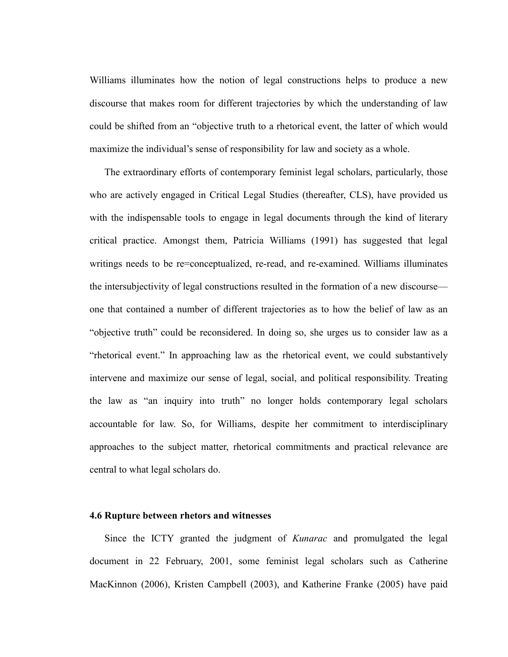Williams illuminates how the notion of legal constructions helps to produce a new discourse that makes room for different trajectories by which the understanding of law could be shifted from an "objective truth to a rhetorical event, the latter of which would maximize the individual's sense of responsibility for law and society as a whole.

The extraordinary efforts of contemporary feminist legal scholars, particularly, those who are actively engaged in Critical Legal Studies (thereafter, CLS), have provided us with the indispensable tools to engage in legal documents through the kind of literary critical practice. Amongst them, Patricia Williams (1991) has suggested that legal writings needs to be re=conceptualized, re-read, and re-examined. Williams illuminates the intersubjectivity of legal constructions resulted in the formation of a new discourse one that contained a number of different trajectories as to how the belief of law as an "objective truth" could be reconsidered. In doing so, she urges us to consider law as a "rhetorical event." In approaching law as the rhetorical event, we could substantively intervene and maximize our sense of legal, social, and political responsibility. Treating the law as "an inquiry into truth" no longer holds contemporary legal scholars accountable for law. So, for Williams, despite her commitment to interdisciplinary approaches to the subject matter, rhetorical commitments and practical relevance are central to what legal scholars do.

## **4.6 Rupture between rhetors and witnesses**

Since the ICTY granted the judgment of *Kunarac* and promulgated the legal document in 22 February, 2001, some feminist legal scholars such as Catherine MacKinnon (2006), Kristen Campbell (2003), and Katherine Franke (2005) have paid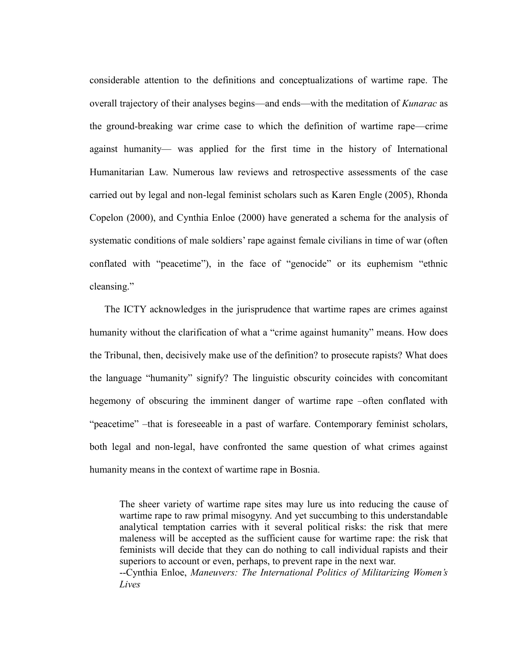considerable attention to the definitions and conceptualizations of wartime rape. The overall trajectory of their analyses begins—and ends—with the meditation of *Kunarac* as the ground-breaking war crime case to which the definition of wartime rape—crime against humanity— was applied for the first time in the history of International Humanitarian Law. Numerous law reviews and retrospective assessments of the case carried out by legal and non-legal feminist scholars such as Karen Engle (2005), Rhonda Copelon (2000), and Cynthia Enloe (2000) have generated a schema for the analysis of systematic conditions of male soldiers' rape against female civilians in time of war (often conflated with "peacetime"), in the face of "genocide" or its euphemism "ethnic cleansing."

The ICTY acknowledges in the jurisprudence that wartime rapes are crimes against humanity without the clarification of what a "crime against humanity" means. How does the Tribunal, then, decisively make use of the definition? to prosecute rapists? What does the language "humanity" signify? The linguistic obscurity coincides with concomitant hegemony of obscuring the imminent danger of wartime rape –often conflated with "peacetime" –that is foreseeable in a past of warfare. Contemporary feminist scholars, both legal and non-legal, have confronted the same question of what crimes against humanity means in the context of wartime rape in Bosnia.

The sheer variety of wartime rape sites may lure us into reducing the cause of wartime rape to raw primal misogyny. And yet succumbing to this understandable analytical temptation carries with it several political risks: the risk that mere maleness will be accepted as the sufficient cause for wartime rape: the risk that feminists will decide that they can do nothing to call individual rapists and their superiors to account or even, perhaps, to prevent rape in the next war. --Cynthia Enloe, *Maneuvers: The International Politics of Militarizing Women's Lives*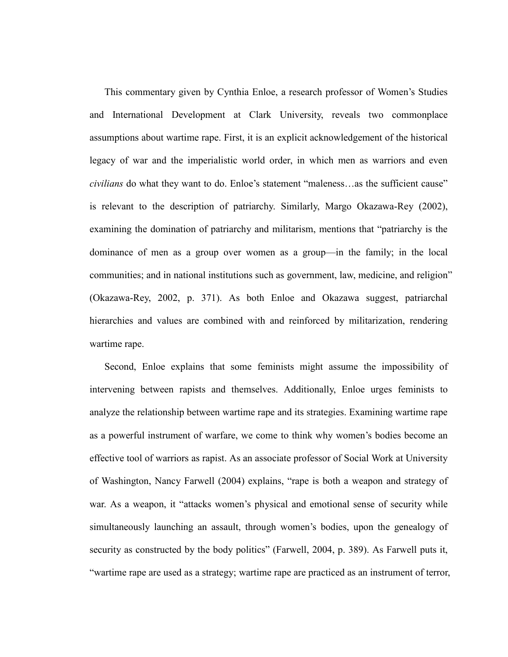This commentary given by Cynthia Enloe, a research professor of Women's Studies and International Development at Clark University, reveals two commonplace assumptions about wartime rape. First, it is an explicit acknowledgement of the historical legacy of war and the imperialistic world order, in which men as warriors and even *civilians* do what they want to do. Enloe's statement "maleness...as the sufficient cause" is relevant to the description of patriarchy. Similarly, Margo Okazawa-Rey (2002), examining the domination of patriarchy and militarism, mentions that "patriarchy is the dominance of men as a group over women as a group—in the family; in the local communities; and in national institutions such as government, law, medicine, and religion" (Okazawa-Rey, 2002, p. 371). As both Enloe and Okazawa suggest, patriarchal hierarchies and values are combined with and reinforced by militarization, rendering wartime rape.

Second, Enloe explains that some feminists might assume the impossibility of intervening between rapists and themselves. Additionally, Enloe urges feminists to analyze the relationship between wartime rape and its strategies. Examining wartime rape as a powerful instrument of warfare, we come to think why women's bodies become an effective tool of warriors as rapist. As an associate professor of Social Work at University of Washington, Nancy Farwell (2004) explains, "rape is both a weapon and strategy of war. As a weapon, it "attacks women's physical and emotional sense of security while simultaneously launching an assault, through women's bodies, upon the genealogy of security as constructed by the body politics" (Farwell, 2004, p. 389). As Farwell puts it, ―wartime rape are used as a strategy; wartime rape are practiced as an instrument of terror,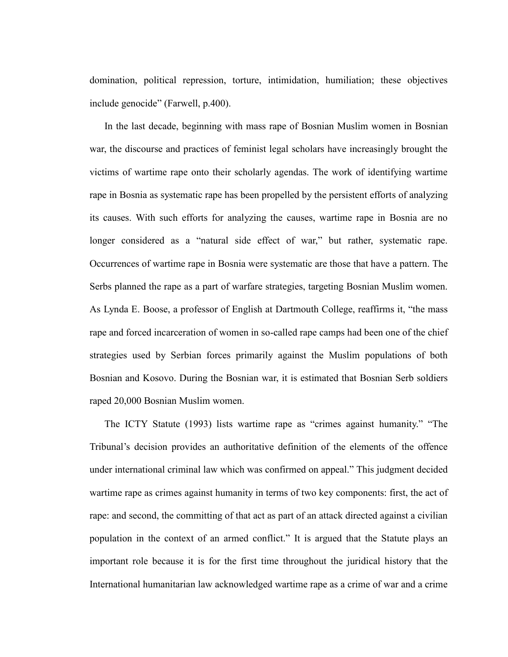domination, political repression, torture, intimidation, humiliation; these objectives include genocide" (Farwell, p.400).

In the last decade, beginning with mass rape of Bosnian Muslim women in Bosnian war, the discourse and practices of feminist legal scholars have increasingly brought the victims of wartime rape onto their scholarly agendas. The work of identifying wartime rape in Bosnia as systematic rape has been propelled by the persistent efforts of analyzing its causes. With such efforts for analyzing the causes, wartime rape in Bosnia are no longer considered as a "natural side effect of war," but rather, systematic rape. Occurrences of wartime rape in Bosnia were systematic are those that have a pattern. The Serbs planned the rape as a part of warfare strategies, targeting Bosnian Muslim women. As Lynda E. Boose, a professor of English at Dartmouth College, reaffirms it, "the mass rape and forced incarceration of women in so-called rape camps had been one of the chief strategies used by Serbian forces primarily against the Muslim populations of both Bosnian and Kosovo. During the Bosnian war, it is estimated that Bosnian Serb soldiers raped 20,000 Bosnian Muslim women.

The ICTY Statute (1993) lists wartime rape as "crimes against humanity." "The Tribunal's decision provides an authoritative definition of the elements of the offence under international criminal law which was confirmed on appeal." This judgment decided wartime rape as crimes against humanity in terms of two key components: first, the act of rape: and second, the committing of that act as part of an attack directed against a civilian population in the context of an armed conflict.‖ It is argued that the Statute plays an important role because it is for the first time throughout the juridical history that the International humanitarian law acknowledged wartime rape as a crime of war and a crime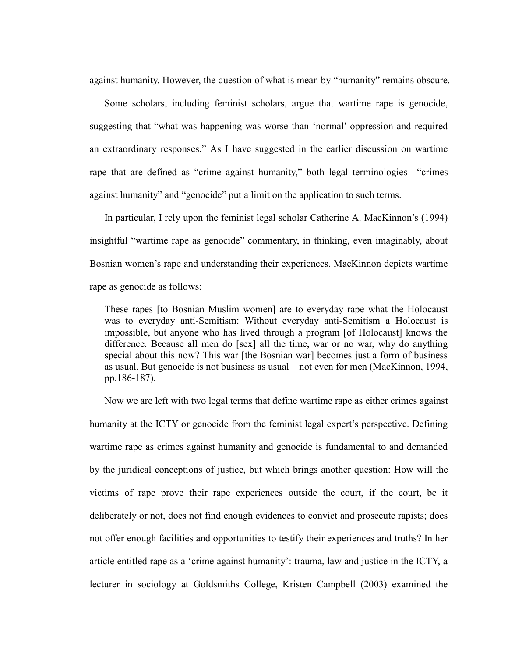against humanity. However, the question of what is mean by "humanity" remains obscure.

Some scholars, including feminist scholars, argue that wartime rape is genocide, suggesting that "what was happening was worse than 'normal' oppression and required an extraordinary responses." As I have suggested in the earlier discussion on wartime rape that are defined as "crime against humanity," both legal terminologies – "crimes" against humanity" and "genocide" put a limit on the application to such terms.

In particular, I rely upon the feminist legal scholar Catherine A. MacKinnon's (1994) insightful "wartime rape as genocide" commentary, in thinking, even imaginably, about Bosnian women's rape and understanding their experiences. MacKinnon depicts wartime rape as genocide as follows:

These rapes [to Bosnian Muslim women] are to everyday rape what the Holocaust was to everyday anti-Semitism: Without everyday anti-Semitism a Holocaust is impossible, but anyone who has lived through a program [of Holocaust] knows the difference. Because all men do [sex] all the time, war or no war, why do anything special about this now? This war [the Bosnian war] becomes just a form of business as usual. But genocide is not business as usual – not even for men (MacKinnon, 1994, pp.186-187).

Now we are left with two legal terms that define wartime rape as either crimes against humanity at the ICTY or genocide from the feminist legal expert's perspective. Defining wartime rape as crimes against humanity and genocide is fundamental to and demanded by the juridical conceptions of justice, but which brings another question: How will the victims of rape prove their rape experiences outside the court, if the court, be it deliberately or not, does not find enough evidences to convict and prosecute rapists; does not offer enough facilities and opportunities to testify their experiences and truths? In her article entitled rape as a 'crime against humanity': trauma, law and justice in the ICTY, a lecturer in sociology at Goldsmiths College, Kristen Campbell (2003) examined the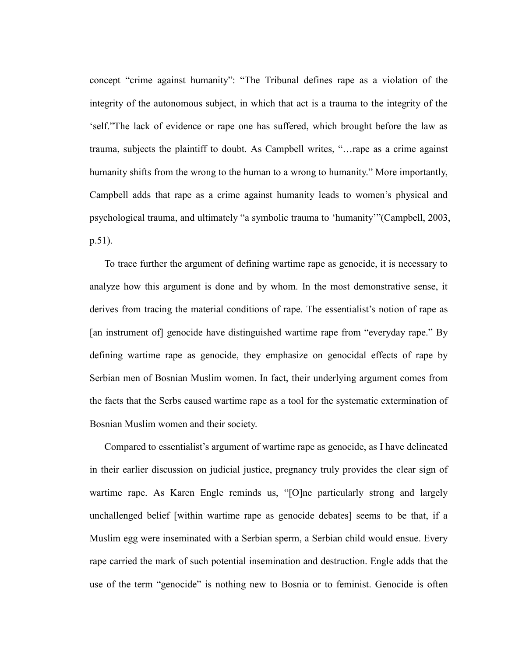concept "crime against humanity": "The Tribunal defines rape as a violation of the integrity of the autonomous subject, in which that act is a trauma to the integrity of the ‗self.‖The lack of evidence or rape one has suffered, which brought before the law as trauma, subjects the plaintiff to doubt. As Campbell writes, "... rape as a crime against humanity shifts from the wrong to the human to a wrong to humanity." More importantly, Campbell adds that rape as a crime against humanity leads to women's physical and psychological trauma, and ultimately "a symbolic trauma to 'humanity'"(Campbell, 2003, p.51).

To trace further the argument of defining wartime rape as genocide, it is necessary to analyze how this argument is done and by whom. In the most demonstrative sense, it derives from tracing the material conditions of rape. The essentialist's notion of rape as [an instrument of] genocide have distinguished wartime rape from "everyday rape." By defining wartime rape as genocide, they emphasize on genocidal effects of rape by Serbian men of Bosnian Muslim women. In fact, their underlying argument comes from the facts that the Serbs caused wartime rape as a tool for the systematic extermination of Bosnian Muslim women and their society.

Compared to essentialist's argument of wartime rape as genocide, as I have delineated in their earlier discussion on judicial justice, pregnancy truly provides the clear sign of wartime rape. As Karen Engle reminds us, "[O]ne particularly strong and largely unchallenged belief [within wartime rape as genocide debates] seems to be that, if a Muslim egg were inseminated with a Serbian sperm, a Serbian child would ensue. Every rape carried the mark of such potential insemination and destruction. Engle adds that the use of the term "genocide" is nothing new to Bosnia or to feminist. Genocide is often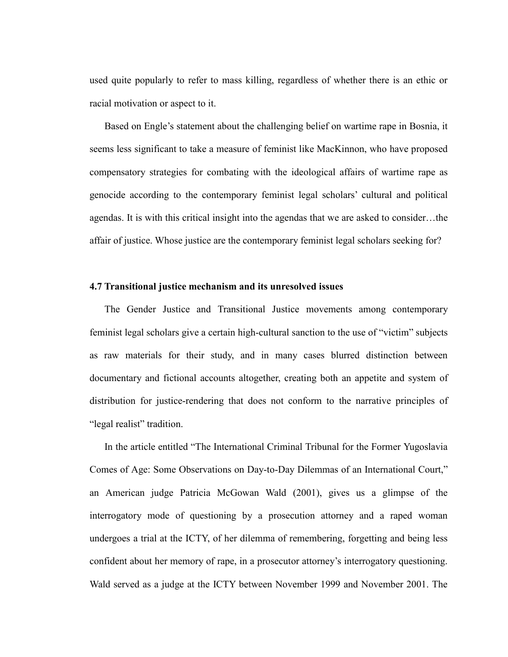used quite popularly to refer to mass killing, regardless of whether there is an ethic or racial motivation or aspect to it.

Based on Engle's statement about the challenging belief on wartime rape in Bosnia, it seems less significant to take a measure of feminist like MacKinnon, who have proposed compensatory strategies for combating with the ideological affairs of wartime rape as genocide according to the contemporary feminist legal scholars' cultural and political agendas. It is with this critical insight into the agendas that we are asked to consider…the affair of justice. Whose justice are the contemporary feminist legal scholars seeking for?

#### **4.7 Transitional justice mechanism and its unresolved issues**

The Gender Justice and Transitional Justice movements among contemporary feminist legal scholars give a certain high-cultural sanction to the use of "victim" subjects as raw materials for their study, and in many cases blurred distinction between documentary and fictional accounts altogether, creating both an appetite and system of distribution for justice-rendering that does not conform to the narrative principles of "legal realist" tradition.

In the article entitled "The International Criminal Tribunal for the Former Yugoslavia Comes of Age: Some Observations on Day-to-Day Dilemmas of an International Court," an American judge Patricia McGowan Wald (2001), gives us a glimpse of the interrogatory mode of questioning by a prosecution attorney and a raped woman undergoes a trial at the ICTY, of her dilemma of remembering, forgetting and being less confident about her memory of rape, in a prosecutor attorney's interrogatory questioning. Wald served as a judge at the ICTY between November 1999 and November 2001. The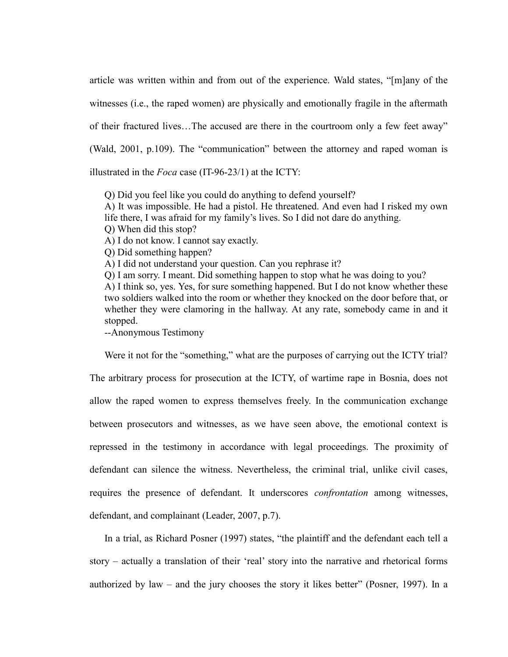article was written within and from out of the experience. Wald states, "[m]any of the witnesses (i.e., the raped women) are physically and emotionally fragile in the aftermath of their fractured lives...The accused are there in the courtroom only a few feet away" (Wald,  $2001$ ,  $p.109$ ). The "communication" between the attorney and raped woman is illustrated in the *Foca* case (IT-96-23/1) at the ICTY:

Q) Did you feel like you could do anything to defend yourself?

A) It was impossible. He had a pistol. He threatened. And even had I risked my own life there, I was afraid for my family's lives. So I did not dare do anything. Q) When did this stop?

A) I do not know. I cannot say exactly.

Q) Did something happen?

A) I did not understand your question. Can you rephrase it?

Q) I am sorry. I meant. Did something happen to stop what he was doing to you?

A) I think so, yes. Yes, for sure something happened. But I do not know whether these two soldiers walked into the room or whether they knocked on the door before that, or whether they were clamoring in the hallway. At any rate, somebody came in and it stopped.

--Anonymous Testimony

Were it not for the "something," what are the purposes of carrying out the ICTY trial? The arbitrary process for prosecution at the ICTY, of wartime rape in Bosnia, does not allow the raped women to express themselves freely. In the communication exchange between prosecutors and witnesses, as we have seen above, the emotional context is repressed in the testimony in accordance with legal proceedings. The proximity of defendant can silence the witness. Nevertheless, the criminal trial, unlike civil cases, requires the presence of defendant. It underscores *confrontation* among witnesses, defendant, and complainant (Leader, 2007, p.7).

In a trial, as Richard Posner (1997) states, "the plaintiff and the defendant each tell a story – actually a translation of their 'real' story into the narrative and rhetorical forms authorized by law – and the jury chooses the story it likes better" (Posner, 1997). In a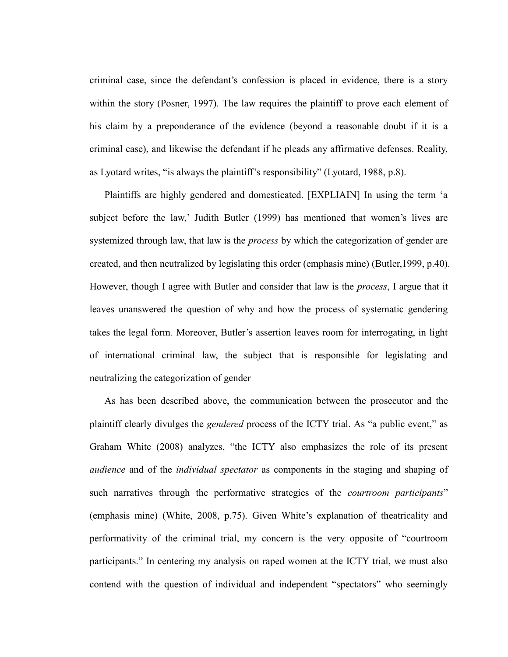criminal case, since the defendant's confession is placed in evidence, there is a story within the story (Posner, 1997). The law requires the plaintiff to prove each element of his claim by a preponderance of the evidence (beyond a reasonable doubt if it is a criminal case), and likewise the defendant if he pleads any affirmative defenses. Reality, as Lyotard writes, "is always the plaintiff's responsibility" (Lyotard, 1988, p.8).

Plaintiffs are highly gendered and domesticated. [EXPLIAIN] In using the term 'a subject before the law,' Judith Butler (1999) has mentioned that women's lives are systemized through law, that law is the *process* by which the categorization of gender are created, and then neutralized by legislating this order (emphasis mine) (Butler,1999, p.40). However, though I agree with Butler and consider that law is the *process*, I argue that it leaves unanswered the question of why and how the process of systematic gendering takes the legal form*.* Moreover, Butler's assertion leaves room for interrogating, in light of international criminal law, the subject that is responsible for legislating and neutralizing the categorization of gender

As has been described above, the communication between the prosecutor and the plaintiff clearly divulges the *gendered* process of the ICTY trial. As "a public event," as Graham White (2008) analyzes, "the ICTY also emphasizes the role of its present *audience* and of the *individual spectator* as components in the staging and shaping of such narratives through the performative strategies of the *courtroom participants*" (emphasis mine) (White, 2008, p.75). Given White's explanation of theatricality and performativity of the criminal trial, my concern is the very opposite of "courtroom" participants." In centering my analysis on raped women at the ICTY trial, we must also contend with the question of individual and independent "spectators" who seemingly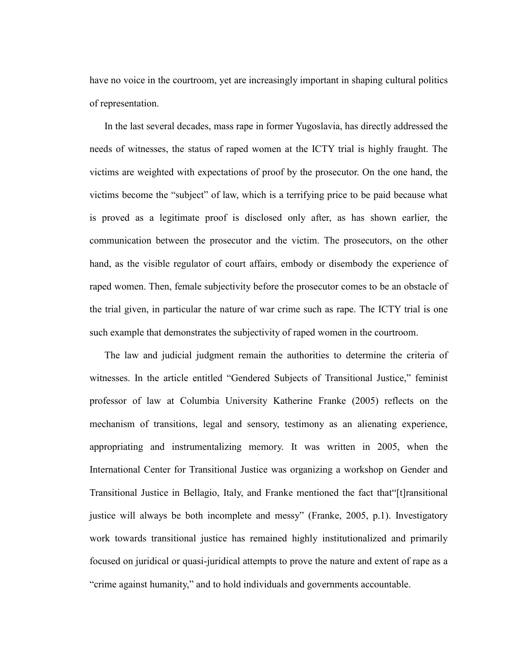have no voice in the courtroom, yet are increasingly important in shaping cultural politics of representation.

In the last several decades, mass rape in former Yugoslavia, has directly addressed the needs of witnesses, the status of raped women at the ICTY trial is highly fraught. The victims are weighted with expectations of proof by the prosecutor. On the one hand, the victims become the "subject" of law, which is a terrifying price to be paid because what is proved as a legitimate proof is disclosed only after, as has shown earlier, the communication between the prosecutor and the victim. The prosecutors, on the other hand, as the visible regulator of court affairs, embody or disembody the experience of raped women. Then, female subjectivity before the prosecutor comes to be an obstacle of the trial given, in particular the nature of war crime such as rape. The ICTY trial is one such example that demonstrates the subjectivity of raped women in the courtroom.

The law and judicial judgment remain the authorities to determine the criteria of witnesses. In the article entitled "Gendered Subjects of Transitional Justice," feminist professor of law at Columbia University Katherine Franke (2005) reflects on the mechanism of transitions, legal and sensory, testimony as an alienating experience, appropriating and instrumentalizing memory. It was written in 2005, when the International Center for Transitional Justice was organizing a workshop on Gender and Transitional Justice in Bellagio, Italy, and Franke mentioned the fact that [t] ransitional justice will always be both incomplete and messy" (Franke, 2005, p.1). Investigatory work towards transitional justice has remained highly institutionalized and primarily focused on juridical or quasi-juridical attempts to prove the nature and extent of rape as a "crime against humanity," and to hold individuals and governments accountable.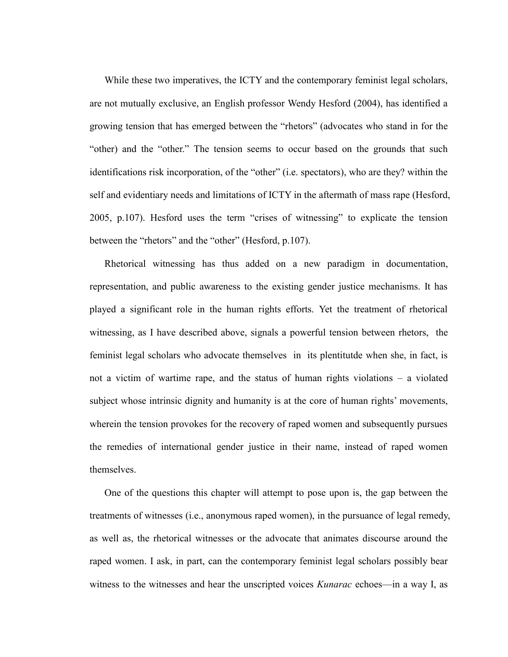While these two imperatives, the ICTY and the contemporary feminist legal scholars, are not mutually exclusive, an English professor Wendy Hesford (2004), has identified a growing tension that has emerged between the "rhetors" (advocates who stand in for the "other) and the "other." The tension seems to occur based on the grounds that such identifications risk incorporation, of the "other" (i.e. spectators), who are they? within the self and evidentiary needs and limitations of ICTY in the aftermath of mass rape (Hesford,  $2005$ , p.107). Hesford uses the term "crises of witnessing" to explicate the tension between the "rhetors" and the "other" (Hesford, p.107).

Rhetorical witnessing has thus added on a new paradigm in documentation, representation, and public awareness to the existing gender justice mechanisms. It has played a significant role in the human rights efforts. Yet the treatment of rhetorical witnessing, as I have described above, signals a powerful tension between rhetors, the feminist legal scholars who advocate themselves in its plentitutde when she, in fact, is not a victim of wartime rape, and the status of human rights violations – a violated subject whose intrinsic dignity and humanity is at the core of human rights' movements, wherein the tension provokes for the recovery of raped women and subsequently pursues the remedies of international gender justice in their name, instead of raped women themselves.

One of the questions this chapter will attempt to pose upon is, the gap between the treatments of witnesses (i.e., anonymous raped women), in the pursuance of legal remedy, as well as, the rhetorical witnesses or the advocate that animates discourse around the raped women. I ask, in part, can the contemporary feminist legal scholars possibly bear witness to the witnesses and hear the unscripted voices *Kunarac* echoes—in a way I, as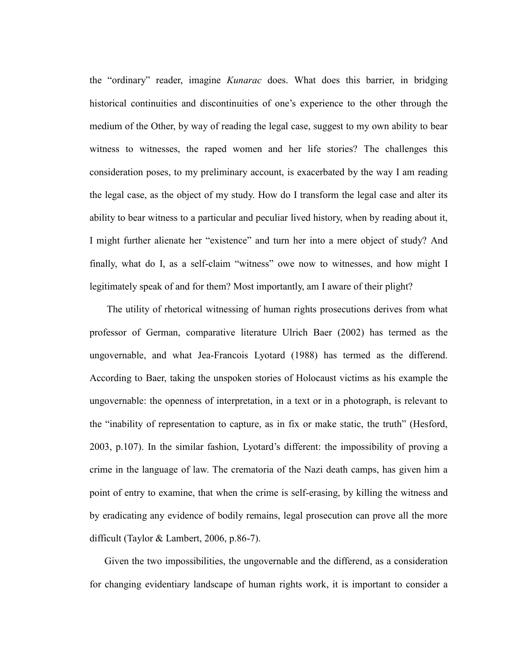the "ordinary" reader, imagine *Kunarac* does. What does this barrier, in bridging historical continuities and discontinuities of one's experience to the other through the medium of the Other, by way of reading the legal case, suggest to my own ability to bear witness to witnesses, the raped women and her life stories? The challenges this consideration poses, to my preliminary account, is exacerbated by the way I am reading the legal case, as the object of my study. How do I transform the legal case and alter its ability to bear witness to a particular and peculiar lived history, when by reading about it, I might further alienate her "existence" and turn her into a mere object of study? And finally, what do I, as a self-claim "witness" owe now to witnesses, and how might I legitimately speak of and for them? Most importantly, am I aware of their plight?

The utility of rhetorical witnessing of human rights prosecutions derives from what professor of German, comparative literature Ulrich Baer (2002) has termed as the ungovernable, and what Jea-Francois Lyotard (1988) has termed as the differend. According to Baer, taking the unspoken stories of Holocaust victims as his example the ungovernable: the openness of interpretation, in a text or in a photograph, is relevant to the "inability of representation to capture, as in fix or make static, the truth" (Hesford, 2003, p.107). In the similar fashion, Lyotard's different: the impossibility of proving a crime in the language of law. The crematoria of the Nazi death camps, has given him a point of entry to examine, that when the crime is self-erasing, by killing the witness and by eradicating any evidence of bodily remains, legal prosecution can prove all the more difficult (Taylor & Lambert, 2006, p.86-7).

Given the two impossibilities, the ungovernable and the differend, as a consideration for changing evidentiary landscape of human rights work, it is important to consider a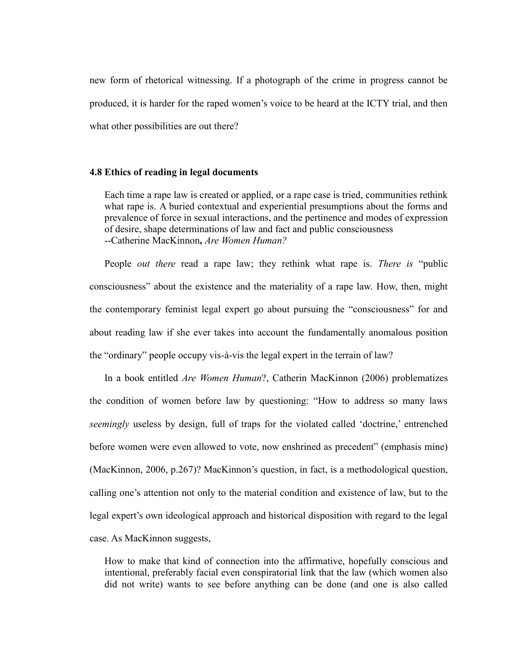new form of rhetorical witnessing. If a photograph of the crime in progress cannot be produced, it is harder for the raped women's voice to be heard at the ICTY trial, and then what other possibilities are out there?

#### **4.8 Ethics of reading in legal documents**

Each time a rape law is created or applied, or a rape case is tried, communities rethink what rape is. A buried contextual and experiential presumptions about the forms and prevalence of force in sexual interactions, and the pertinence and modes of expression of desire, shape determinations of law and fact and public consciousness --Catherine MacKinnon**,** *Are Women Human?*

People *out there* read a rape law; they rethink what rape is. *There is* "public consciousness" about the existence and the materiality of a rape law. How, then, might the contemporary feminist legal expert go about pursuing the "consciousness" for and about reading law if she ever takes into account the fundamentally anomalous position the "ordinary" people occupy vis-à-vis the legal expert in the terrain of law?

In a book entitled *Are Women Human*?, Catherin MacKinnon (2006) problematizes the condition of women before law by questioning: "How to address so many laws *seemingly* useless by design, full of traps for the violated called 'doctrine,' entrenched before women were even allowed to vote, now enshrined as precedent" (emphasis mine) (MacKinnon, 2006, p.267)? MacKinnon's question, in fact, is a methodological question, calling one's attention not only to the material condition and existence of law, but to the legal expert's own ideological approach and historical disposition with regard to the legal case. As MacKinnon suggests,

How to make that kind of connection into the affirmative, hopefully conscious and intentional, preferably facial even conspiratorial link that the law (which women also did not write) wants to see before anything can be done (and one is also called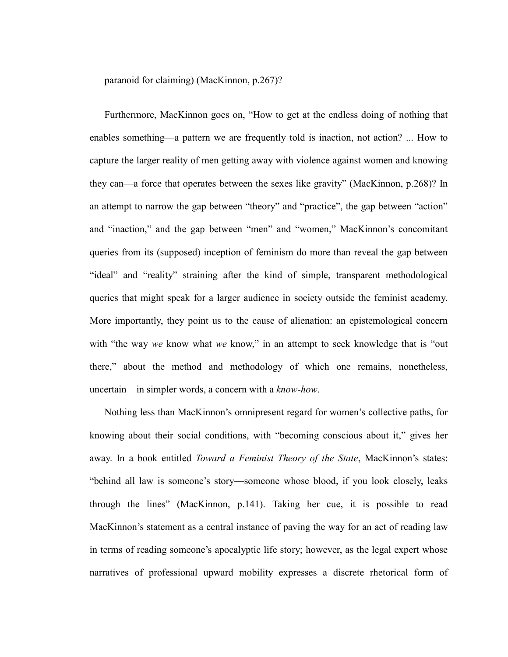paranoid for claiming) (MacKinnon, p.267)?

Furthermore, MacKinnon goes on, "How to get at the endless doing of nothing that enables something—a pattern we are frequently told is inaction, not action? ... How to capture the larger reality of men getting away with violence against women and knowing they can—a force that operates between the sexes like gravity" (MacKinnon, p.268)? In an attempt to narrow the gap between "theory" and "practice", the gap between "action" and "inaction," and the gap between "men" and "women," MacKinnon's concomitant queries from its (supposed) inception of feminism do more than reveal the gap between "ideal" and "reality" straining after the kind of simple, transparent methodological queries that might speak for a larger audience in society outside the feminist academy. More importantly, they point us to the cause of alienation: an epistemological concern with "the way *we* know what *we* know," in an attempt to seek knowledge that is "out there," about the method and methodology of which one remains, nonetheless, uncertain—in simpler words, a concern with a *know-how*.

Nothing less than MacKinnon's omnipresent regard for women's collective paths, for knowing about their social conditions, with "becoming conscious about it," gives her away. In a book entitled *Toward a Feminist Theory of the State*, MacKinnon's states: "behind all law is someone's story—someone whose blood, if you look closely, leaks through the lines‖ (MacKinnon, p.141). Taking her cue, it is possible to read MacKinnon's statement as a central instance of paving the way for an act of reading law in terms of reading someone's apocalyptic life story; however, as the legal expert whose narratives of professional upward mobility expresses a discrete rhetorical form of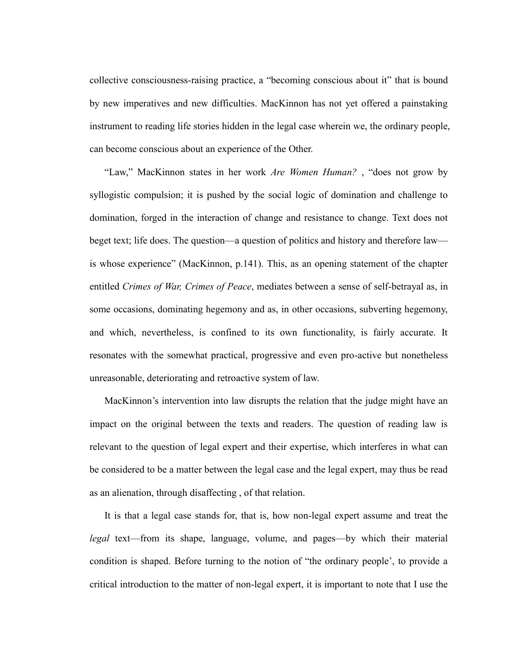collective consciousness-raising practice, a "becoming conscious about it" that is bound by new imperatives and new difficulties. MacKinnon has not yet offered a painstaking instrument to reading life stories hidden in the legal case wherein we, the ordinary people, can become conscious about an experience of the Other.

"Law," MacKinnon states in her work *Are Women Human?*, "does not grow by syllogistic compulsion; it is pushed by the social logic of domination and challenge to domination, forged in the interaction of change and resistance to change. Text does not beget text; life does. The question—a question of politics and history and therefore law is whose experience" (MacKinnon, p.141). This, as an opening statement of the chapter entitled *Crimes of War, Crimes of Peace*, mediates between a sense of self-betrayal as, in some occasions, dominating hegemony and as, in other occasions, subverting hegemony, and which, nevertheless, is confined to its own functionality, is fairly accurate. It resonates with the somewhat practical, progressive and even pro-active but nonetheless unreasonable, deteriorating and retroactive system of law.

MacKinnon's intervention into law disrupts the relation that the judge might have an impact on the original between the texts and readers. The question of reading law is relevant to the question of legal expert and their expertise, which interferes in what can be considered to be a matter between the legal case and the legal expert, may thus be read as an alienation, through disaffecting , of that relation.

It is that a legal case stands for, that is, how non-legal expert assume and treat the *legal* text—from its shape, language, volume, and pages—by which their material condition is shaped. Before turning to the notion of "the ordinary people', to provide a critical introduction to the matter of non-legal expert, it is important to note that I use the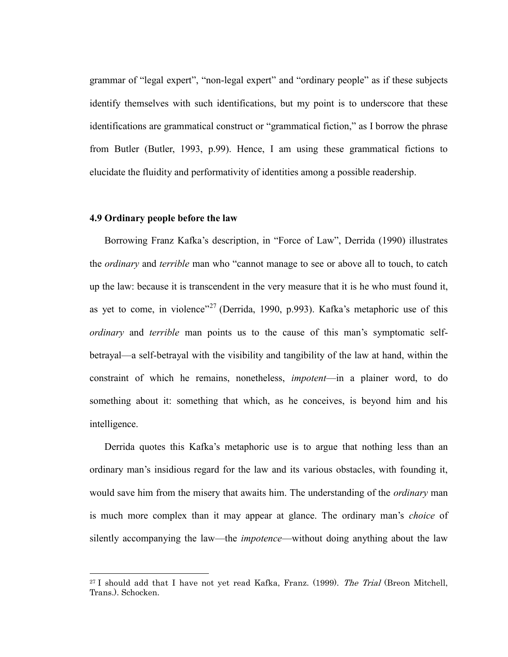grammar of "legal expert", "non-legal expert" and "ordinary people" as if these subjects identify themselves with such identifications, but my point is to underscore that these identifications are grammatical construct or "grammatical fiction," as I borrow the phrase from Butler (Butler, 1993, p.99). Hence, I am using these grammatical fictions to elucidate the fluidity and performativity of identities among a possible readership.

### **4.9 Ordinary people before the law**

 $\overline{a}$ 

Borrowing Franz Kafka's description, in "Force of Law", Derrida (1990) illustrates the *ordinary* and *terrible* man who "cannot manage to see or above all to touch, to catch up the law: because it is transcendent in the very measure that it is he who must found it, as yet to come, in violence"<sup>27</sup> (Derrida, 1990, p.993). Kafka's metaphoric use of this *ordinary* and *terrible* man points us to the cause of this man's symptomatic selfbetrayal—a self-betrayal with the visibility and tangibility of the law at hand, within the constraint of which he remains, nonetheless, *impotent*—in a plainer word, to do something about it: something that which, as he conceives, is beyond him and his intelligence.

Derrida quotes this Kafka's metaphoric use is to argue that nothing less than an ordinary man's insidious regard for the law and its various obstacles, with founding it, would save him from the misery that awaits him. The understanding of the *ordinary* man is much more complex than it may appear at glance. The ordinary man's *choice* of silently accompanying the law—the *impotence*—without doing anything about the law

<sup>&</sup>lt;sup>27</sup> I should add that I have not yet read Kafka, Franz. (1999). The Trial (Breon Mitchell, Trans.). Schocken.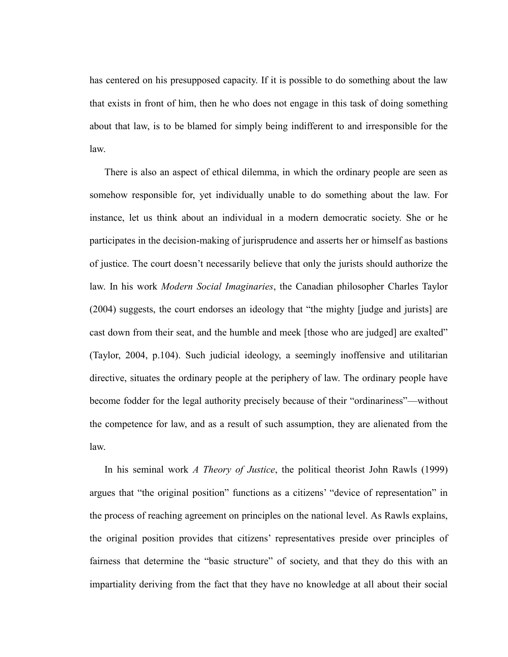has centered on his presupposed capacity. If it is possible to do something about the law that exists in front of him, then he who does not engage in this task of doing something about that law, is to be blamed for simply being indifferent to and irresponsible for the law.

There is also an aspect of ethical dilemma, in which the ordinary people are seen as somehow responsible for, yet individually unable to do something about the law. For instance, let us think about an individual in a modern democratic society. She or he participates in the decision-making of jurisprudence and asserts her or himself as bastions of justice. The court doesn't necessarily believe that only the jurists should authorize the law. In his work *Modern Social Imaginaries*, the Canadian philosopher Charles Taylor (2004) suggests, the court endorses an ideology that "the mighty [judge and jurists] are cast down from their seat, and the humble and meek [those who are judged] are exalted" (Taylor, 2004, p.104). Such judicial ideology, a seemingly inoffensive and utilitarian directive, situates the ordinary people at the periphery of law. The ordinary people have become fodder for the legal authority precisely because of their "ordinariness"—without the competence for law, and as a result of such assumption, they are alienated from the law.

In his seminal work *A Theory of Justice*, the political theorist John Rawls (1999) argues that "the original position" functions as a citizens' "device of representation" in the process of reaching agreement on principles on the national level. As Rawls explains, the original position provides that citizens' representatives preside over principles of fairness that determine the "basic structure" of society, and that they do this with an impartiality deriving from the fact that they have no knowledge at all about their social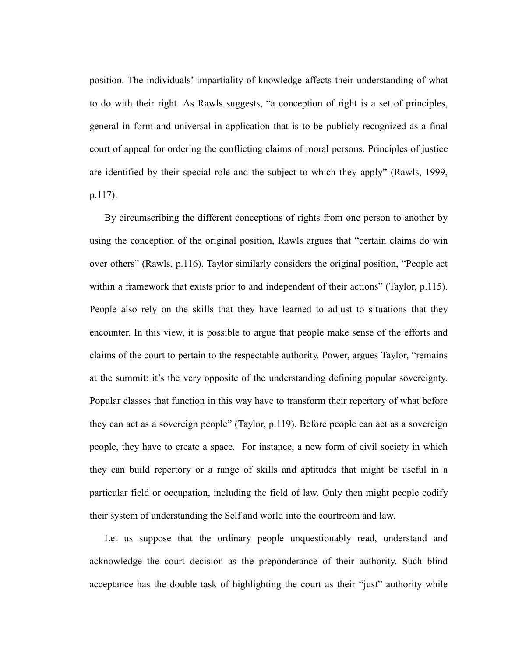position. The individuals' impartiality of knowledge affects their understanding of what to do with their right. As Rawls suggests, "a conception of right is a set of principles, general in form and universal in application that is to be publicly recognized as a final court of appeal for ordering the conflicting claims of moral persons. Principles of justice are identified by their special role and the subject to which they apply" (Rawls, 1999, p.117).

By circumscribing the different conceptions of rights from one person to another by using the conception of the original position, Rawls argues that "certain claims do win over others" (Rawls, p.116). Taylor similarly considers the original position, "People act within a framework that exists prior to and independent of their actions" (Taylor,  $p.115$ ). People also rely on the skills that they have learned to adjust to situations that they encounter. In this view, it is possible to argue that people make sense of the efforts and claims of the court to pertain to the respectable authority. Power, argues Taylor, "remains" at the summit: it's the very opposite of the understanding defining popular sovereignty. Popular classes that function in this way have to transform their repertory of what before they can act as a sovereign people" (Taylor, p.119). Before people can act as a sovereign people, they have to create a space. For instance, a new form of civil society in which they can build repertory or a range of skills and aptitudes that might be useful in a particular field or occupation, including the field of law. Only then might people codify their system of understanding the Self and world into the courtroom and law.

Let us suppose that the ordinary people unquestionably read, understand and acknowledge the court decision as the preponderance of their authority. Such blind acceptance has the double task of highlighting the court as their "just" authority while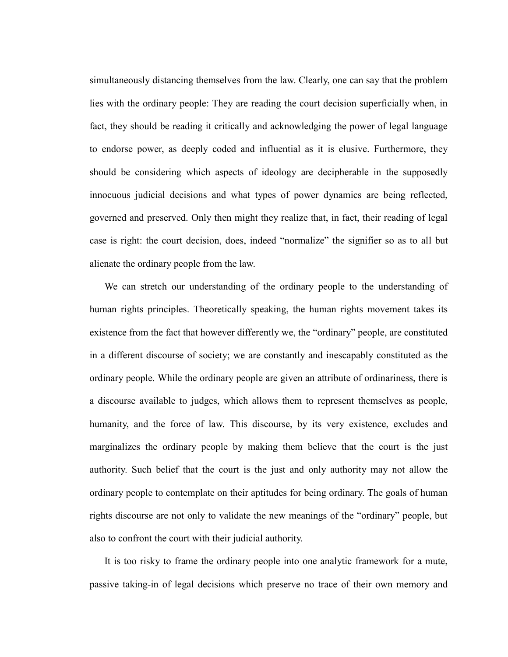simultaneously distancing themselves from the law. Clearly, one can say that the problem lies with the ordinary people: They are reading the court decision superficially when, in fact, they should be reading it critically and acknowledging the power of legal language to endorse power, as deeply coded and influential as it is elusive. Furthermore, they should be considering which aspects of ideology are decipherable in the supposedly innocuous judicial decisions and what types of power dynamics are being reflected, governed and preserved. Only then might they realize that, in fact, their reading of legal case is right: the court decision, does, indeed "normalize" the signifier so as to all but alienate the ordinary people from the law.

We can stretch our understanding of the ordinary people to the understanding of human rights principles. Theoretically speaking, the human rights movement takes its existence from the fact that however differently we, the "ordinary" people, are constituted in a different discourse of society; we are constantly and inescapably constituted as the ordinary people. While the ordinary people are given an attribute of ordinariness, there is a discourse available to judges, which allows them to represent themselves as people, humanity, and the force of law. This discourse, by its very existence, excludes and marginalizes the ordinary people by making them believe that the court is the just authority. Such belief that the court is the just and only authority may not allow the ordinary people to contemplate on their aptitudes for being ordinary. The goals of human rights discourse are not only to validate the new meanings of the "ordinary" people, but also to confront the court with their judicial authority.

It is too risky to frame the ordinary people into one analytic framework for a mute, passive taking-in of legal decisions which preserve no trace of their own memory and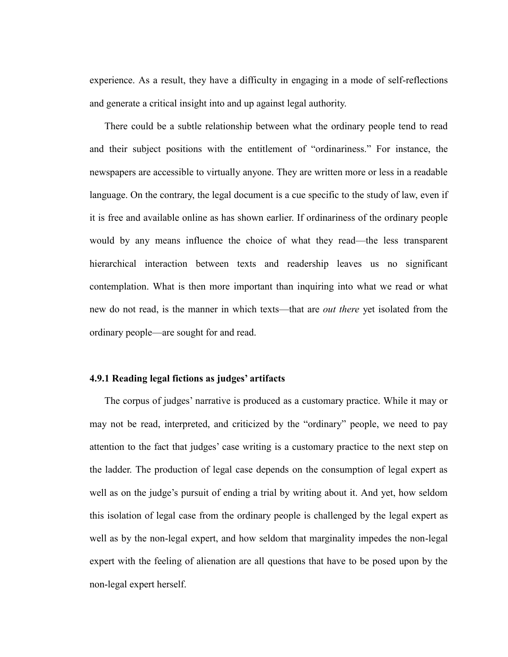experience. As a result, they have a difficulty in engaging in a mode of self-reflections and generate a critical insight into and up against legal authority.

There could be a subtle relationship between what the ordinary people tend to read and their subject positions with the entitlement of "ordinariness." For instance, the newspapers are accessible to virtually anyone. They are written more or less in a readable language. On the contrary, the legal document is a cue specific to the study of law, even if it is free and available online as has shown earlier. If ordinariness of the ordinary people would by any means influence the choice of what they read—the less transparent hierarchical interaction between texts and readership leaves us no significant contemplation. What is then more important than inquiring into what we read or what new do not read, is the manner in which texts—that are *out there* yet isolated from the ordinary people—are sought for and read.

# **4.9.1 Reading legal fictions as judges' artifacts**

The corpus of judges' narrative is produced as a customary practice. While it may or may not be read, interpreted, and criticized by the "ordinary" people, we need to pay attention to the fact that judges' case writing is a customary practice to the next step on the ladder. The production of legal case depends on the consumption of legal expert as well as on the judge's pursuit of ending a trial by writing about it. And yet, how seldom this isolation of legal case from the ordinary people is challenged by the legal expert as well as by the non-legal expert, and how seldom that marginality impedes the non-legal expert with the feeling of alienation are all questions that have to be posed upon by the non-legal expert herself.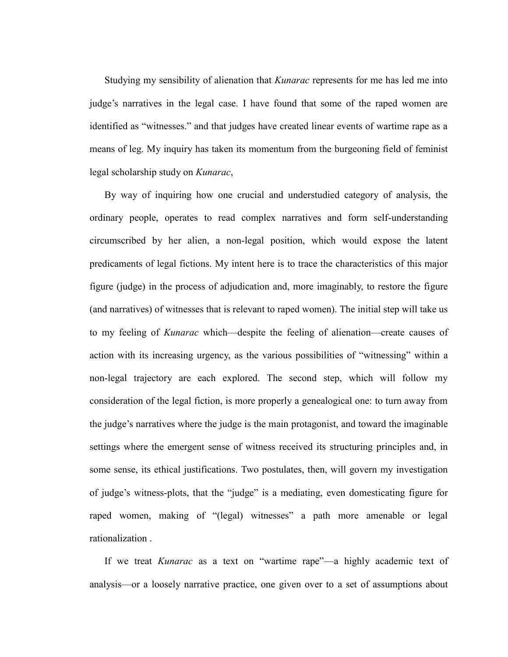Studying my sensibility of alienation that *Kunarac* represents for me has led me into judge's narratives in the legal case. I have found that some of the raped women are identified as "witnesses." and that judges have created linear events of wartime rape as a means of leg. My inquiry has taken its momentum from the burgeoning field of feminist legal scholarship study on *Kunarac*,

By way of inquiring how one crucial and understudied category of analysis, the ordinary people, operates to read complex narratives and form self-understanding circumscribed by her alien, a non-legal position, which would expose the latent predicaments of legal fictions. My intent here is to trace the characteristics of this major figure (judge) in the process of adjudication and, more imaginably, to restore the figure (and narratives) of witnesses that is relevant to raped women). The initial step will take us to my feeling of *Kunarac* which—despite the feeling of alienation—create causes of action with its increasing urgency, as the various possibilities of "witnessing" within a non-legal trajectory are each explored. The second step, which will follow my consideration of the legal fiction, is more properly a genealogical one: to turn away from the judge's narratives where the judge is the main protagonist, and toward the imaginable settings where the emergent sense of witness received its structuring principles and, in some sense, its ethical justifications. Two postulates, then, will govern my investigation of judge's witness-plots, that the "judge" is a mediating, even domesticating figure for raped women, making of "(legal) witnesses" a path more amenable or legal rationalization .

If we treat *Kunarac* as a text on "wartime rape"—a highly academic text of analysis—or a loosely narrative practice, one given over to a set of assumptions about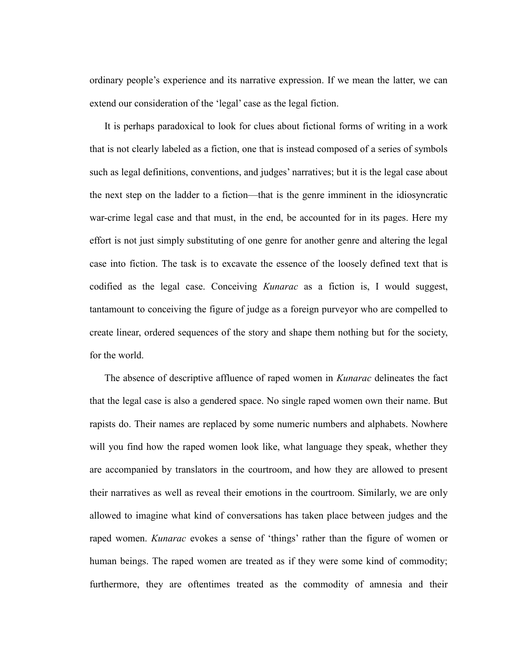ordinary people's experience and its narrative expression. If we mean the latter, we can extend our consideration of the 'legal' case as the legal fiction.

It is perhaps paradoxical to look for clues about fictional forms of writing in a work that is not clearly labeled as a fiction, one that is instead composed of a series of symbols such as legal definitions, conventions, and judges' narratives; but it is the legal case about the next step on the ladder to a fiction—that is the genre imminent in the idiosyncratic war-crime legal case and that must, in the end, be accounted for in its pages. Here my effort is not just simply substituting of one genre for another genre and altering the legal case into fiction. The task is to excavate the essence of the loosely defined text that is codified as the legal case. Conceiving *Kunarac* as a fiction is, I would suggest, tantamount to conceiving the figure of judge as a foreign purveyor who are compelled to create linear, ordered sequences of the story and shape them nothing but for the society, for the world.

The absence of descriptive affluence of raped women in *Kunarac* delineates the fact that the legal case is also a gendered space. No single raped women own their name. But rapists do. Their names are replaced by some numeric numbers and alphabets. Nowhere will you find how the raped women look like, what language they speak, whether they are accompanied by translators in the courtroom, and how they are allowed to present their narratives as well as reveal their emotions in the courtroom. Similarly, we are only allowed to imagine what kind of conversations has taken place between judges and the raped women. *Kunarac* evokes a sense of 'things' rather than the figure of women or human beings. The raped women are treated as if they were some kind of commodity; furthermore, they are oftentimes treated as the commodity of amnesia and their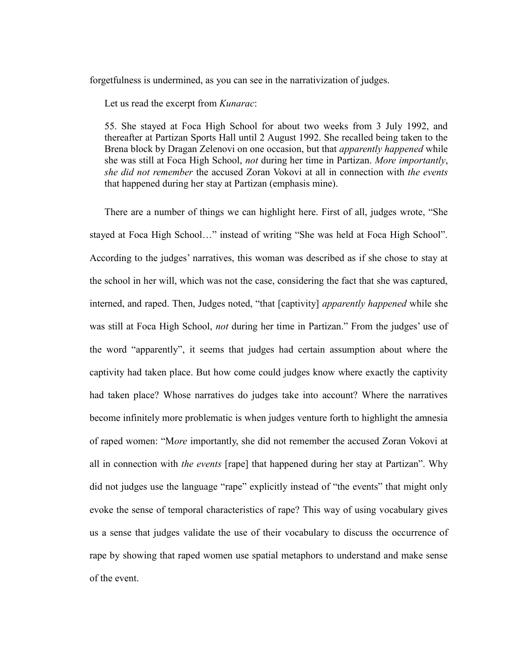forgetfulness is undermined, as you can see in the narrativization of judges.

Let us read the excerpt from *Kunarac*:

55. She stayed at Foca High School for about two weeks from 3 July 1992, and thereafter at Partizan Sports Hall until 2 August 1992. She recalled being taken to the Brena block by Dragan Zelenovi on one occasion, but that *apparently happened* while she was still at Foca High School, *not* during her time in Partizan. *More importantly*, *she did not remember* the accused Zoran Vokovi at all in connection with *the events*  that happened during her stay at Partizan (emphasis mine).

There are a number of things we can highlight here. First of all, judges wrote, "She stayed at Foca High School..." instead of writing "She was held at Foca High School". According to the judges' narratives, this woman was described as if she chose to stay at the school in her will, which was not the case, considering the fact that she was captured, interned, and raped. Then, Judges noted, "that [captivity] *apparently happened* while she was still at Foca High School, *not* during her time in Partizan." From the judges' use of the word "apparently", it seems that judges had certain assumption about where the captivity had taken place. But how come could judges know where exactly the captivity had taken place? Whose narratives do judges take into account? Where the narratives become infinitely more problematic is when judges venture forth to highlight the amnesia of raped women: "More importantly, she did not remember the accused Zoran Vokovi at all in connection with *the events* [rape] that happened during her stay at Partizan". Why did not judges use the language "rape" explicitly instead of "the events" that might only evoke the sense of temporal characteristics of rape? This way of using vocabulary gives us a sense that judges validate the use of their vocabulary to discuss the occurrence of rape by showing that raped women use spatial metaphors to understand and make sense of the event.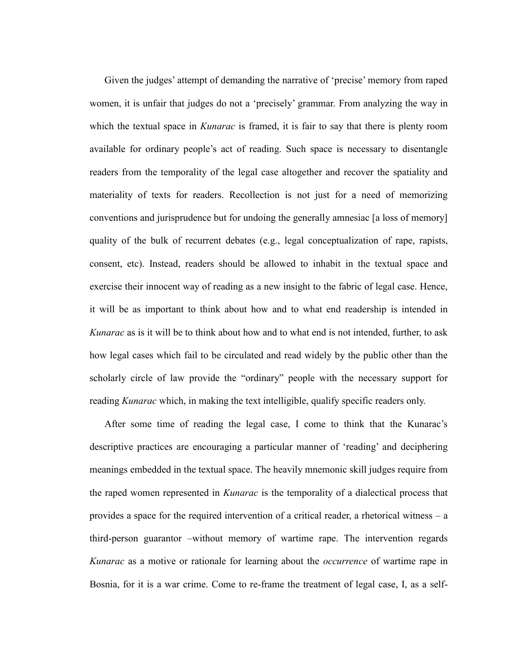Given the judges' attempt of demanding the narrative of 'precise' memory from raped women, it is unfair that judges do not a 'precisely' grammar. From analyzing the way in which the textual space in *Kunarac* is framed, it is fair to say that there is plenty room available for ordinary people's act of reading. Such space is necessary to disentangle readers from the temporality of the legal case altogether and recover the spatiality and materiality of texts for readers. Recollection is not just for a need of memorizing conventions and jurisprudence but for undoing the generally amnesiac [a loss of memory] quality of the bulk of recurrent debates (e.g., legal conceptualization of rape, rapists, consent, etc). Instead, readers should be allowed to inhabit in the textual space and exercise their innocent way of reading as a new insight to the fabric of legal case. Hence, it will be as important to think about how and to what end readership is intended in *Kunarac* as is it will be to think about how and to what end is not intended, further, to ask how legal cases which fail to be circulated and read widely by the public other than the scholarly circle of law provide the "ordinary" people with the necessary support for reading *Kunarac* which, in making the text intelligible, qualify specific readers only.

After some time of reading the legal case, I come to think that the Kunarac's descriptive practices are encouraging a particular manner of 'reading' and deciphering meanings embedded in the textual space. The heavily mnemonic skill judges require from the raped women represented in *Kunarac* is the temporality of a dialectical process that provides a space for the required intervention of a critical reader, a rhetorical witness – a third-person guarantor –without memory of wartime rape. The intervention regards *Kunarac* as a motive or rationale for learning about the *occurrence* of wartime rape in Bosnia, for it is a war crime. Come to re-frame the treatment of legal case, I, as a self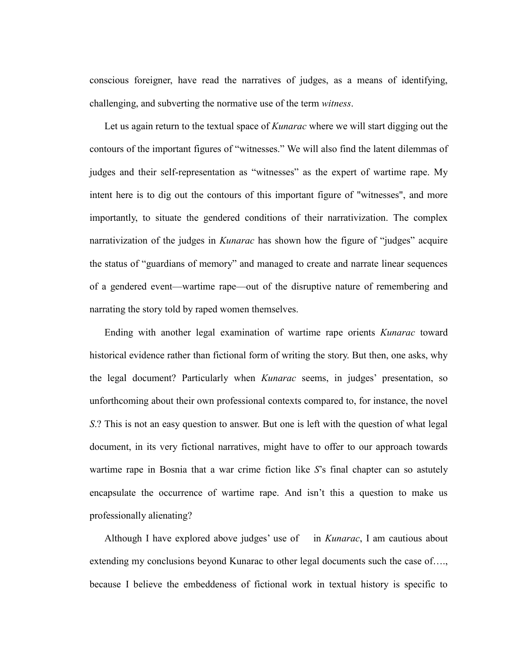conscious foreigner, have read the narratives of judges, as a means of identifying, challenging, and subverting the normative use of the term *witness*.

Let us again return to the textual space of *Kunarac* where we will start digging out the contours of the important figures of "witnesses." We will also find the latent dilemmas of judges and their self-representation as "witnesses" as the expert of wartime rape. My intent here is to dig out the contours of this important figure of "witnesses", and more importantly, to situate the gendered conditions of their narrativization. The complex narrativization of the judges in *Kunarac* has shown how the figure of "judges" acquire the status of "guardians of memory" and managed to create and narrate linear sequences of a gendered event—wartime rape—out of the disruptive nature of remembering and narrating the story told by raped women themselves.

Ending with another legal examination of wartime rape orients *Kunarac* toward historical evidence rather than fictional form of writing the story. But then, one asks, why the legal document? Particularly when *Kunarac* seems, in judges' presentation, so unforthcoming about their own professional contexts compared to, for instance, the novel *S*.? This is not an easy question to answer. But one is left with the question of what legal document, in its very fictional narratives, might have to offer to our approach towards wartime rape in Bosnia that a war crime fiction like *S*'s final chapter can so astutely encapsulate the occurrence of wartime rape. And isn't this a question to make us professionally alienating?

Although I have explored above judges' use of in *Kunarac*, I am cautious about extending my conclusions beyond Kunarac to other legal documents such the case of…., because I believe the embeddeness of fictional work in textual history is specific to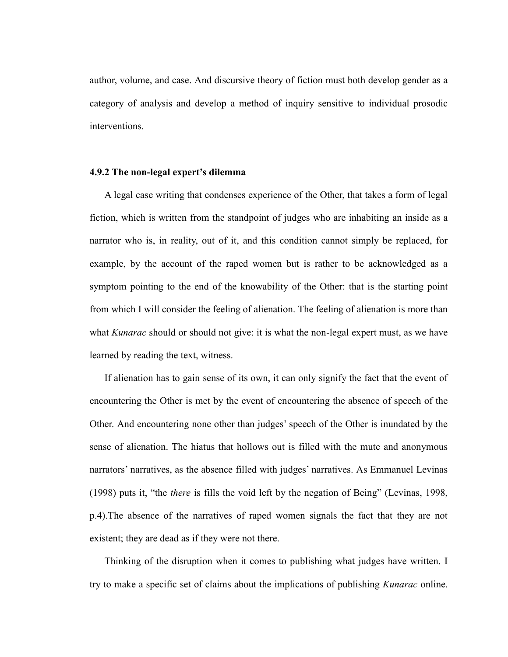author, volume, and case. And discursive theory of fiction must both develop gender as a category of analysis and develop a method of inquiry sensitive to individual prosodic interventions.

#### **4.9.2 The non-legal expert's dilemma**

A legal case writing that condenses experience of the Other, that takes a form of legal fiction, which is written from the standpoint of judges who are inhabiting an inside as a narrator who is, in reality, out of it, and this condition cannot simply be replaced, for example, by the account of the raped women but is rather to be acknowledged as a symptom pointing to the end of the knowability of the Other: that is the starting point from which I will consider the feeling of alienation. The feeling of alienation is more than what *Kunarac* should or should not give: it is what the non-legal expert must, as we have learned by reading the text, witness.

If alienation has to gain sense of its own, it can only signify the fact that the event of encountering the Other is met by the event of encountering the absence of speech of the Other. And encountering none other than judges' speech of the Other is inundated by the sense of alienation. The hiatus that hollows out is filled with the mute and anonymous narrators' narratives, as the absence filled with judges' narratives. As Emmanuel Levinas (1998) puts it, "the *there* is fills the void left by the negation of Being" (Levinas, 1998, p.4).The absence of the narratives of raped women signals the fact that they are not existent; they are dead as if they were not there.

Thinking of the disruption when it comes to publishing what judges have written. I try to make a specific set of claims about the implications of publishing *Kunarac* online.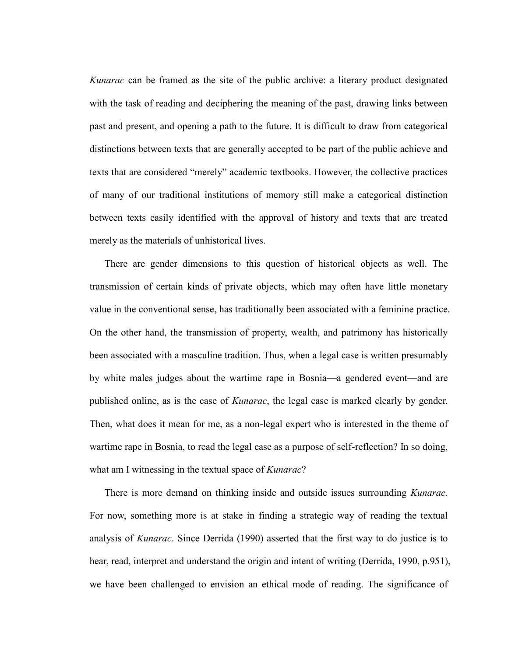*Kunarac* can be framed as the site of the public archive: a literary product designated with the task of reading and deciphering the meaning of the past, drawing links between past and present, and opening a path to the future. It is difficult to draw from categorical distinctions between texts that are generally accepted to be part of the public achieve and texts that are considered "merely" academic textbooks. However, the collective practices of many of our traditional institutions of memory still make a categorical distinction between texts easily identified with the approval of history and texts that are treated merely as the materials of unhistorical lives.

There are gender dimensions to this question of historical objects as well. The transmission of certain kinds of private objects, which may often have little monetary value in the conventional sense, has traditionally been associated with a feminine practice. On the other hand, the transmission of property, wealth, and patrimony has historically been associated with a masculine tradition. Thus, when a legal case is written presumably by white males judges about the wartime rape in Bosnia—a gendered event—and are published online, as is the case of *Kunarac*, the legal case is marked clearly by gender. Then, what does it mean for me, as a non-legal expert who is interested in the theme of wartime rape in Bosnia, to read the legal case as a purpose of self-reflection? In so doing, what am I witnessing in the textual space of *Kunarac*?

There is more demand on thinking inside and outside issues surrounding *Kunarac.* For now, something more is at stake in finding a strategic way of reading the textual analysis of *Kunarac*. Since Derrida (1990) asserted that the first way to do justice is to hear, read, interpret and understand the origin and intent of writing (Derrida, 1990, p.951), we have been challenged to envision an ethical mode of reading. The significance of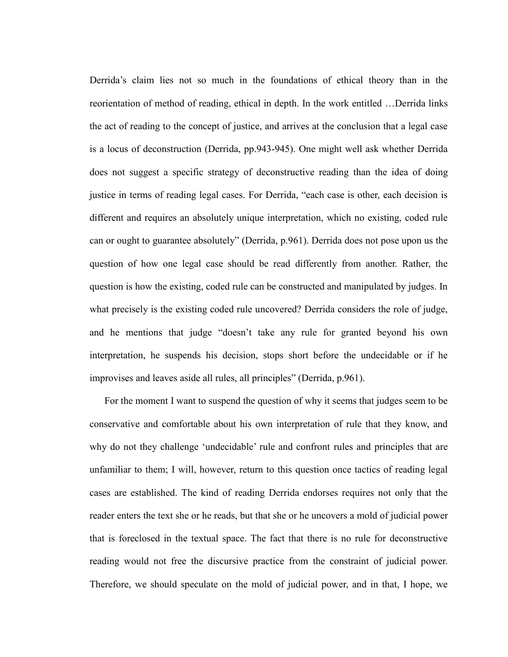Derrida's claim lies not so much in the foundations of ethical theory than in the reorientation of method of reading, ethical in depth. In the work entitled …Derrida links the act of reading to the concept of justice, and arrives at the conclusion that a legal case is a locus of deconstruction (Derrida, pp.943-945). One might well ask whether Derrida does not suggest a specific strategy of deconstructive reading than the idea of doing justice in terms of reading legal cases. For Derrida, "each case is other, each decision is different and requires an absolutely unique interpretation, which no existing, coded rule can or ought to guarantee absolutely" (Derrida, p.961). Derrida does not pose upon us the question of how one legal case should be read differently from another. Rather, the question is how the existing, coded rule can be constructed and manipulated by judges. In what precisely is the existing coded rule uncovered? Derrida considers the role of judge, and he mentions that judge "doesn't take any rule for granted beyond his own interpretation, he suspends his decision, stops short before the undecidable or if he improvises and leaves aside all rules, all principles" (Derrida, p.961).

For the moment I want to suspend the question of why it seems that judges seem to be conservative and comfortable about his own interpretation of rule that they know, and why do not they challenge 'undecidable' rule and confront rules and principles that are unfamiliar to them; I will, however, return to this question once tactics of reading legal cases are established. The kind of reading Derrida endorses requires not only that the reader enters the text she or he reads, but that she or he uncovers a mold of judicial power that is foreclosed in the textual space. The fact that there is no rule for deconstructive reading would not free the discursive practice from the constraint of judicial power. Therefore, we should speculate on the mold of judicial power, and in that, I hope, we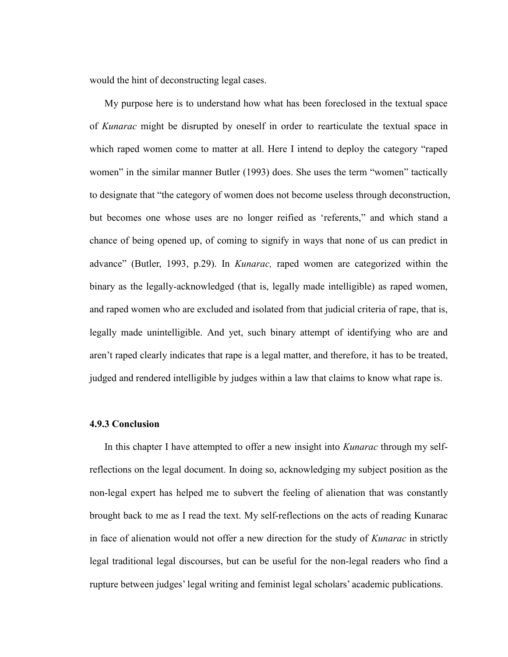would the hint of deconstructing legal cases.

My purpose here is to understand how what has been foreclosed in the textual space of *Kunarac* might be disrupted by oneself in order to rearticulate the textual space in which raped women come to matter at all. Here I intend to deploy the category "raped" women" in the similar manner Butler (1993) does. She uses the term "women" tactically to designate that "the category of women does not become useless through deconstruction, but becomes one whose uses are no longer reified as 'referents," and which stand a chance of being opened up, of coming to signify in ways that none of us can predict in advance" (Butler, 1993, p.29). In *Kunarac*, raped women are categorized within the binary as the legally-acknowledged (that is, legally made intelligible) as raped women, and raped women who are excluded and isolated from that judicial criteria of rape, that is, legally made unintelligible. And yet, such binary attempt of identifying who are and aren't raped clearly indicates that rape is a legal matter, and therefore, it has to be treated, judged and rendered intelligible by judges within a law that claims to know what rape is.

## **4.9.3 Conclusion**

In this chapter I have attempted to offer a new insight into *Kunarac* through my selfreflections on the legal document. In doing so, acknowledging my subject position as the non-legal expert has helped me to subvert the feeling of alienation that was constantly brought back to me as I read the text. My self-reflections on the acts of reading Kunarac in face of alienation would not offer a new direction for the study of *Kunarac* in strictly legal traditional legal discourses, but can be useful for the non-legal readers who find a rupture between judges' legal writing and feminist legal scholars' academic publications.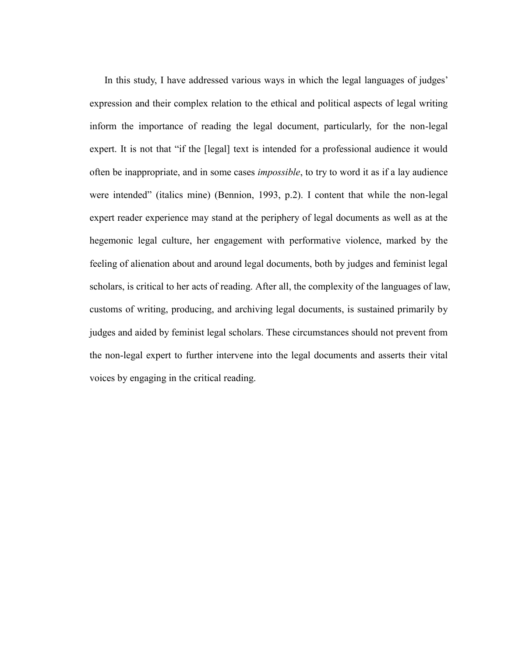In this study, I have addressed various ways in which the legal languages of judges' expression and their complex relation to the ethical and political aspects of legal writing inform the importance of reading the legal document, particularly, for the non-legal expert. It is not that "if the [legal] text is intended for a professional audience it would often be inappropriate, and in some cases *impossible*, to try to word it as if a lay audience were intended" (italics mine) (Bennion, 1993, p.2). I content that while the non-legal expert reader experience may stand at the periphery of legal documents as well as at the hegemonic legal culture, her engagement with performative violence, marked by the feeling of alienation about and around legal documents, both by judges and feminist legal scholars, is critical to her acts of reading. After all, the complexity of the languages of law, customs of writing, producing, and archiving legal documents, is sustained primarily by judges and aided by feminist legal scholars. These circumstances should not prevent from the non-legal expert to further intervene into the legal documents and asserts their vital voices by engaging in the critical reading.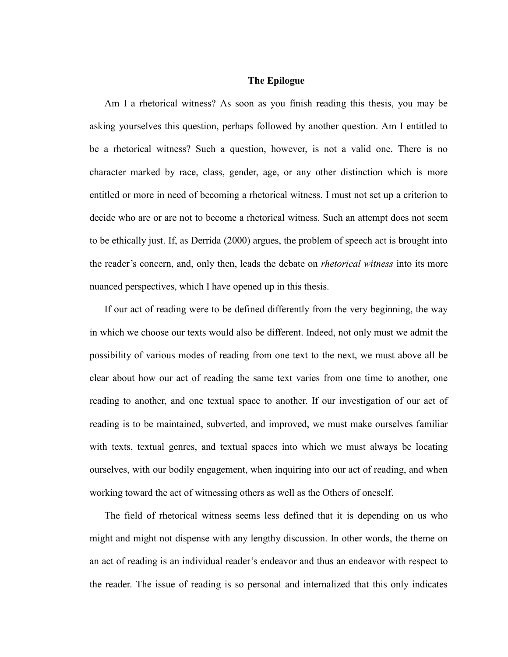## **The Epilogue**

Am I a rhetorical witness? As soon as you finish reading this thesis, you may be asking yourselves this question, perhaps followed by another question. Am I entitled to be a rhetorical witness? Such a question, however, is not a valid one. There is no character marked by race, class, gender, age, or any other distinction which is more entitled or more in need of becoming a rhetorical witness. I must not set up a criterion to decide who are or are not to become a rhetorical witness. Such an attempt does not seem to be ethically just. If, as Derrida (2000) argues, the problem of speech act is brought into the reader's concern, and, only then, leads the debate on *rhetorical witness* into its more nuanced perspectives, which I have opened up in this thesis.

If our act of reading were to be defined differently from the very beginning, the way in which we choose our texts would also be different. Indeed, not only must we admit the possibility of various modes of reading from one text to the next, we must above all be clear about how our act of reading the same text varies from one time to another, one reading to another, and one textual space to another. If our investigation of our act of reading is to be maintained, subverted, and improved, we must make ourselves familiar with texts, textual genres, and textual spaces into which we must always be locating ourselves, with our bodily engagement, when inquiring into our act of reading, and when working toward the act of witnessing others as well as the Others of oneself.

The field of rhetorical witness seems less defined that it is depending on us who might and might not dispense with any lengthy discussion. In other words, the theme on an act of reading is an individual reader's endeavor and thus an endeavor with respect to the reader. The issue of reading is so personal and internalized that this only indicates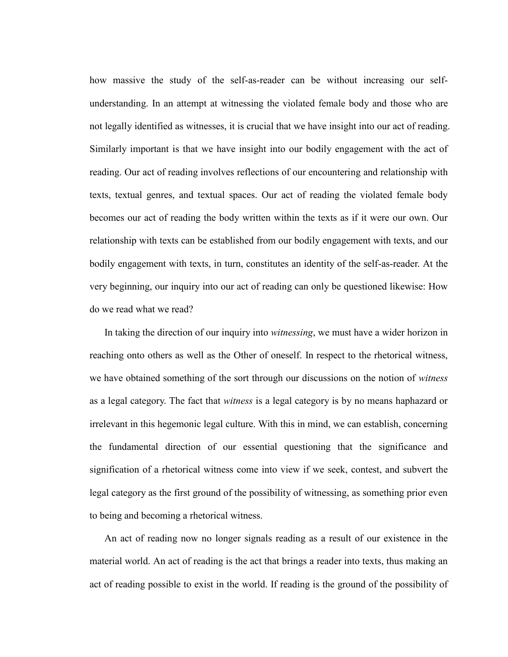how massive the study of the self-as-reader can be without increasing our selfunderstanding. In an attempt at witnessing the violated female body and those who are not legally identified as witnesses, it is crucial that we have insight into our act of reading. Similarly important is that we have insight into our bodily engagement with the act of reading. Our act of reading involves reflections of our encountering and relationship with texts, textual genres, and textual spaces. Our act of reading the violated female body becomes our act of reading the body written within the texts as if it were our own. Our relationship with texts can be established from our bodily engagement with texts, and our bodily engagement with texts, in turn, constitutes an identity of the self-as-reader. At the very beginning, our inquiry into our act of reading can only be questioned likewise: How do we read what we read?

In taking the direction of our inquiry into *witnessing*, we must have a wider horizon in reaching onto others as well as the Other of oneself. In respect to the rhetorical witness, we have obtained something of the sort through our discussions on the notion of *witness* as a legal category. The fact that *witness* is a legal category is by no means haphazard or irrelevant in this hegemonic legal culture. With this in mind, we can establish, concerning the fundamental direction of our essential questioning that the significance and signification of a rhetorical witness come into view if we seek, contest, and subvert the legal category as the first ground of the possibility of witnessing, as something prior even to being and becoming a rhetorical witness.

An act of reading now no longer signals reading as a result of our existence in the material world. An act of reading is the act that brings a reader into texts, thus making an act of reading possible to exist in the world. If reading is the ground of the possibility of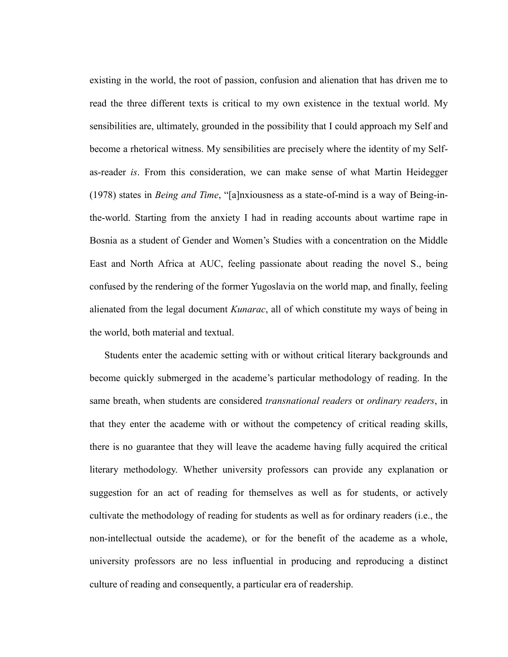existing in the world, the root of passion, confusion and alienation that has driven me to read the three different texts is critical to my own existence in the textual world. My sensibilities are, ultimately, grounded in the possibility that I could approach my Self and become a rhetorical witness. My sensibilities are precisely where the identity of my Selfas-reader *is*. From this consideration, we can make sense of what Martin Heidegger (1978) states in *Being and Time*, "[a]nxiousness as a state-of-mind is a way of Being-inthe-world. Starting from the anxiety I had in reading accounts about wartime rape in Bosnia as a student of Gender and Women's Studies with a concentration on the Middle East and North Africa at AUC, feeling passionate about reading the novel S., being confused by the rendering of the former Yugoslavia on the world map, and finally, feeling alienated from the legal document *Kunarac*, all of which constitute my ways of being in the world, both material and textual.

Students enter the academic setting with or without critical literary backgrounds and become quickly submerged in the academe's particular methodology of reading. In the same breath, when students are considered *transnational readers* or *ordinary readers*, in that they enter the academe with or without the competency of critical reading skills, there is no guarantee that they will leave the academe having fully acquired the critical literary methodology. Whether university professors can provide any explanation or suggestion for an act of reading for themselves as well as for students, or actively cultivate the methodology of reading for students as well as for ordinary readers (i.e., the non-intellectual outside the academe), or for the benefit of the academe as a whole, university professors are no less influential in producing and reproducing a distinct culture of reading and consequently, a particular era of readership.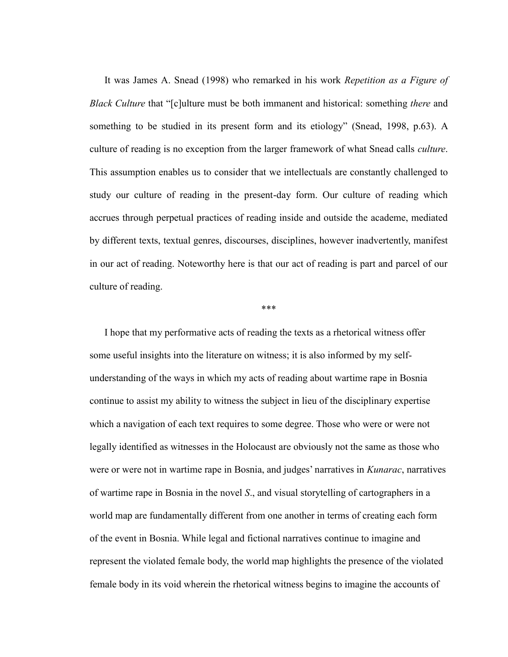It was James A. Snead (1998) who remarked in his work *Repetition as a Figure of Black Culture* that "[c]ulture must be both immanent and historical: something *there* and something to be studied in its present form and its etiology" (Snead, 1998, p.63). A culture of reading is no exception from the larger framework of what Snead calls *culture*. This assumption enables us to consider that we intellectuals are constantly challenged to study our culture of reading in the present-day form. Our culture of reading which accrues through perpetual practices of reading inside and outside the academe, mediated by different texts, textual genres, discourses, disciplines, however inadvertently, manifest in our act of reading. Noteworthy here is that our act of reading is part and parcel of our culture of reading.

## \*\*\*

I hope that my performative acts of reading the texts as a rhetorical witness offer some useful insights into the literature on witness; it is also informed by my selfunderstanding of the ways in which my acts of reading about wartime rape in Bosnia continue to assist my ability to witness the subject in lieu of the disciplinary expertise which a navigation of each text requires to some degree. Those who were or were not legally identified as witnesses in the Holocaust are obviously not the same as those who were or were not in wartime rape in Bosnia, and judges' narratives in *Kunarac*, narratives of wartime rape in Bosnia in the novel *S*., and visual storytelling of cartographers in a world map are fundamentally different from one another in terms of creating each form of the event in Bosnia. While legal and fictional narratives continue to imagine and represent the violated female body, the world map highlights the presence of the violated female body in its void wherein the rhetorical witness begins to imagine the accounts of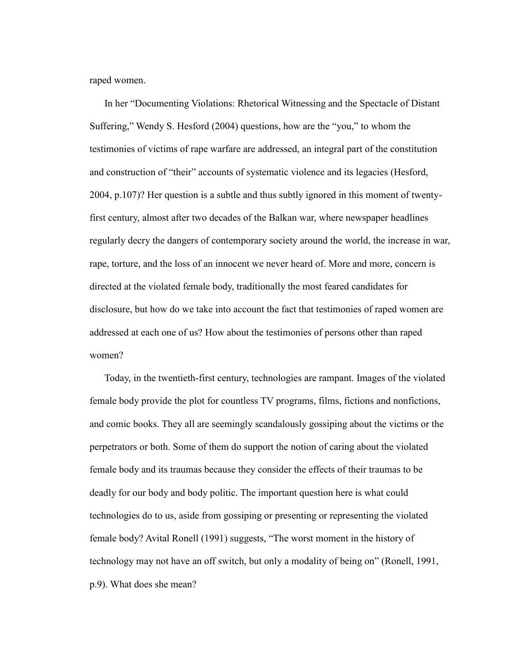raped women.

In her "Documenting Violations: Rhetorical Witnessing and the Spectacle of Distant Suffering," Wendy S. Hesford (2004) questions, how are the "you," to whom the testimonies of victims of rape warfare are addressed, an integral part of the constitution and construction of "their" accounts of systematic violence and its legacies (Hesford, 2004, p.107)? Her question is a subtle and thus subtly ignored in this moment of twentyfirst century, almost after two decades of the Balkan war, where newspaper headlines regularly decry the dangers of contemporary society around the world, the increase in war, rape, torture, and the loss of an innocent we never heard of. More and more, concern is directed at the violated female body, traditionally the most feared candidates for disclosure, but how do we take into account the fact that testimonies of raped women are addressed at each one of us? How about the testimonies of persons other than raped women?

Today, in the twentieth-first century, technologies are rampant. Images of the violated female body provide the plot for countless TV programs, films, fictions and nonfictions, and comic books. They all are seemingly scandalously gossiping about the victims or the perpetrators or both. Some of them do support the notion of caring about the violated female body and its traumas because they consider the effects of their traumas to be deadly for our body and body politic. The important question here is what could technologies do to us, aside from gossiping or presenting or representing the violated female body? Avital Ronell (1991) suggests, "The worst moment in the history of technology may not have an off switch, but only a modality of being on" (Ronell, 1991, p.9). What does she mean?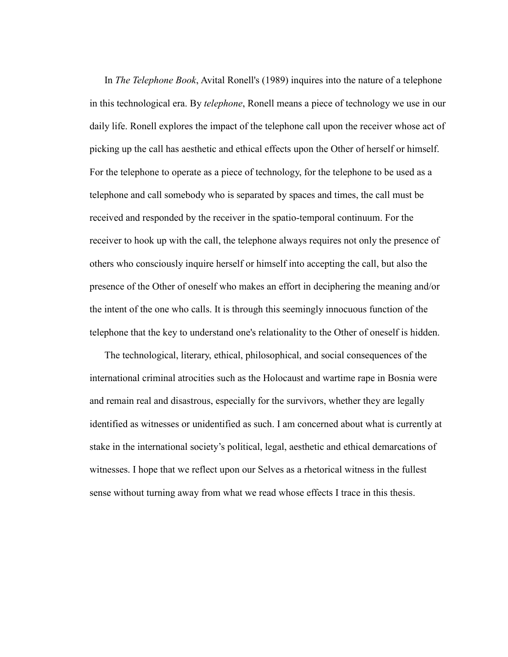In *The Telephone Book*, Avital Ronell's (1989) inquires into the nature of a telephone in this technological era. By *telephone*, Ronell means a piece of technology we use in our daily life. Ronell explores the impact of the telephone call upon the receiver whose act of picking up the call has aesthetic and ethical effects upon the Other of herself or himself. For the telephone to operate as a piece of technology, for the telephone to be used as a telephone and call somebody who is separated by spaces and times, the call must be received and responded by the receiver in the spatio-temporal continuum. For the receiver to hook up with the call, the telephone always requires not only the presence of others who consciously inquire herself or himself into accepting the call, but also the presence of the Other of oneself who makes an effort in deciphering the meaning and/or the intent of the one who calls. It is through this seemingly innocuous function of the telephone that the key to understand one's relationality to the Other of oneself is hidden.

The technological, literary, ethical, philosophical, and social consequences of the international criminal atrocities such as the Holocaust and wartime rape in Bosnia were and remain real and disastrous, especially for the survivors, whether they are legally identified as witnesses or unidentified as such. I am concerned about what is currently at stake in the international society's political, legal, aesthetic and ethical demarcations of witnesses. I hope that we reflect upon our Selves as a rhetorical witness in the fullest sense without turning away from what we read whose effects I trace in this thesis.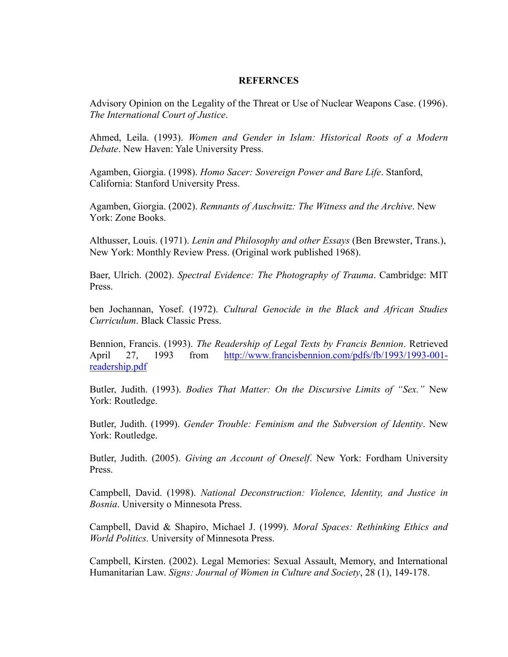## **REFERNCES**

Advisory Opinion on the Legality of the Threat or Use of Nuclear Weapons Case. (1996). *The International Court of Justice*.

Ahmed, Leila. (1993). *Women and Gender in Islam: Historical Roots of a Modern Debate*. New Haven: Yale University Press.

Agamben, Giorgia. (1998). *Homo Sacer: Sovereign Power and Bare Life*. Stanford, California: Stanford University Press.

Agamben, Giorgia. (2002). *Remnants of Auschwitz: The Witness and the Archive*. New York: Zone Books.

Althusser, Louis. (1971). *Lenin and Philosophy and other Essays* (Ben Brewster, Trans.), New York: Monthly Review Press. (Original work published 1968).

Baer, Ulrich. (2002). *Spectral Evidence: The Photography of Trauma*. Cambridge: MIT Press.

ben Jochannan, Yosef. (1972). *Cultural Genocide in the Black and African Studies Curriculum*. Black Classic Press.

Bennion, Francis. (1993). *The Readership of Legal Texts by Francis Bennion*. Retrieved April 27, 1993 from [http://www.francisbennion.com/pdfs/fb/1993/1993-001](http://www.francisbennion.com/pdfs/fb/1993/1993-001-readership.pdf) [readership.pdf](http://www.francisbennion.com/pdfs/fb/1993/1993-001-readership.pdf)

Butler, Judith. (1993). *Bodies That Matter: On the Discursive Limits of "Sex."* New York: Routledge.

Butler, Judith. (1999). *Gender Trouble: Feminism and the Subversion of Identity*. New York: Routledge.

Butler, Judith. (2005). *Giving an Account of Oneself*. New York: Fordham University Press.

Campbell, David. (1998). *National Deconstruction: Violence, Identity, and Justice in Bosnia*. University o Minnesota Press.

Campbell, David & Shapiro, Michael J. (1999). *Moral Spaces: Rethinking Ethics and World Politics.* University of Minnesota Press.

Campbell, Kirsten. (2002). Legal Memories: Sexual Assault, Memory, and International Humanitarian Law. *Signs: Journal of Women in Culture and Society*, 28 (1), 149-178.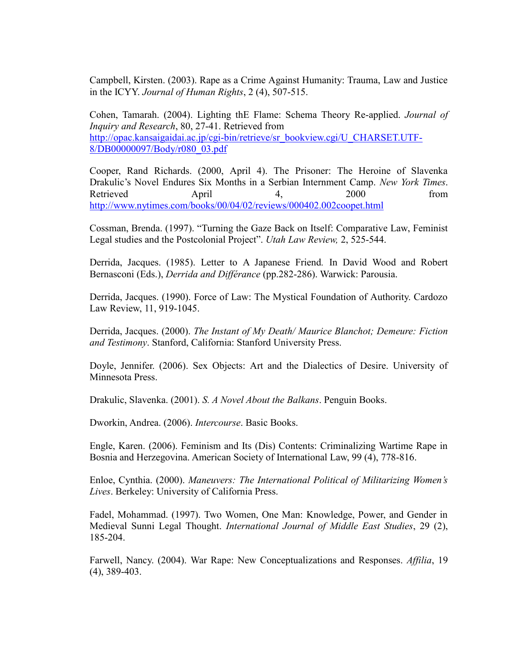Campbell, Kirsten. (2003). Rape as a Crime Against Humanity: Trauma, Law and Justice in the ICYY. *Journal of Human Rights*, 2 (4), 507-515.

Cohen, Tamarah. (2004). Lighting thE Flame: Schema Theory Re-applied. *Journal of Inquiry and Research*, 80, 27-41. Retrieved from [http://opac.kansaigaidai.ac.jp/cgi-bin/retrieve/sr\\_bookview.cgi/U\\_CHARSET.UTF-](http://opac.kansaigaidai.ac.jp/cgi-bin/retrieve/sr_bookview.cgi/U_CHARSET.UTF-8/DB00000097/Body/r080_03.pdf)[8/DB00000097/Body/r080\\_03.pdf](http://opac.kansaigaidai.ac.jp/cgi-bin/retrieve/sr_bookview.cgi/U_CHARSET.UTF-8/DB00000097/Body/r080_03.pdf)

Cooper, Rand Richards. (2000, April 4). The Prisoner: The Heroine of Slavenka Drakulic's Novel Endures Six Months in a Serbian Internment Camp. *New York Times*. Retrieved April 4, 2000 from <http://www.nytimes.com/books/00/04/02/reviews/000402.002coopet.html>

Cossman, Brenda. (1997). "Turning the Gaze Back on Itself: Comparative Law, Feminist Legal studies and the Postcolonial Project". *Utah Law Review,* 2, 525-544.

Derrida, Jacques. (1985). Letter to A Japanese Friend*.* In David Wood and Robert Bernasconi (Eds.), *Derrida and Différance* (pp.282-286). Warwick: Parousia.

Derrida, Jacques. (1990). Force of Law: The Mystical Foundation of Authority. Cardozo Law Review, 11, 919-1045.

Derrida, Jacques. (2000). *The Instant of My Death/ Maurice Blanchot; Demeure: Fiction and Testimony*. Stanford, California: Stanford University Press.

Doyle, Jennifer. (2006). Sex Objects: Art and the Dialectics of Desire. University of Minnesota Press.

Drakulic, Slavenka. (2001). *S. A Novel About the Balkans*. Penguin Books.

Dworkin, Andrea. (2006). *Intercourse*. Basic Books.

Engle, Karen. (2006). Feminism and Its (Dis) Contents: Criminalizing Wartime Rape in Bosnia and Herzegovina. American Society of International Law, 99 (4), 778-816.

Enloe, Cynthia. (2000). *Maneuvers: The International Political of Militarizing Women's Lives*. Berkeley: University of California Press.

Fadel, Mohammad. (1997). Two Women, One Man: Knowledge, Power, and Gender in Medieval Sunni Legal Thought. *International Journal of Middle East Studies*, 29 (2), 185-204.

Farwell, Nancy. (2004). War Rape: New Conceptualizations and Responses. *Affilia*, 19 (4), 389-403.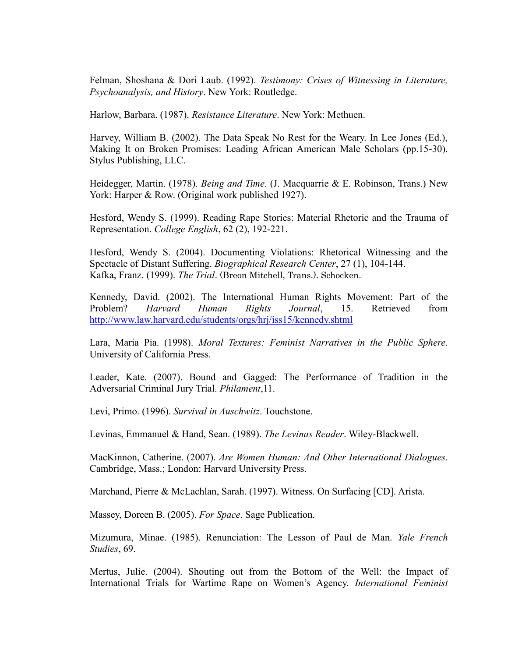Felman, Shoshana & Dori Laub. (1992). *Testimony: Crises of Witnessing in Literature, Psychoanalysis, and History*. New York: Routledge.

Harlow, Barbara. (1987). *Resistance Literature*. New York: Methuen.

Harvey, William B. (2002). The Data Speak No Rest for the Weary. In Lee Jones (Ed.), Making It on Broken Promises: Leading African American Male Scholars (pp.15-30). Stylus Publishing, LLC.

Heidegger, Martin. (1978). *Being and Time*. (J. Macquarrie & E. Robinson, Trans.) New York: Harper & Row. (Original work published 1927).

Hesford, Wendy S. (1999). Reading Rape Stories: Material Rhetoric and the Trauma of Representation. *College English*, 62 (2), 192-221.

Hesford, Wendy S. (2004). Documenting Violations: Rhetorical Witnessing and the Spectacle of Distant Suffering. *Biographical Research Center*, 27 (1), 104-144. Kafka, Franz. (1999). *The Trial*. (Breon Mitchell, Trans.). Schocken.

Kennedy, David. (2002). The International Human Rights Movement: Part of the Problem? *Harvard Human Rights Journal*, 15. Retrieved from <http://www.law.harvard.edu/students/orgs/hrj/iss15/kennedy.shtml>

Lara, Maria Pia. (1998). *Moral Textures: Feminist Narratives in the Public Sphere*. University of California Press.

Leader, Kate. (2007). Bound and Gagged: The Performance of Tradition in the Adversarial Criminal Jury Trial. *Philament*,11.

Levi, Primo. (1996). *Survival in Auschwitz*. Touchstone.

Levinas, Emmanuel & Hand, Sean. (1989). *The Levinas Reader*. Wiley-Blackwell.

MacKinnon, Catherine. (2007). *Are Women Human: And Other International Dialogues*. Cambridge, Mass.; London: Harvard University Press.

Marchand, Pierre & McLachlan, Sarah. (1997). Witness. On Surfacing [CD]. Arista.

Massey, Doreen B. (2005). *For Space*. Sage Publication.

Mizumura, Minae. (1985). Renunciation: The Lesson of Paul de Man. *Yale French Studies*, 69.

Mertus, Julie. (2004). Shouting out from the Bottom of the Well: the Impact of International Trials for Wartime Rape on Women's Agency. *International Feminist*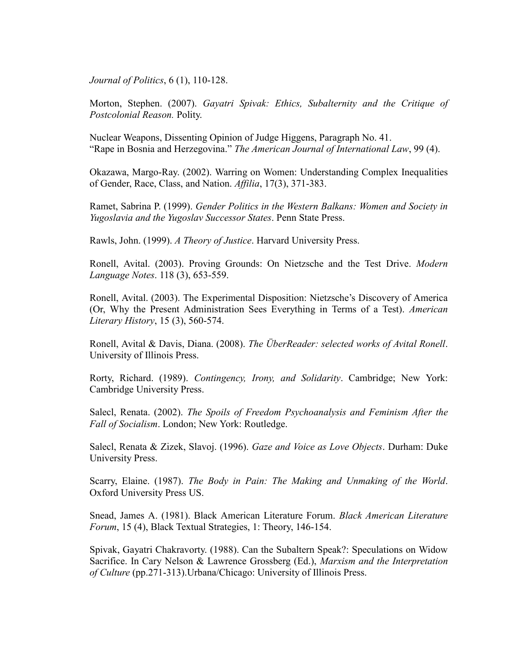*Journal of Politics*, 6 (1), 110-128.

Morton, Stephen. (2007). *Gayatri Spivak: Ethics, Subalternity and the Critique of Postcolonial Reason.* Polity.

Nuclear Weapons, Dissenting Opinion of Judge Higgens, Paragraph No. 41. ―Rape in Bosnia and Herzegovina.‖ *The American Journal of International Law*, 99 (4).

Okazawa, Margo-Ray. (2002). Warring on Women: Understanding Complex Inequalities of Gender, Race, Class, and Nation. *Affilia*, 17(3), 371-383.

Ramet, Sabrina P. (1999). *Gender Politics in the Western Balkans: Women and Society in Yugoslavia and the Yugoslav Successor States*. Penn State Press.

Rawls, John. (1999). *A Theory of Justice*. Harvard University Press.

Ronell, Avital. (2003). Proving Grounds: On Nietzsche and the Test Drive. *Modern Language Notes*. 118 (3), 653-559.

Ronell, Avital. (2003). The Experimental Disposition: Nietzsche's Discovery of America (Or, Why the Present Administration Sees Everything in Terms of a Test). *American Literary History*, 15 (3), 560-574.

Ronell, Avital & Davis, Diana. (2008). *The ÜberReader: selected works of Avital Ronell*. University of Illinois Press.

Rorty, Richard. (1989). *Contingency, Irony, and Solidarity*. Cambridge; New York: Cambridge University Press.

Salecl, Renata. (2002). *The Spoils of Freedom Psychoanalysis and Feminism After the Fall of Socialism*. London; New York: Routledge.

Salecl, Renata & Zizek, Slavoj. (1996). *Gaze and Voice as Love Objects*. Durham: Duke University Press.

Scarry, Elaine. (1987). *The Body in Pain: The Making and Unmaking of the World*. Oxford University Press US.

Snead, James A. (1981). Black American Literature Forum. *Black American Literature Forum*, 15 (4), Black Textual Strategies, 1: Theory, 146-154.

Spivak, Gayatri Chakravorty. (1988). Can the Subaltern Speak?: Speculations on Widow Sacrifice. In Cary Nelson & Lawrence Grossberg (Ed.), *Marxism and the Interpretation of Culture* (pp.271-313).Urbana/Chicago: University of Illinois Press.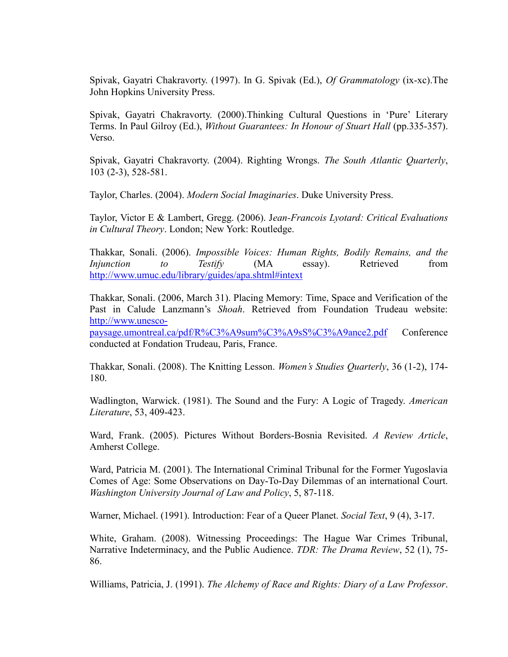Spivak, Gayatri Chakravorty. (1997). In G. Spivak (Ed.), *Of Grammatology* (ix-xc).The John Hopkins University Press.

Spivak, Gayatri Chakravorty. (2000).Thinking Cultural Questions in 'Pure' Literary Terms. In Paul Gilroy (Ed.), *Without Guarantees: In Honour of Stuart Hall* (pp.335-357). Verso.

Spivak, Gayatri Chakravorty. (2004). Righting Wrongs. *The South Atlantic Quarterly*, 103 (2-3), 528-581.

Taylor, Charles. (2004). *Modern Social Imaginaries*. Duke University Press.

Taylor, Victor E & Lambert, Gregg. (2006). J*ean-Francois Lyotard: Critical Evaluations in Cultural Theory*. London; New York: Routledge.

Thakkar, Sonali. (2006). *Impossible Voices: Human Rights, Bodily Remains, and the Injunction to Testify* (MA essay). Retrieved from <http://www.umuc.edu/library/guides/apa.shtml#intext>

Thakkar, Sonali. (2006, March 31). Placing Memory: Time, Space and Verification of the Past in Calude Lanzmann's *Shoah*. Retrieved from Foundation Trudeau website: [http://www.unesco-](http://www.unesco-paysage.umontreal.ca/pdf/R%C3%A9sum%C3%A9sS%C3%A9ance2.pdf)

[paysage.umontreal.ca/pdf/R%C3%A9sum%C3%A9sS%C3%A9ance2.pdf](http://www.unesco-paysage.umontreal.ca/pdf/R%C3%A9sum%C3%A9sS%C3%A9ance2.pdf) Conference conducted at Fondation Trudeau, Paris, France.

Thakkar, Sonali. (2008). The Knitting Lesson. *Women's Studies Quarterly*, 36 (1-2), 174- 180.

Wadlington, Warwick. (1981). The Sound and the Fury: A Logic of Tragedy. *American Literature*, 53, 409-423.

Ward, Frank. (2005). Pictures Without Borders-Bosnia Revisited. *A Review Article*, Amherst College.

Ward, Patricia M. (2001). The International Criminal Tribunal for the Former Yugoslavia Comes of Age: Some Observations on Day-To-Day Dilemmas of an international Court. *Washington University Journal of Law and Policy*, 5, 87-118.

Warner, Michael. (1991). Introduction: Fear of a Queer Planet. *Social Text*, 9 (4), 3-17.

White, Graham. (2008). Witnessing Proceedings: The Hague War Crimes Tribunal, Narrative Indeterminacy, and the Public Audience. *TDR: The Drama Review*, 52 (1), 75- 86.

Williams, Patricia, J. (1991). *The Alchemy of Race and Rights: Diary of a Law Professor*.